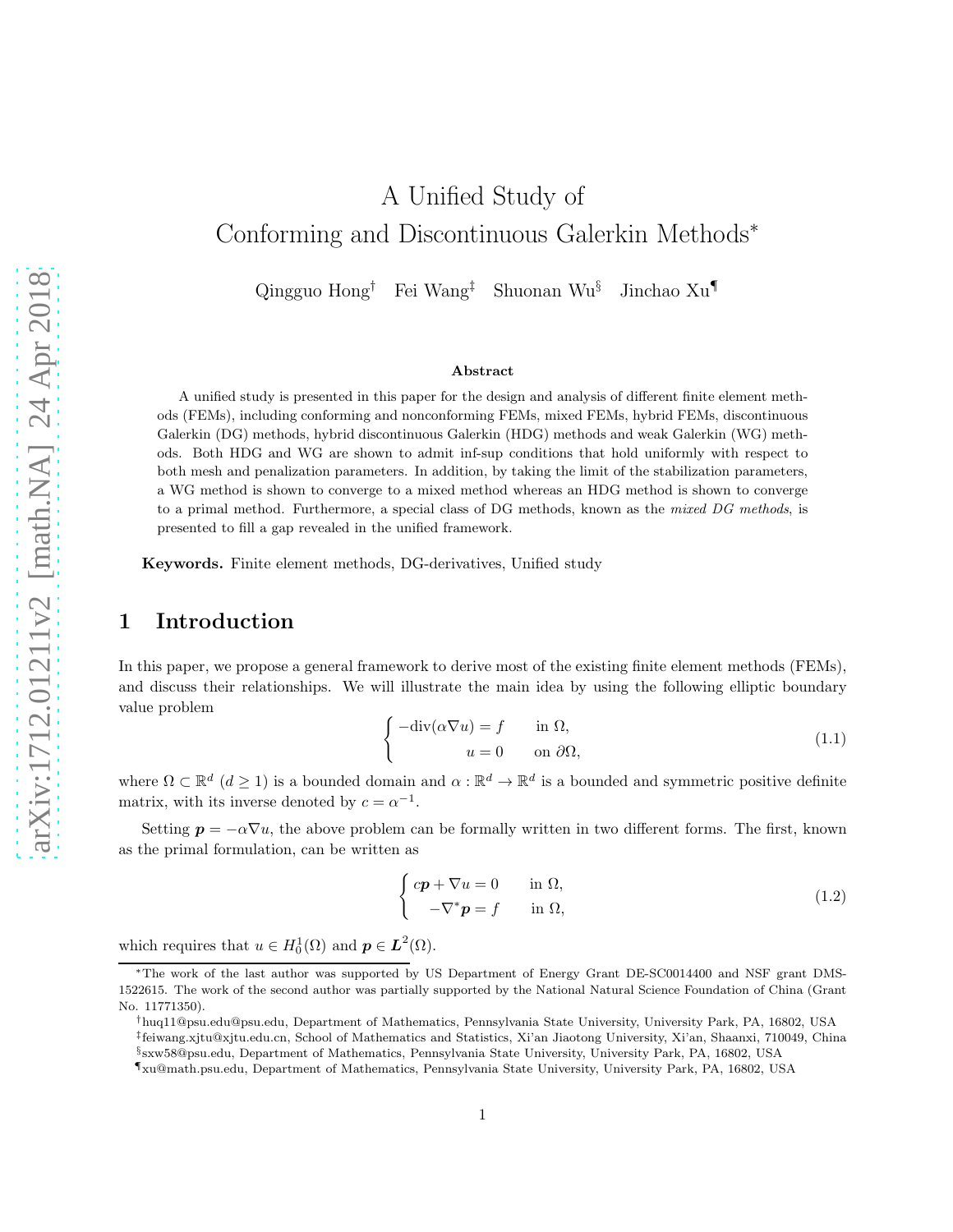# A Unified Study of Conforming and Discontinuous Galerkin Methods<sup>∗</sup>

Qingguo Hong† Fei Wang‡ Shuonan Wu§ Jinchao Xu¶

#### Abstract

A unified study is presented in this paper for the design and analysis of different finite element methods (FEMs), including conforming and nonconforming FEMs, mixed FEMs, hybrid FEMs, discontinuous Galerkin (DG) methods, hybrid discontinuous Galerkin (HDG) methods and weak Galerkin (WG) methods. Both HDG and WG are shown to admit inf-sup conditions that hold uniformly with respect to both mesh and penalization parameters. In addition, by taking the limit of the stabilization parameters, a WG method is shown to converge to a mixed method whereas an HDG method is shown to converge to a primal method. Furthermore, a special class of DG methods, known as the mixed DG methods, is presented to fill a gap revealed in the unified framework.

Keywords. Finite element methods, DG-derivatives, Unified study

## 1 Introduction

<span id="page-0-0"></span>In this paper, we propose a general framework to derive most of the existing finite element methods (FEMs), and discuss their relationships. We will illustrate the main idea by using the following elliptic boundary value problem

$$
\begin{cases}\n-\text{div}(\alpha \nabla u) = f & \text{in } \Omega, \\
u = 0 & \text{on } \partial \Omega,\n\end{cases}
$$
\n(1.1)

where  $\Omega \subset \mathbb{R}^d$   $(d \geq 1)$  is a bounded domain and  $\alpha : \mathbb{R}^d \to \mathbb{R}^d$  is a bounded and symmetric positive definite matrix, with its inverse denoted by  $c = \alpha^{-1}$ .

Setting  $p = -\alpha \nabla u$ , the above problem can be formally written in two different forms. The first, known as the primal formulation, can be written as

<span id="page-0-1"></span>
$$
\begin{cases}\n c\mathbf{p} + \nabla u = 0 & \text{in } \Omega, \\
 -\nabla^* \mathbf{p} = f & \text{in } \Omega,\n\end{cases}
$$
\n(1.2)

which requires that  $u \in H_0^1(\Omega)$  and  $p \in L^2(\Omega)$ .

<sup>∗</sup>The work of the last author was supported by US Department of Energy Grant DE-SC0014400 and NSF grant DMS-1522615. The work of the second author was partially supported by the National Natural Science Foundation of China (Grant No. 11771350).

<sup>†</sup>huq11@psu.edu@psu.edu, Department of Mathematics, Pennsylvania State University, University Park, PA, 16802, USA ‡ feiwang.xjtu@xjtu.edu.cn, School of Mathematics and Statistics, Xi'an Jiaotong University, Xi'an, Shaanxi, 710049, China

<sup>§</sup> sxw58@psu.edu, Department of Mathematics, Pennsylvania State University, University Park, PA, 16802, USA

<sup>¶</sup>xu@math.psu.edu, Department of Mathematics, Pennsylvania State University, University Park, PA, 16802, USA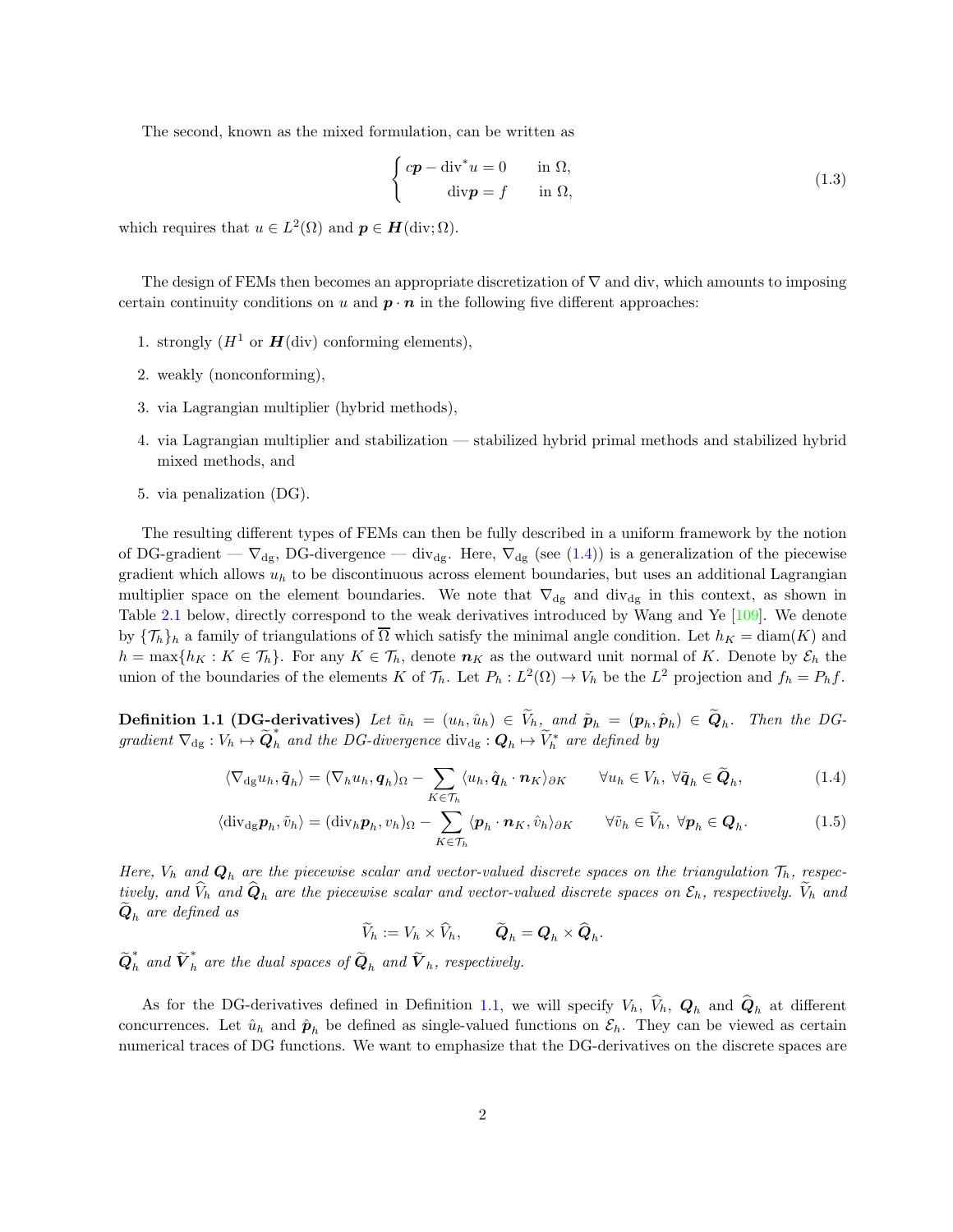The second, known as the mixed formulation, can be written as

<span id="page-1-2"></span>
$$
\begin{cases}\ncp - \operatorname{div}^* u = 0 & \text{in } \Omega, \\
\operatorname{div} p = f & \text{in } \Omega,\n\end{cases}
$$
\n(1.3)

which requires that  $u \in L^2(\Omega)$  and  $p \in H(\text{div}; \Omega)$ .

The design of FEMs then becomes an appropriate discretization of  $\nabla$  and div, which amounts to imposing certain continuity conditions on u and  $p \cdot n$  in the following five different approaches:

- 1. strongly  $(H^1 \text{ or } H(\text{div}) \text{ conforming elements}),$
- 2. weakly (nonconforming),
- 3. via Lagrangian multiplier (hybrid methods),
- 4. via Lagrangian multiplier and stabilization stabilized hybrid primal methods and stabilized hybrid mixed methods, and
- 5. via penalization (DG).

The resulting different types of FEMs can then be fully described in a uniform framework by the notion of DG-gradient —  $\nabla_{dg}$ , DG-divergence — div<sub>dg</sub>. Here,  $\nabla_{dg}$  (see [\(1.4\)](#page-1-0)) is a generalization of the piecewise gradient which allows  $u_h$  to be discontinuous across element boundaries, but uses an additional Lagrangian multiplier space on the element boundaries. We note that  $\nabla_{dg}$  and div<sub>dg</sub> in this context, as shown in Table [2.1](#page-9-0) below, directly correspond to the weak derivatives introduced by Wang and Ye [\[109\]](#page-37-0). We denote by  ${\{\mathcal{T}_h\}}_h$  a family of triangulations of  $\overline{\Omega}$  which satisfy the minimal angle condition. Let  $h_K = \text{diam}(K)$  and  $h = \max\{h_K : K \in \mathcal{T}_h\}$ . For any  $K \in \mathcal{T}_h$ , denote  $n_K$  as the outward unit normal of K. Denote by  $\mathcal{E}_h$  the union of the boundaries of the elements K of  $\mathcal{T}_h$ . Let  $P_h: L^2(\Omega) \to V_h$  be the  $L^2$  projection and  $f_h = P_h f$ .

<span id="page-1-1"></span>**Definition 1.1 (DG-derivatives)** Let  $\tilde{u}_h = (u_h, \hat{u}_h) \in V_h$ , and  $\tilde{p}_h = (p_h, \hat{p}_h) \in Q_h$ . Then the DGgradient  $\nabla_{dg} : V_h \mapsto \widetilde{Q}_h^*$  and the DG-divergence  $\text{div}_{dg} : Q_h \mapsto \widetilde{V}_h^*$  are defined by

$$
\langle \nabla_{\mathrm{dg}} u_h, \tilde{\boldsymbol{q}}_h \rangle = (\nabla_h u_h, \boldsymbol{q}_h)_{\Omega} - \sum_{K \in \mathcal{T}_h} \langle u_h, \hat{\boldsymbol{q}}_h \cdot \boldsymbol{n}_K \rangle_{\partial K} \qquad \forall u_h \in V_h, \ \forall \tilde{\boldsymbol{q}}_h \in \widetilde{\boldsymbol{Q}}_h,\tag{1.4}
$$

$$
\langle \operatorname{div}_{\mathrm{dg}} p_h, \tilde{v}_h \rangle = (\operatorname{div}_h p_h, v_h)_{\Omega} - \sum_{K \in \mathcal{T}_h} \langle p_h \cdot n_K, \hat{v}_h \rangle_{\partial K} \qquad \forall \tilde{v}_h \in \widetilde{V}_h, \ \forall p_h \in Q_h. \tag{1.5}
$$

Here,  $V_h$  and  $\mathbf{Q}_h$  are the piecewise scalar and vector-valued discrete spaces on the triangulation  $\mathcal{T}_h$ , respectively, and  $V_h$  and  $Q_h$  are the piecewise scalar and vector-valued discrete spaces on  $\mathcal{E}_h$ , respectively.  $V_h$  and  $\boldsymbol{Q}_h$  are defined as

<span id="page-1-3"></span><span id="page-1-0"></span>
$$
\widetilde{V}_h := V_h \times \widetilde{V}_h, \qquad \widetilde{\boldsymbol{Q}}_h = \boldsymbol{Q}_h \times \widetilde{\boldsymbol{Q}}_h.
$$

 $\widetilde{\bm{Q}}_h^*$  and  $\widetilde{\bm{V}}_h^*$  are the dual spaces of  $\widetilde{\bm{Q}}_h$  and  $\widetilde{\bm{V}}_h$ , respectively.

As for the DG-derivatives defined in Definition [1.1,](#page-1-1) we will specify  $V_h$ ,  $V_h$ ,  $Q_h$  and  $Q_h$  at different concurrences. Let  $\hat{u}_h$  and  $\hat{p}_h$  be defined as single-valued functions on  $\mathcal{E}_h$ . They can be viewed as certain numerical traces of DG functions. We want to emphasize that the DG-derivatives on the discrete spaces are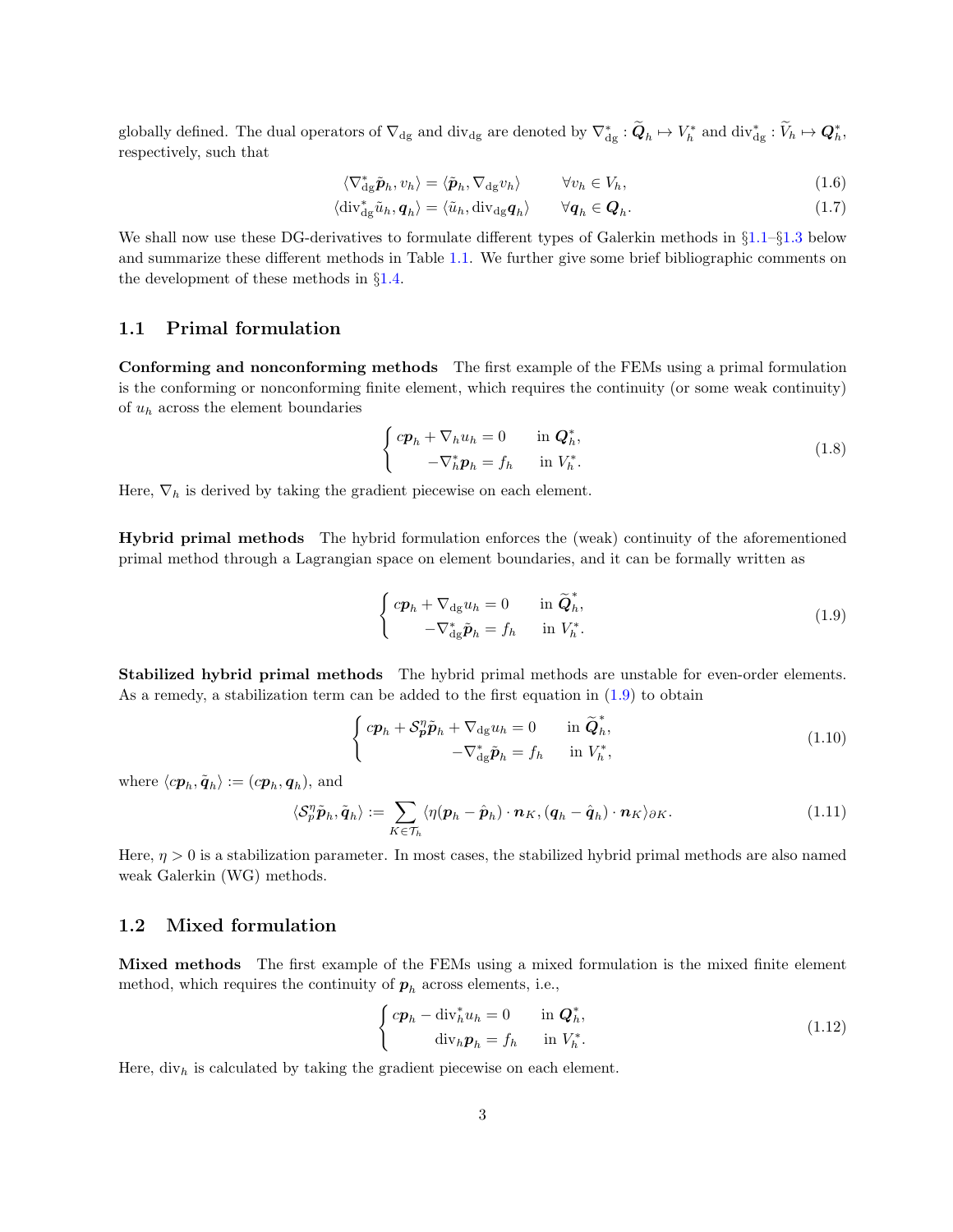globally defined. The dual operators of  $\nabla_{dg}$  and div<sub>dg</sub> are denoted by  $\nabla_{dg}^* : \widetilde{\mathbf{Q}}_h \mapsto V_h^*$  and div $_{dg}^* : \widetilde{V}_h \mapsto \mathbf{Q}_h^*$ , respectively, such that

$$
\langle \nabla_{\mathrm{dg}}^* \tilde{\boldsymbol{p}}_h, v_h \rangle = \langle \tilde{\boldsymbol{p}}_h, \nabla_{\mathrm{dg}} v_h \rangle \qquad \forall v_h \in V_h,
$$
\n(1.6)

$$
\langle \operatorname{div}_{\mathrm{dg}}^* \tilde{u}_h, \mathbf{q}_h \rangle = \langle \tilde{u}_h, \operatorname{div}_{\mathrm{dg}} \mathbf{q}_h \rangle \qquad \forall \mathbf{q}_h \in \mathbf{Q}_h. \tag{1.7}
$$

We shall now use these DG-derivatives to formulate different types of Galerkin methods in  $\S1.1-\S1.3$  $\S1.1-\S1.3$  below and summarize these different methods in Table [1.1.](#page-3-0) We further give some brief bibliographic comments on the development of these methods in §[1.4.](#page-5-0)

### <span id="page-2-0"></span>1.1 Primal formulation

Conforming and nonconforming methods The first example of the FEMs using a primal formulation is the conforming or nonconforming finite element, which requires the continuity (or some weak continuity) of  $u_h$  across the element boundaries

<span id="page-2-4"></span>
$$
\begin{cases}\ncp_h + \nabla_h u_h = 0 & \text{in } \mathbf{Q}_h^*, \\
-\nabla_h^* \mathbf{p}_h = f_h & \text{in } V_h^*.\n\end{cases}
$$
\n(1.8)

Here,  $\nabla_h$  is derived by taking the gradient piecewise on each element.

<span id="page-2-1"></span>Hybrid primal methods The hybrid formulation enforces the (weak) continuity of the aforementioned primal method through a Lagrangian space on element boundaries, and it can be formally written as

<span id="page-2-2"></span>
$$
\begin{cases} c\mathbf{p}_h + \nabla_{\mathrm{dg}} u_h = 0 & \text{in } \widetilde{\mathbf{Q}}_h^*, \\ -\nabla_{\mathrm{dg}}^* \widetilde{\mathbf{p}}_h = f_h & \text{in } V_h^*. \end{cases} \tag{1.9}
$$

Stabilized hybrid primal methods The hybrid primal methods are unstable for even-order elements. As a remedy, a stabilization term can be added to the first equation in [\(1.9\)](#page-2-1) to obtain

<span id="page-2-3"></span>
$$
\begin{cases} cp_h + \mathcal{S}_p^n \tilde{p}_h + \nabla_{\mathrm{dg}} u_h = 0 & \text{in } \widetilde{\mathbf{Q}}_h^*, \\ -\nabla_{\mathrm{dg}}^* \tilde{p}_h = f_h & \text{in } V_h^*, \end{cases}
$$
 (1.10)

where  $\langle c\boldsymbol{p}_h, \tilde{\boldsymbol{q}}_h \rangle := (c\boldsymbol{p}_h, \boldsymbol{q}_h)$ , and

$$
\langle \mathcal{S}_p^{\eta} \tilde{\boldsymbol{p}}_h, \tilde{\boldsymbol{q}}_h \rangle := \sum_{K \in \mathcal{T}_h} \langle \eta(\boldsymbol{p}_h - \hat{\boldsymbol{p}}_h) \cdot \boldsymbol{n}_K, (\boldsymbol{q}_h - \hat{\boldsymbol{q}}_h) \cdot \boldsymbol{n}_K \rangle_{\partial K}.
$$
 (1.11)

Here,  $\eta > 0$  is a stabilization parameter. In most cases, the stabilized hybrid primal methods are also named weak Galerkin (WG) methods.

### 1.2 Mixed formulation

Mixed methods The first example of the FEMs using a mixed formulation is the mixed finite element method, which requires the continuity of  $p_h$  across elements, i.e.,

<span id="page-2-5"></span>
$$
\begin{cases}\ncp_h - \operatorname{div}_h^* u_h = 0 & \text{in } \mathbf{Q}_h^*, \\
\operatorname{div}_h \mathbf{p}_h = f_h & \text{in } V_h^*.\n\end{cases}
$$
\n(1.12)

Here,  $div_h$  is calculated by taking the gradient piecewise on each element.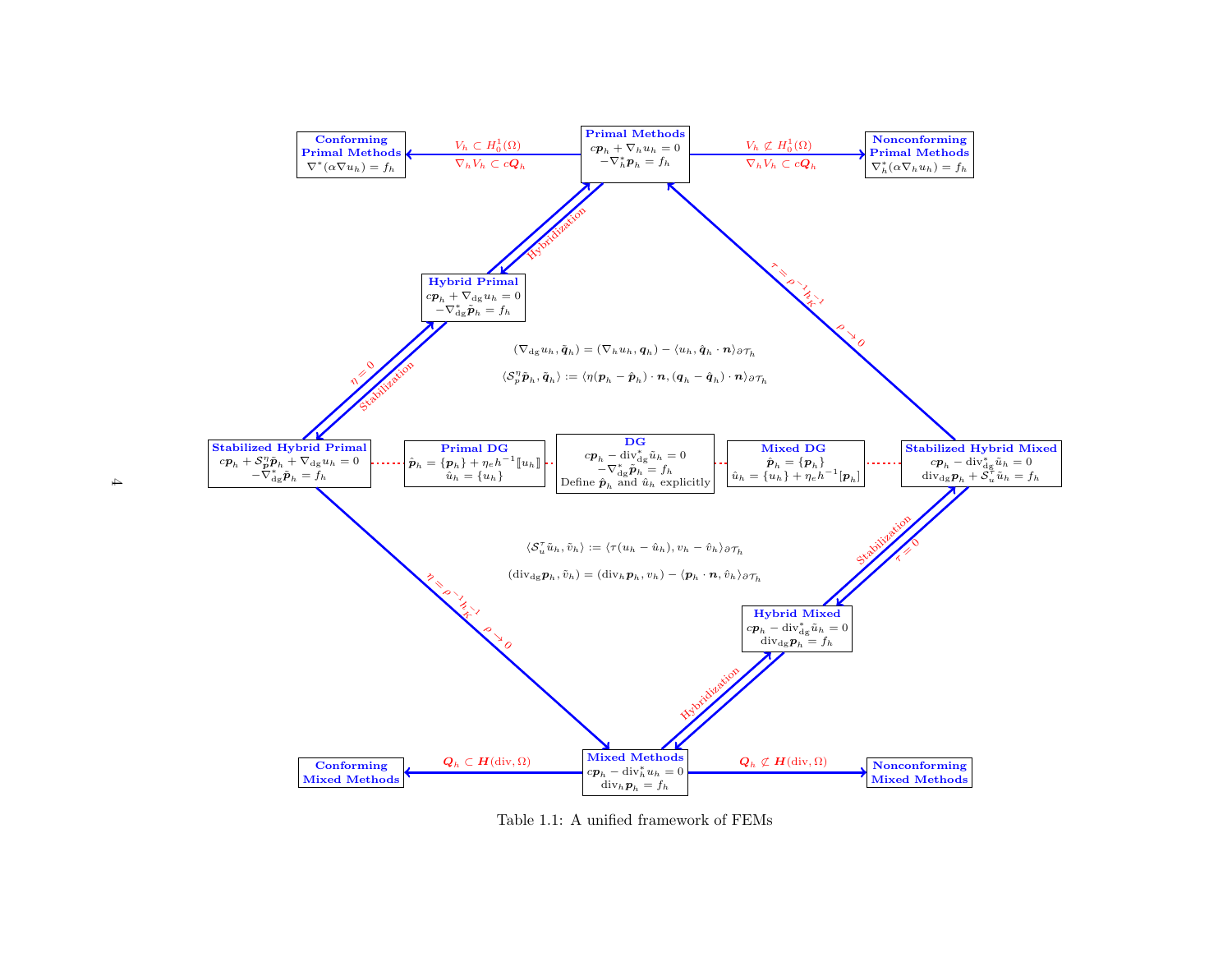<span id="page-3-0"></span>

Table 1.1: <sup>A</sup> unified framework of FEMs

 $\sim$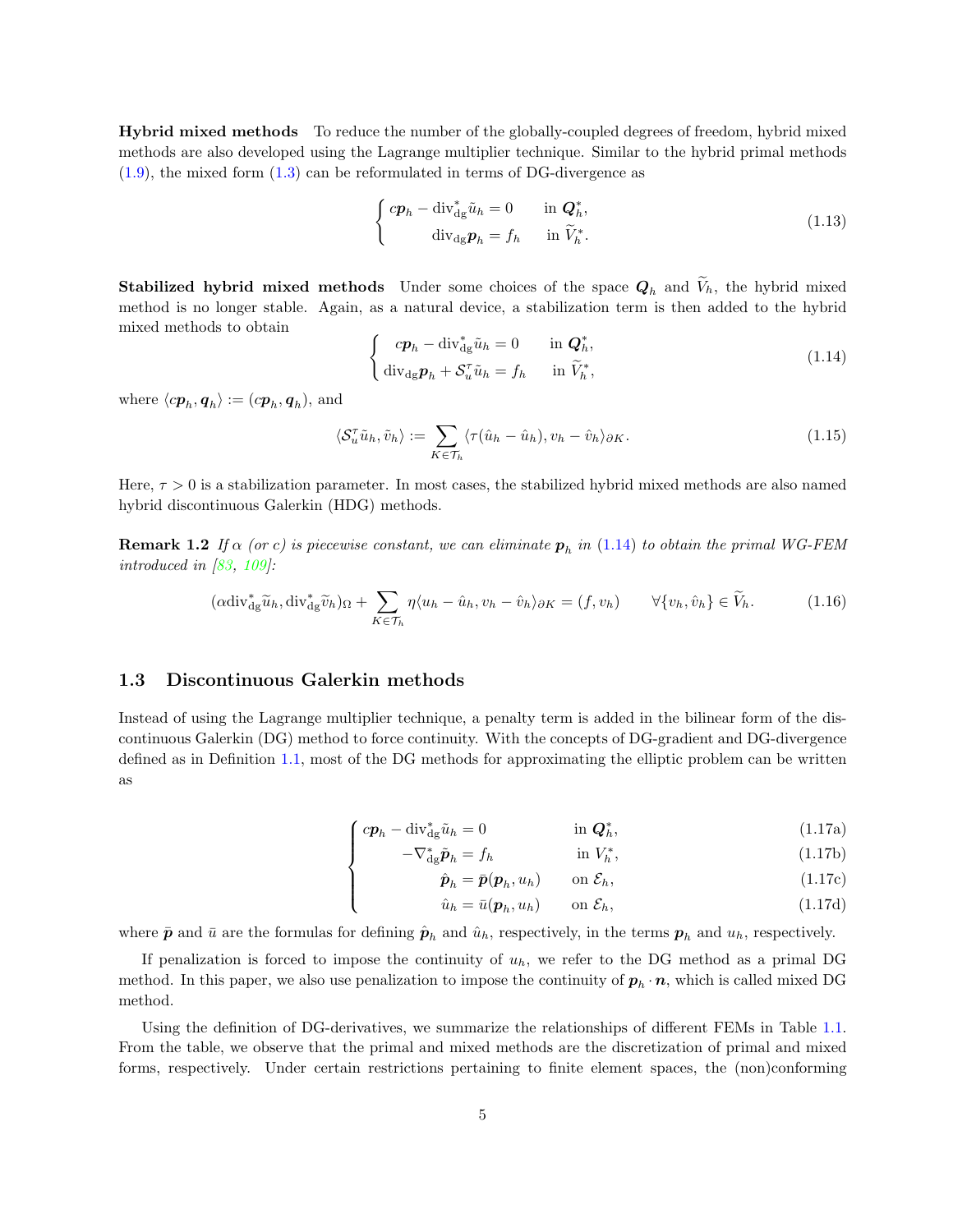Hybrid mixed methods To reduce the number of the globally-coupled degrees of freedom, hybrid mixed methods are also developed using the Lagrange multiplier technique. Similar to the hybrid primal methods  $(1.9)$ , the mixed form  $(1.3)$  can be reformulated in terms of DG-divergence as

<span id="page-4-2"></span>
$$
\begin{cases}\n c\mathbf{p}_h - \operatorname{div}_{\mathrm{dg}}^* \tilde{u}_h = 0 & \text{in } \mathbf{Q}_h^*, \\
 \operatorname{div}_{\mathrm{dg}} \mathbf{p}_h = f_h & \text{in } \tilde{V}_h^*. \n\end{cases}
$$
\n(1.13)

**Stabilized hybrid mixed methods** Under some choices of the space  $Q_h$  and  $V_h$ , the hybrid mixed method is no longer stable. Again, as a natural device, a stabilization term is then added to the hybrid mixed methods to obtain

<span id="page-4-1"></span>
$$
\begin{cases}\ncp_h - \operatorname{div}_{\mathrm{dg}}^* \tilde{u}_h = 0 & \text{in } \mathbf{Q}_h^*, \\
\operatorname{div}_{\mathrm{dg}} \mathbf{p}_h + \mathcal{S}_u^\tau \tilde{u}_h = f_h & \text{in } \tilde{V}_h^*,\n\end{cases}
$$
\n(1.14)

where  $\langle c\boldsymbol{p}_h, \boldsymbol{q}_h \rangle := (c\boldsymbol{p}_h, \boldsymbol{q}_h)$ , and

<span id="page-4-3"></span>
$$
\langle \mathcal{S}_u^{\tau} \tilde{u}_h, \tilde{v}_h \rangle := \sum_{K \in \mathcal{T}_h} \langle \tau(\hat{u}_h - \hat{u}_h), v_h - \hat{v}_h \rangle_{\partial K}.
$$
 (1.15)

Here,  $\tau > 0$  is a stabilization parameter. In most cases, the stabilized hybrid mixed methods are also named hybrid discontinuous Galerkin (HDG) methods.

**Remark 1.2** If  $\alpha$  (or c) is piecewise constant, we can eliminate  $p_h$  in [\(1.14\)](#page-4-1) to obtain the primal WG-FEM introduced in [\[83,](#page-36-0) [109\]](#page-37-0):

$$
(\alpha \operatorname{div}_{dg}^* \widetilde{u}_h, \operatorname{div}_{dg}^* \widetilde{v}_h)_{\Omega} + \sum_{K \in \mathcal{T}_h} \eta \langle u_h - \hat{u}_h, v_h - \hat{v}_h \rangle_{\partial K} = (f, v_h) \qquad \forall \{v_h, \hat{v}_h\} \in \widetilde{V}_h. \tag{1.16}
$$

### <span id="page-4-0"></span>1.3 Discontinuous Galerkin methods

 $\overline{\mathcal{L}}$ 

Instead of using the Lagrange multiplier technique, a penalty term is added in the bilinear form of the discontinuous Galerkin (DG) method to force continuity. With the concepts of DG-gradient and DG-divergence defined as in Definition [1.1,](#page-1-1) most of the DG methods for approximating the elliptic problem can be written as

$$
\int c\mathbf{p}_h - \text{div}_{\text{dg}}^* \tilde{u}_h = 0 \qquad \text{in } \mathbf{Q}_h^*,
$$
\n
$$
-\nabla_{\text{dg}}^* \tilde{\mathbf{p}}_h = f_h \qquad \text{in } V_h^*,
$$
\n(1.17a)

$$
-\nabla_{\mathrm{dg}}^*\tilde{\boldsymbol{p}}_h = f_h \qquad \qquad \text{in } V_h^*, \tag{1.17b}
$$

$$
\hat{\boldsymbol{p}}_h = \bar{\boldsymbol{p}}(\boldsymbol{p}_h, u_h) \qquad \text{on } \mathcal{E}_h,\tag{1.17c}
$$

$$
\hat{u}_h = \bar{u}(\mathbf{p}_h, u_h) \qquad \text{on } \mathcal{E}_h,\tag{1.17d}
$$

where  $\bar{p}$  and  $\bar{u}$  are the formulas for defining  $\hat{p}_h$  and  $\hat{u}_h$ , respectively, in the terms  $p_h$  and  $u_h$ , respectively.

If penalization is forced to impose the continuity of  $u_h$ , we refer to the DG method as a primal DG method. In this paper, we also use penalization to impose the continuity of  $p_h \cdot n$ , which is called mixed DG method.

Using the definition of DG-derivatives, we summarize the relationships of different FEMs in Table [1.1.](#page-3-0) From the table, we observe that the primal and mixed methods are the discretization of primal and mixed forms, respectively. Under certain restrictions pertaining to finite element spaces, the (non)conforming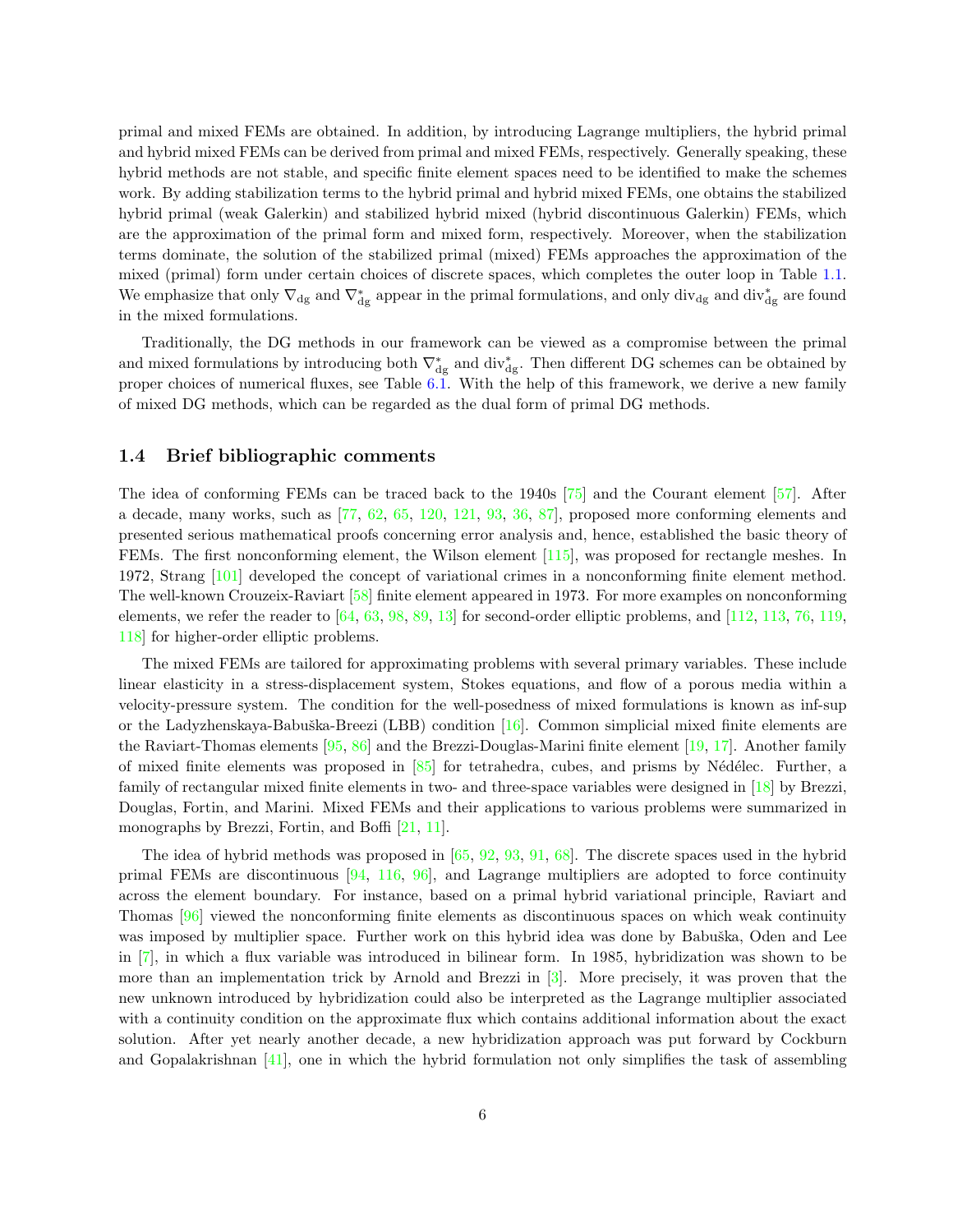primal and mixed FEMs are obtained. In addition, by introducing Lagrange multipliers, the hybrid primal and hybrid mixed FEMs can be derived from primal and mixed FEMs, respectively. Generally speaking, these hybrid methods are not stable, and specific finite element spaces need to be identified to make the schemes work. By adding stabilization terms to the hybrid primal and hybrid mixed FEMs, one obtains the stabilized hybrid primal (weak Galerkin) and stabilized hybrid mixed (hybrid discontinuous Galerkin) FEMs, which are the approximation of the primal form and mixed form, respectively. Moreover, when the stabilization terms dominate, the solution of the stabilized primal (mixed) FEMs approaches the approximation of the mixed (primal) form under certain choices of discrete spaces, which completes the outer loop in Table [1.1.](#page-3-0) We emphasize that only  $\nabla_{dg}$  and  $\nabla_{dg}^*$  appear in the primal formulations, and only div<sub>dg</sub> and div<sub>dg</sub> are found in the mixed formulations.

Traditionally, the DG methods in our framework can be viewed as a compromise between the primal and mixed formulations by introducing both  $\nabla_{dg}^*$  and div<sub>dg</sub>. Then different DG schemes can be obtained by proper choices of numerical fluxes, see Table [6.1.](#page-18-0) With the help of this framework, we derive a new family of mixed DG methods, which can be regarded as the dual form of primal DG methods.

### <span id="page-5-0"></span>1.4 Brief bibliographic comments

The idea of conforming FEMs can be traced back to the 1940s [\[75\]](#page-35-0) and the Courant element [\[57\]](#page-34-0). After a decade, many works, such as [\[77,](#page-35-1) [62,](#page-34-1) [65,](#page-35-2) [120,](#page-38-0) [121,](#page-38-1) [93,](#page-36-1) [36,](#page-33-0) [87\]](#page-36-2), proposed more conforming elements and presented serious mathematical proofs concerning error analysis and, hence, established the basic theory of FEMs. The first nonconforming element, the Wilson element [\[115\]](#page-37-1), was proposed for rectangle meshes. In 1972, Strang [\[101\]](#page-37-2) developed the concept of variational crimes in a nonconforming finite element method. The well-known Crouzeix-Raviart [\[58\]](#page-34-2) finite element appeared in 1973. For more examples on nonconforming elements, we refer the reader to  $[64, 63, 98, 89, 13]$  $[64, 63, 98, 89, 13]$  $[64, 63, 98, 89, 13]$  $[64, 63, 98, 89, 13]$  $[64, 63, 98, 89, 13]$  $[64, 63, 98, 89, 13]$  $[64, 63, 98, 89, 13]$  $[64, 63, 98, 89, 13]$  for second-order elliptic problems, and  $[112, 113, 76, 119,$  $[112, 113, 76, 119,$  $[112, 113, 76, 119,$  $[112, 113, 76, 119,$  $[112, 113, 76, 119,$  $[112, 113, 76, 119,$ [118\]](#page-38-3) for higher-order elliptic problems.

The mixed FEMs are tailored for approximating problems with several primary variables. These include linear elasticity in a stress-displacement system, Stokes equations, and flow of a porous media within a velocity-pressure system. The condition for the well-posedness of mixed formulations is known as inf-sup or the Ladyzhenskaya-Babuška-Breezi (LBB) condition  $[16]$ . Common simplicial mixed finite elements are the Raviart-Thomas elements [\[95,](#page-36-4) [86\]](#page-36-5) and the Brezzi-Douglas-Marini finite element [\[19,](#page-32-2) [17\]](#page-32-3). Another family of mixed finite elements was proposed in  $[85]$  for tetrahedra, cubes, and prisms by Nédélec. Further, a family of rectangular mixed finite elements in two- and three-space variables were designed in [\[18\]](#page-32-4) by Brezzi, Douglas, Fortin, and Marini. Mixed FEMs and their applications to various problems were summarized in monographs by Brezzi, Fortin, and Boffi [\[21,](#page-32-5) [11\]](#page-31-0).

The idea of hybrid methods was proposed in [\[65,](#page-35-2) [92,](#page-36-7) [93,](#page-36-1) [91,](#page-36-8) [68\]](#page-35-6). The discrete spaces used in the hybrid primal FEMs are discontinuous [\[94,](#page-36-9) [116,](#page-38-4) [96\]](#page-36-10), and Lagrange multipliers are adopted to force continuity across the element boundary. For instance, based on a primal hybrid variational principle, Raviart and Thomas [\[96\]](#page-36-10) viewed the nonconforming finite elements as discontinuous spaces on which weak continuity was imposed by multiplier space. Further work on this hybrid idea was done by Babuška, Oden and Lee in [\[7\]](#page-31-1), in which a flux variable was introduced in bilinear form. In 1985, hybridization was shown to be more than an implementation trick by Arnold and Brezzi in [\[3\]](#page-31-2). More precisely, it was proven that the new unknown introduced by hybridization could also be interpreted as the Lagrange multiplier associated with a continuity condition on the approximate flux which contains additional information about the exact solution. After yet nearly another decade, a new hybridization approach was put forward by Cockburn and Gopalakrishnan [\[41\]](#page-33-1), one in which the hybrid formulation not only simplifies the task of assembling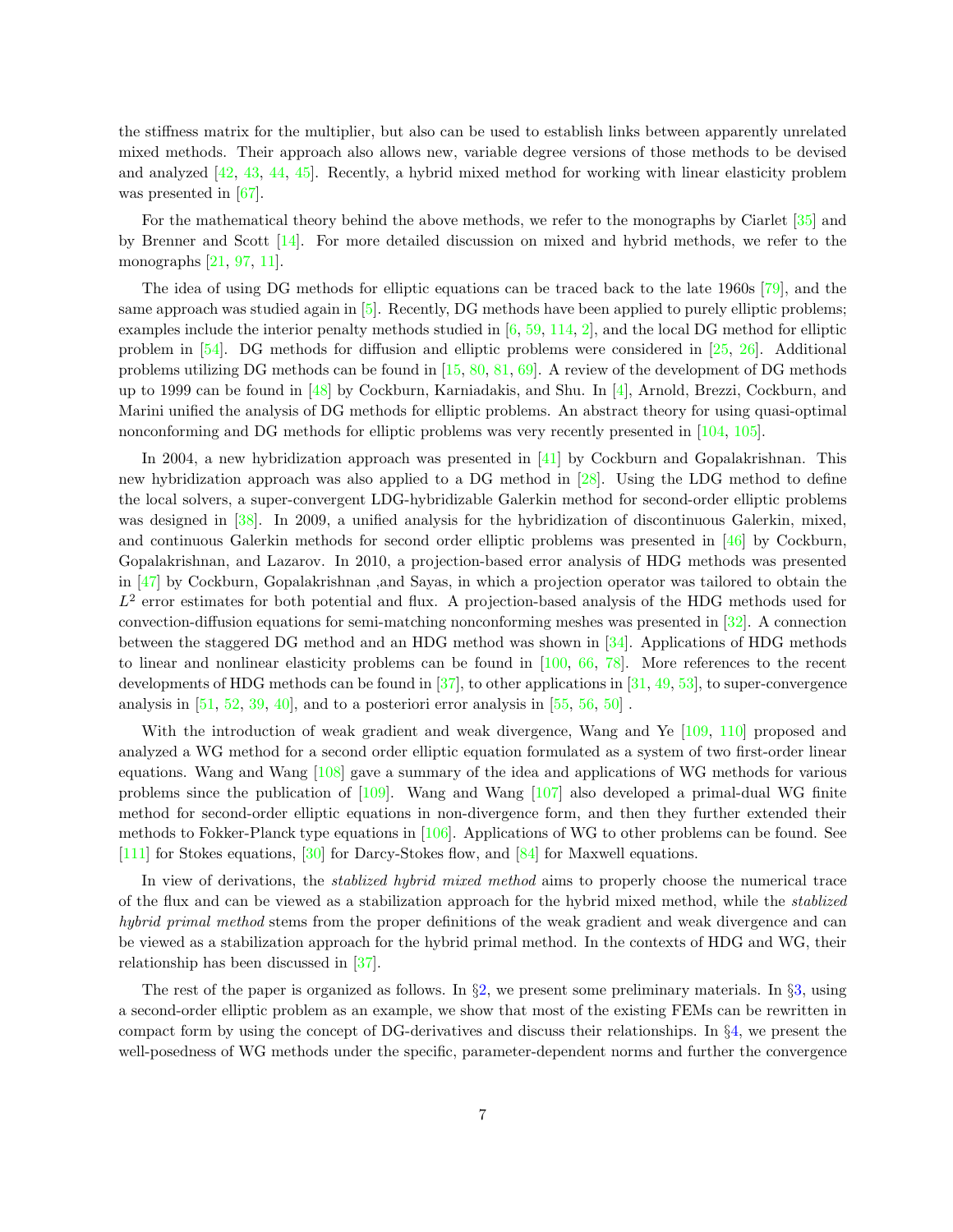the stiffness matrix for the multiplier, but also can be used to establish links between apparently unrelated mixed methods. Their approach also allows new, variable degree versions of those methods to be devised and analyzed [\[42,](#page-33-2) [43,](#page-33-3) [44,](#page-33-4) [45\]](#page-34-3). Recently, a hybrid mixed method for working with linear elasticity problem was presented in [\[67\]](#page-35-7).

For the mathematical theory behind the above methods, we refer to the monographs by Ciarlet [\[35\]](#page-33-5) and by Brenner and Scott [\[14\]](#page-32-6). For more detailed discussion on mixed and hybrid methods, we refer to the monographs [\[21,](#page-32-5) [97,](#page-36-11) [11\]](#page-31-0).

The idea of using DG methods for elliptic equations can be traced back to the late 1960s [\[79\]](#page-35-8), and the same approach was studied again in [\[5\]](#page-31-3). Recently, DG methods have been applied to purely elliptic problems; examples include the interior penalty methods studied in [\[6,](#page-31-4) [59,](#page-34-4) [114,](#page-37-6) [2\]](#page-31-5), and the local DG method for elliptic problem in [\[54\]](#page-34-5). DG methods for diffusion and elliptic problems were considered in [\[25,](#page-32-7) [26\]](#page-32-8). Additional problems utilizing DG methods can be found in [\[15,](#page-32-9) [80,](#page-36-12) [81,](#page-36-13) [69\]](#page-35-9). A review of the development of DG methods up to 1999 can be found in [\[48\]](#page-34-6) by Cockburn, Karniadakis, and Shu. In [\[4\]](#page-31-6), Arnold, Brezzi, Cockburn, and Marini unified the analysis of DG methods for elliptic problems. An abstract theory for using quasi-optimal nonconforming and DG methods for elliptic problems was very recently presented in [\[104,](#page-37-7) [105\]](#page-37-8).

In 2004, a new hybridization approach was presented in [\[41\]](#page-33-1) by Cockburn and Gopalakrishnan. This new hybridization approach was also applied to a DG method in [\[28\]](#page-33-6). Using the LDG method to define the local solvers, a super-convergent LDG-hybridizable Galerkin method for second-order elliptic problems was designed in [\[38\]](#page-33-7). In 2009, a unified analysis for the hybridization of discontinuous Galerkin, mixed, and continuous Galerkin methods for second order elliptic problems was presented in [\[46\]](#page-34-7) by Cockburn, Gopalakrishnan, and Lazarov. In 2010, a projection-based error analysis of HDG methods was presented in [\[47\]](#page-34-8) by Cockburn, Gopalakrishnan ,and Sayas, in which a projection operator was tailored to obtain the  $L<sup>2</sup>$  error estimates for both potential and flux. A projection-based analysis of the HDG methods used for convection-diffusion equations for semi-matching nonconforming meshes was presented in [\[32\]](#page-33-8). A connection between the staggered DG method and an HDG method was shown in [\[34\]](#page-33-9). Applications of HDG methods to linear and nonlinear elasticity problems can be found in [\[100,](#page-37-9) [66,](#page-35-10) [78\]](#page-35-11). More references to the recent developments of HDG methods can be found in [\[37\]](#page-33-10), to other applications in [\[31,](#page-33-11) [49,](#page-34-9) [53\]](#page-34-10), to super-convergence analysis in  $[51, 52, 39, 40]$  $[51, 52, 39, 40]$  $[51, 52, 39, 40]$  $[51, 52, 39, 40]$  $[51, 52, 39, 40]$  $[51, 52, 39, 40]$ , and to a posteriori error analysis in  $[55, 56, 50]$  $[55, 56, 50]$  $[55, 56, 50]$  $[55, 56, 50]$ .

With the introduction of weak gradient and weak divergence, Wang and Ye [\[109,](#page-37-0) [110\]](#page-37-10) proposed and analyzed a WG method for a second order elliptic equation formulated as a system of two first-order linear equations. Wang and Wang [\[108\]](#page-37-11) gave a summary of the idea and applications of WG methods for various problems since the publication of [\[109\]](#page-37-0). Wang and Wang [\[107\]](#page-37-12) also developed a primal-dual WG finite method for second-order elliptic equations in non-divergence form, and then they further extended their methods to Fokker-Planck type equations in [\[106\]](#page-37-13). Applications of WG to other problems can be found. See [\[111\]](#page-37-14) for Stokes equations, [\[30\]](#page-33-14) for Darcy-Stokes flow, and [\[84\]](#page-36-14) for Maxwell equations.

In view of derivations, the *stablized hybrid mixed method* aims to properly choose the numerical trace of the flux and can be viewed as a stabilization approach for the hybrid mixed method, while the stablized hybrid primal method stems from the proper definitions of the weak gradient and weak divergence and can be viewed as a stabilization approach for the hybrid primal method. In the contexts of HDG and WG, their relationship has been discussed in [\[37\]](#page-33-10).

The rest of the paper is organized as follows. In §[2,](#page-7-0) we present some preliminary materials. In §[3,](#page-9-1) using a second-order elliptic problem as an example, we show that most of the existing FEMs can be rewritten in compact form by using the concept of DG-derivatives and discuss their relationships. In §[4,](#page-11-0) we present the well-posedness of WG methods under the specific, parameter-dependent norms and further the convergence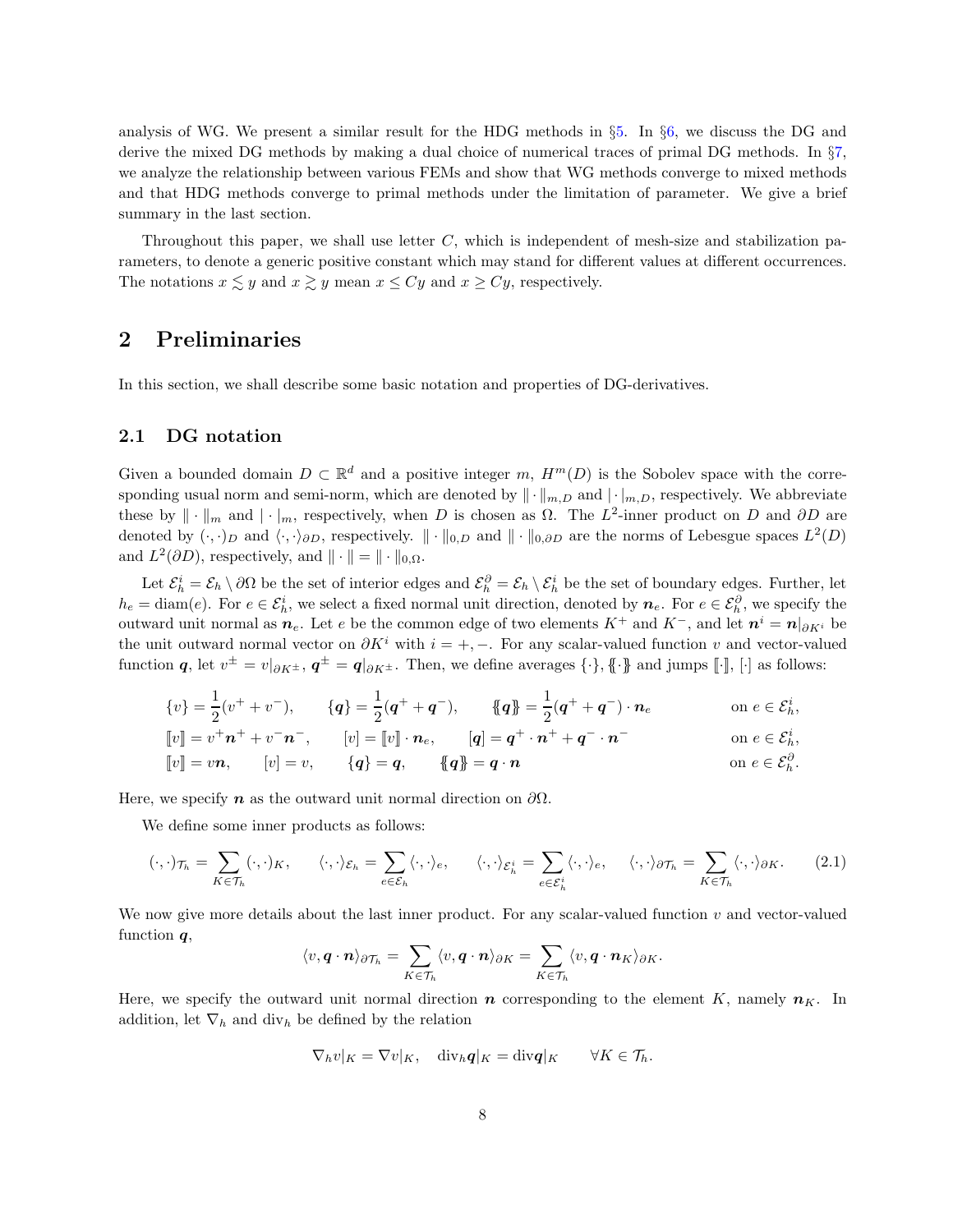analysis of WG. We present a similar result for the HDG methods in §[5.](#page-14-0) In §[6,](#page-17-0) we discuss the DG and derive the mixed DG methods by making a dual choice of numerical traces of primal DG methods. In §[7,](#page-21-0) we analyze the relationship between various FEMs and show that WG methods converge to mixed methods and that HDG methods converge to primal methods under the limitation of parameter. We give a brief summary in the last section.

Throughout this paper, we shall use letter  $C$ , which is independent of mesh-size and stabilization parameters, to denote a generic positive constant which may stand for different values at different occurrences. The notations  $x \lesssim y$  and  $x \gtrsim y$  mean  $x \le Cy$  and  $x \ge Cy$ , respectively.

## <span id="page-7-0"></span>2 Preliminaries

In this section, we shall describe some basic notation and properties of DG-derivatives.

### 2.1 DG notation

Given a bounded domain  $D \subset \mathbb{R}^d$  and a positive integer m,  $H^m(D)$  is the Sobolev space with the corresponding usual norm and semi-norm, which are denoted by  $\| \cdot \|_{m,D}$  and  $| \cdot |_{m,D}$ , respectively. We abbreviate these by  $\|\cdot\|_m$  and  $|\cdot|_m$ , respectively, when D is chosen as  $\Omega$ . The  $L^2$ -inner product on D and  $\partial D$  are denoted by  $(\cdot, \cdot)_D$  and  $\langle \cdot, \cdot \rangle_{\partial D}$ , respectively.  $\|\cdot\|_{0,D}$  and  $\|\cdot\|_{0,\partial D}$  are the norms of Lebesgue spaces  $L^2(D)$ and  $L^2(\partial D)$ , respectively, and  $\|\cdot\| = \|\cdot\|_{0,\Omega}$ .

Let  $\mathcal{E}_h^i = \mathcal{E}_h \setminus \partial\Omega$  be the set of interior edges and  $\mathcal{E}_h^{\partial} = \mathcal{E}_h \setminus \mathcal{E}_h^i$  be the set of boundary edges. Further, let  $h_e = \text{diam}(e)$ . For  $e \in \mathcal{E}_h^i$ , we select a fixed normal unit direction, denoted by  $n_e$ . For  $e \in \mathcal{E}_h^{\partial}$ , we specify the outward unit normal as  $n_e$ . Let e be the common edge of two elements  $K^+$  and  $K^-$ , and let  $n^i = n|_{\partial K^i}$  be the unit outward normal vector on  $\partial K^i$  with  $i = +, -$ . For any scalar-valued function v and vector-valued function  $q$ , let  $v^{\pm} = v|_{\partial K^{\pm}}$ ,  $q^{\pm} = q|_{\partial K^{\pm}}$ . Then, we define averages  $\{\cdot\}$ ,  $\{\cdot\}$  and jumps  $[\![\cdot]\!]$ ,  $[\cdot]$  as follows:

$$
\{v\} = \frac{1}{2}(v^+ + v^-), \qquad \{q\} = \frac{1}{2}(q^+ + q^-), \qquad \{q\} = \frac{1}{2}(q^+ + q^-) \cdot n_e \qquad \text{on } e \in \mathcal{E}_h^i,
$$
  
\n
$$
[\![v]\!] = v^+ n^+ + v^- n^-, \qquad [v] = [\![v]\!] \cdot n_e, \qquad [q] = q^+ \cdot n^+ + q^- \cdot n^- \qquad \text{on } e \in \mathcal{E}_h^i,
$$
  
\n
$$
[\![v]\!] = v n, \qquad [v] = v, \qquad \{q\} = q, \qquad \{q\} = q \cdot n \qquad \text{on } e \in \mathcal{E}_h^{\partial}.
$$

Here, we specify **n** as the outward unit normal direction on  $\partial\Omega$ .

We define some inner products as follows:

$$
(\cdot,\cdot)_{\mathcal{T}_h} = \sum_{K \in \mathcal{T}_h} (\cdot,\cdot)_K, \qquad \langle \cdot,\cdot \rangle_{\mathcal{E}_h} = \sum_{e \in \mathcal{E}_h} \langle \cdot,\cdot \rangle_e, \qquad \langle \cdot,\cdot \rangle_{\mathcal{E}_h^i} = \sum_{e \in \mathcal{E}_h^i} \langle \cdot,\cdot \rangle_e, \qquad \langle \cdot,\cdot \rangle_{\partial \mathcal{T}_h} = \sum_{K \in \mathcal{T}_h} \langle \cdot,\cdot \rangle_{\partial K}.
$$
 (2.1)

We now give more details about the last inner product. For any scalar-valued function  $v$  and vector-valued function  $q$ ,

$$
\langle v, \boldsymbol{q} \cdot \boldsymbol{n} \rangle_{\partial \mathcal{T}_h} = \sum_{K \in \mathcal{T}_h} \langle v, \boldsymbol{q} \cdot \boldsymbol{n} \rangle_{\partial K} = \sum_{K \in \mathcal{T}_h} \langle v, \boldsymbol{q} \cdot \boldsymbol{n}_K \rangle_{\partial K}.
$$

Here, we specify the outward unit normal direction  $n$  corresponding to the element K, namely  $n<sub>K</sub>$ . In addition, let  $\nabla_h$  and div<sub>h</sub> be defined by the relation

$$
\nabla_h v|_K = \nabla v|_K, \quad \mathrm{div}_h \mathbf{q}|_K = \mathrm{div} \mathbf{q}|_K \qquad \forall K \in \mathcal{T}_h.
$$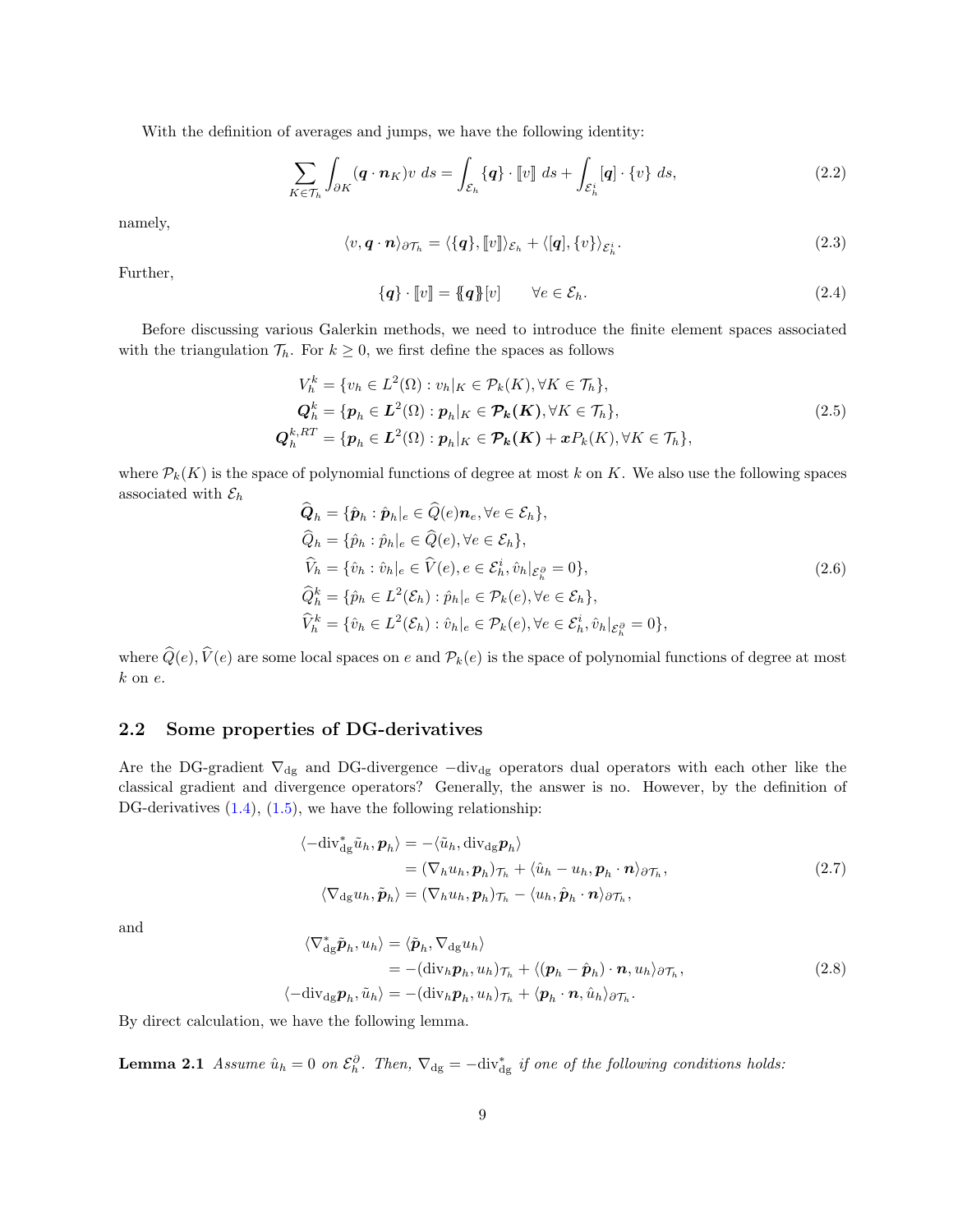With the definition of averages and jumps, we have the following identity:

$$
\sum_{K \in \mathcal{T}_h} \int_{\partial K} (\mathbf{q} \cdot \mathbf{n}_K) v \, ds = \int_{\mathcal{E}_h} {\mathbf{q}} \cdot [v] \, ds + \int_{\mathcal{E}_h^i} [\mathbf{q}] \cdot \{v\} \, ds, \tag{2.2}
$$

<span id="page-8-2"></span>namely,

$$
\langle v, \mathbf{q} \cdot \mathbf{n} \rangle_{\partial \mathcal{T}_h} = \langle \{\mathbf{q}\}, [v] \rangle_{\mathcal{E}_h} + \langle [\mathbf{q}], \{v\} \rangle_{\mathcal{E}_h^i}.
$$
 (2.3)

Further,

<span id="page-8-0"></span>
$$
\{\boldsymbol{q}\}\cdot[\![v]\!]=\{\!\!\{\boldsymbol{q}\}\!\!\}[v]\qquad\forall e\in\mathcal{E}_h.\tag{2.4}
$$

Before discussing various Galerkin methods, we need to introduce the finite element spaces associated with the triangulation  $\mathcal{T}_h$ . For  $k \geq 0$ , we first define the spaces as follows

$$
V_h^k = \{v_h \in L^2(\Omega) : v_h|_K \in \mathcal{P}_k(K), \forall K \in \mathcal{T}_h\},
$$
  
\n
$$
Q_h^k = \{p_h \in L^2(\Omega) : p_h|_K \in \mathcal{P}_k(K), \forall K \in \mathcal{T}_h\},
$$
  
\n
$$
Q_h^{k,RT} = \{p_h \in L^2(\Omega) : p_h|_K \in \mathcal{P}_k(K) + xP_k(K), \forall K \in \mathcal{T}_h\},
$$
\n(2.5)

where  $P_k(K)$  is the space of polynomial functions of degree at most k on K. We also use the following spaces associated with  $\mathcal{E}_h$ 

<span id="page-8-3"></span>
$$
Q_h = \{\hat{p}_h : \hat{p}_h | e \in Q(e)\mathbf{n}_e, \forall e \in \mathcal{E}_h\},\
$$
  
\n
$$
\widehat{Q}_h = \{\hat{p}_h : \hat{p}_h | e \in \widehat{Q}(e), \forall e \in \mathcal{E}_h\},\
$$
  
\n
$$
\widehat{V}_h = \{\hat{v}_h : \hat{v}_h | e \in \widehat{V}(e), e \in \mathcal{E}_h^i, \hat{v}_h | \mathcal{E}_h^s = 0\},\
$$
  
\n
$$
\widehat{Q}_h^k = \{\hat{p}_h \in L^2(\mathcal{E}_h) : \hat{p}_h | e \in \mathcal{P}_k(e), \forall e \in \mathcal{E}_h\},\
$$
  
\n
$$
\widehat{V}_h^k = \{\hat{v}_h \in L^2(\mathcal{E}_h) : \hat{v}_h | e \in \mathcal{P}_k(e), \forall e \in \mathcal{E}_h^i, \hat{v}_h | \mathcal{E}_h^s = 0\},
$$
\n(2.6)

where  $\widehat{Q}(e), \widehat{V}(e)$  are some local spaces on e and  $\mathcal{P}_k(e)$  is the space of polynomial functions of degree at most  $k$  on  $e$ .

### 2.2 Some properties of DG-derivatives

Are the DG-gradient  $\nabla_{dg}$  and DG-divergence  $-div_{dg}$  operators dual operators with each other like the classical gradient and divergence operators? Generally, the answer is no. However, by the definition of DG-derivatives  $(1.4)$ ,  $(1.5)$ , we have the following relationship:

$$
\langle -\mathrm{div}_{\mathrm{dg}}^* \tilde{u}_h, \mathbf{p}_h \rangle = -\langle \tilde{u}_h, \mathrm{div}_{\mathrm{dg}} \mathbf{p}_h \rangle
$$
  
\n
$$
= (\nabla_h u_h, \mathbf{p}_h)_{\mathcal{T}_h} + \langle \hat{u}_h - u_h, \mathbf{p}_h \cdot \mathbf{n} \rangle_{\partial \mathcal{T}_h},
$$
  
\n
$$
\langle \nabla_{\mathrm{dg}} u_h, \tilde{\mathbf{p}}_h \rangle = (\nabla_h u_h, \mathbf{p}_h)_{\mathcal{T}_h} - \langle u_h, \hat{\mathbf{p}}_h \cdot \mathbf{n} \rangle_{\partial \mathcal{T}_h},
$$
\n(2.7)

and

$$
\langle \nabla_{\mathrm{dg}}^* \tilde{\boldsymbol{p}}_h, u_h \rangle = \langle \tilde{\boldsymbol{p}}_h, \nabla_{\mathrm{dg}} u_h \rangle
$$
  
\n
$$
= -(\mathrm{div}_h \boldsymbol{p}_h, u_h)_{\mathcal{T}_h} + \langle (\boldsymbol{p}_h - \hat{\boldsymbol{p}}_h) \cdot \boldsymbol{n}, u_h \rangle_{\partial \mathcal{T}_h},
$$
  
\n
$$
\langle -\mathrm{div}_{\mathrm{dg}} \boldsymbol{p}_h, \tilde{u}_h \rangle = -(\mathrm{div}_h \boldsymbol{p}_h, u_h)_{\mathcal{T}_h} + \langle \boldsymbol{p}_h \cdot \boldsymbol{n}, \hat{u}_h \rangle_{\partial \mathcal{T}_h}.
$$
\n(2.8)

<span id="page-8-1"></span>By direct calculation, we have the following lemma.

**Lemma 2.1** Assume  $\hat{u}_h = 0$  on  $\mathcal{E}_h^{\partial}$ . Then,  $\nabla_{\text{dg}} = -\text{div}_{\text{dg}}^*$  if one of the following conditions holds: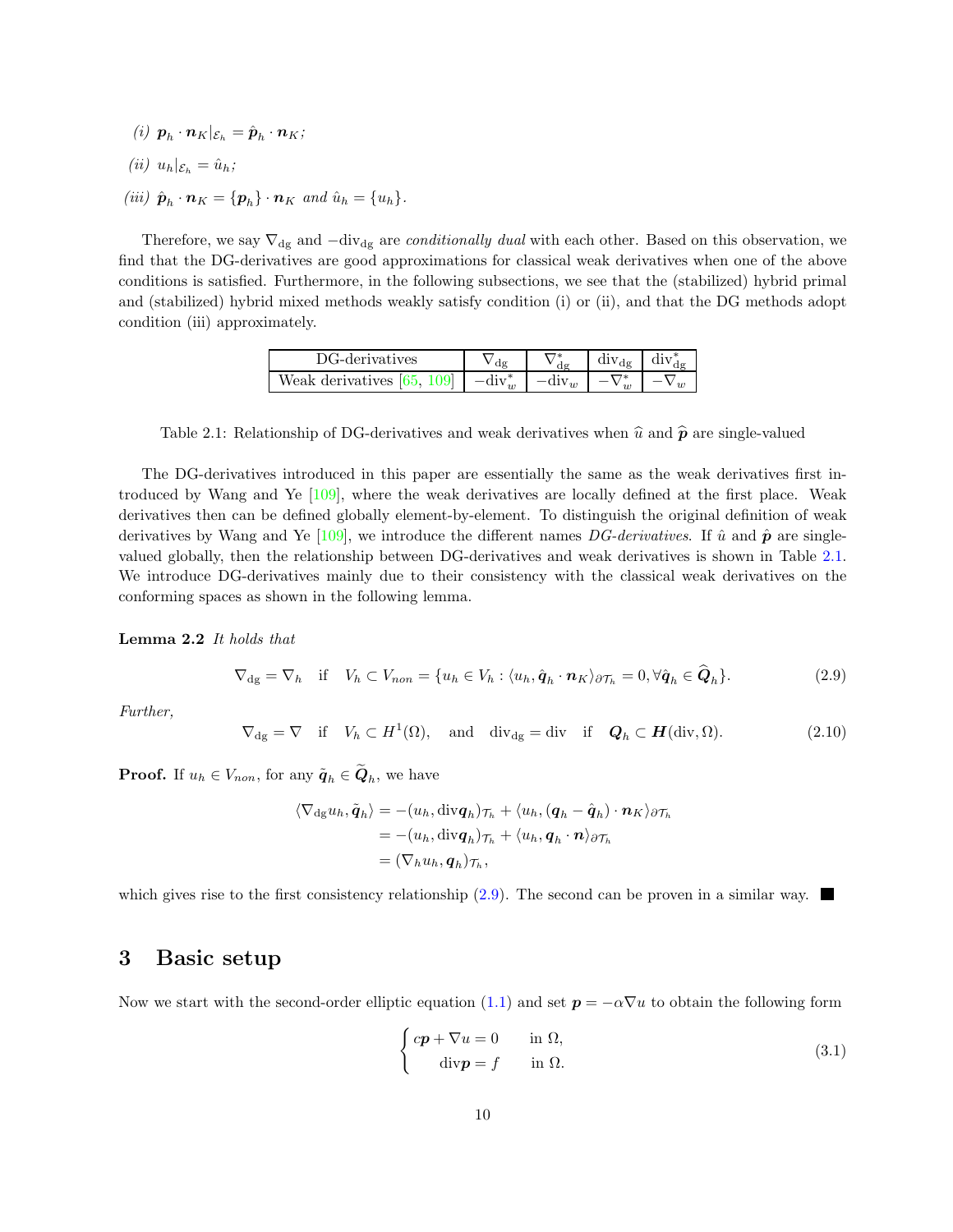- (i)  $\mathbf{p}_h \cdot \mathbf{n}_K | \varepsilon_h = \hat{\mathbf{p}}_h \cdot \mathbf{n}_K;$
- (ii)  $u_h|_{\mathcal{E}_h} = \hat{u}_h;$
- (iii)  $\hat{\boldsymbol{p}}_h \cdot \boldsymbol{n}_K = {\boldsymbol{p}_h} \cdot \boldsymbol{n}_K$  and  $\hat{u}_h = {u_h}$ .

<span id="page-9-0"></span>Therefore, we say  $\nabla_{dg}$  and  $-div_{dg}$  are *conditionally dual* with each other. Based on this observation, we find that the DG-derivatives are good approximations for classical weak derivatives when one of the above conditions is satisfied. Furthermore, in the following subsections, we see that the (stabilized) hybrid primal and (stabilized) hybrid mixed methods weakly satisfy condition (i) or (ii), and that the DG methods adopt condition (iii) approximately.

| DG-derivatives               |                   | $div_{d\sigma}$ | div a |
|------------------------------|-------------------|-----------------|-------|
| Weak derivatives $[65, 109]$ | $-\mathrm{div}_w$ |                 |       |

Table 2.1: Relationship of DG-derivatives and weak derivatives when  $\hat{u}$  and  $\hat{p}$  are single-valued

The DG-derivatives introduced in this paper are essentially the same as the weak derivatives first introduced by Wang and Ye [\[109\]](#page-37-0), where the weak derivatives are locally defined at the first place. Weak derivatives then can be defined globally element-by-element. To distinguish the original definition of weak derivatives by Wang and Ye [\[109\]](#page-37-0), we introduce the different names DG-derivatives. If  $\hat{u}$  and  $\hat{p}$  are singlevalued globally, then the relationship between DG-derivatives and weak derivatives is shown in Table [2.1.](#page-9-0) We introduce DG-derivatives mainly due to their consistency with the classical weak derivatives on the conforming spaces as shown in the following lemma.

<span id="page-9-3"></span>Lemma 2.2 It holds that

<span id="page-9-2"></span>
$$
\nabla_{\mathrm{dg}} = \nabla_h \quad \text{if} \quad V_h \subset V_{non} = \{ u_h \in V_h : \langle u_h, \hat{q}_h \cdot \mathbf{n}_K \rangle_{\partial \mathcal{T}_h} = 0, \forall \hat{q}_h \in \hat{Q}_h \}. \tag{2.9}
$$

Further,

$$
\nabla_{\mathrm{dg}} = \nabla \quad \text{if} \quad V_h \subset H^1(\Omega), \quad \text{and} \quad \mathrm{div}_{\mathrm{dg}} = \mathrm{div} \quad \text{if} \quad \mathbf{Q}_h \subset \mathbf{H}(\mathrm{div}, \Omega). \tag{2.10}
$$

**Proof.** If  $u_h \in V_{non}$ , for any  $\tilde{\boldsymbol{q}}_h \in \boldsymbol{Q}_h$ , we have

$$
\langle \nabla_{\mathrm{dg}} u_h, \tilde{\boldsymbol{q}}_h \rangle = -(u_h, \mathrm{div} \boldsymbol{q}_h)_{\mathcal{T}_h} + \langle u_h, (\boldsymbol{q}_h - \hat{\boldsymbol{q}}_h) \cdot \boldsymbol{n}_K \rangle_{\partial \mathcal{T}_h}
$$
  
= 
$$
-(u_h, \mathrm{div} \boldsymbol{q}_h)_{\mathcal{T}_h} + \langle u_h, \boldsymbol{q}_h \cdot \boldsymbol{n} \rangle_{\partial \mathcal{T}_h}
$$
  
= 
$$
(\nabla_h u_h, \boldsymbol{q}_h)_{\mathcal{T}_h},
$$

<span id="page-9-1"></span>which gives rise to the first consistency relationship  $(2.9)$ . The second can be proven in a similar way.

### 3 Basic setup

Now we start with the second-order elliptic equation [\(1.1\)](#page-0-0) and set  $p = -\alpha \nabla u$  to obtain the following form

$$
\begin{cases}\ncp + \nabla u = 0 & \text{in } \Omega, \\
\text{div} \mathbf{p} = f & \text{in } \Omega.\n\end{cases}
$$
\n(3.1)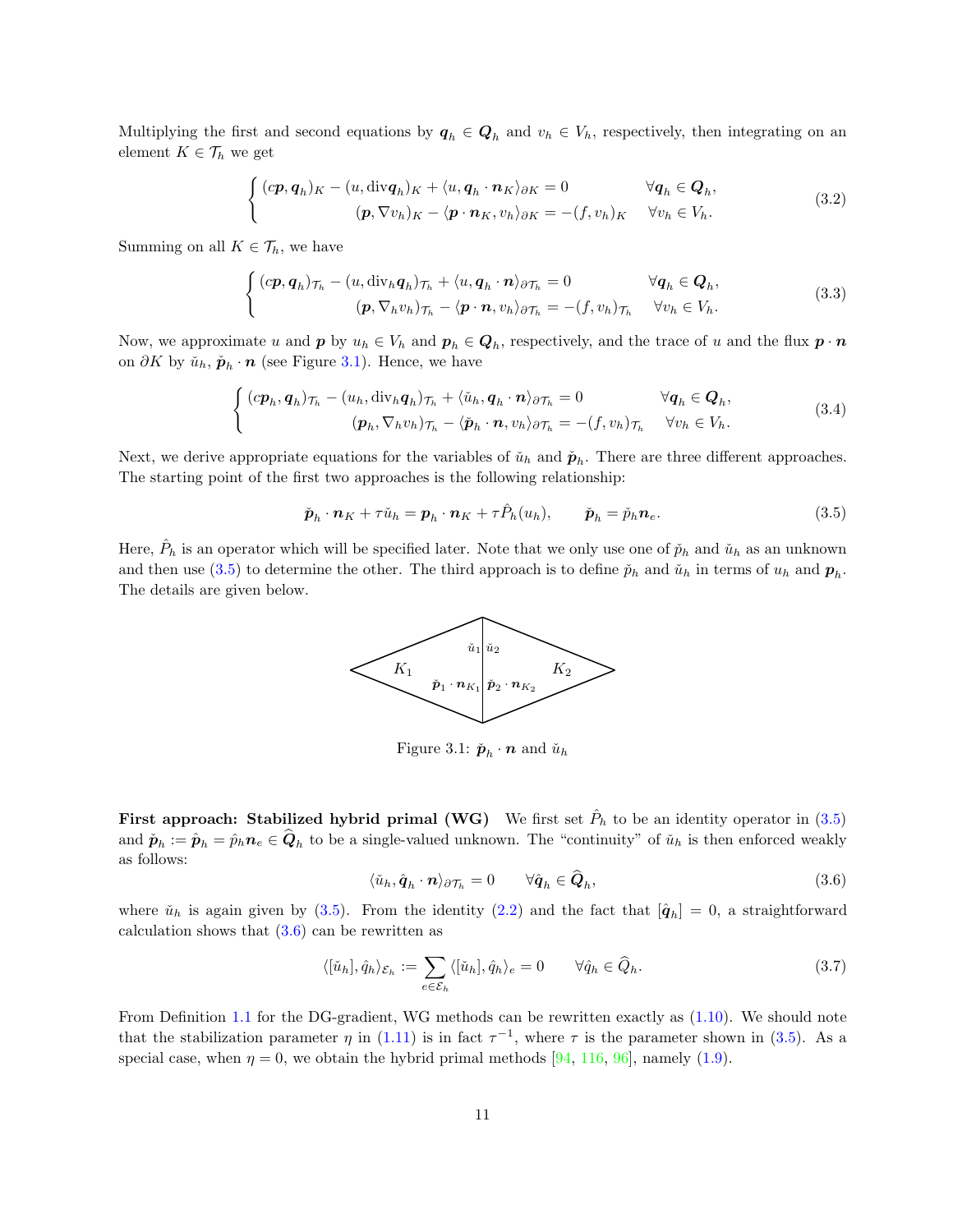Multiplying the first and second equations by  $q_h \in Q_h$  and  $v_h \in V_h$ , respectively, then integrating on an element  $K\in\mathcal{T}_h$  we get

$$
\begin{cases}\n\left(c\mathbf{p},\mathbf{q}_h\right)_K - \left(u,\text{div}\mathbf{q}_h\right)_K + \langle u,\mathbf{q}_h\cdot\mathbf{n}_K\rangle_{\partial K} = 0 & \forall \mathbf{q}_h \in \mathbf{Q}_h, \\
(\mathbf{p},\nabla v_h)_K - \langle \mathbf{p}\cdot\mathbf{n}_K, v_h\rangle_{\partial K} = -(f,v_h)_K & \forall v_h \in V_h.\n\end{cases}
$$
\n(3.2)

Summing on all  $K \in \mathcal{T}_h$ , we have

$$
\begin{cases}\n\left(c\mathbf{p},\mathbf{q}_h\right)_{\mathcal{T}_h} - \left(u,\text{div}_h\mathbf{q}_h\right)_{\mathcal{T}_h} + \langle u,\mathbf{q}_h\cdot\mathbf{n}\rangle_{\partial\mathcal{T}_h} = 0 & \forall \mathbf{q}_h \in \mathbf{Q}_h, \\
\left(\mathbf{p},\nabla_h v_h\right)_{\mathcal{T}_h} - \langle \mathbf{p}\cdot\mathbf{n},v_h\rangle_{\partial\mathcal{T}_h} = -(f,v_h)_{\mathcal{T}_h} & \forall v_h \in V_h.\n\end{cases}
$$
\n(3.3)

Now, we approximate u and  $p$  by  $u_h \in V_h$  and  $p_h \in Q_h$ , respectively, and the trace of u and the flux  $p \cdot n$ on  $\partial K$  by  $\check{u}_h$ ,  $\check{p}_h \cdot n$  (see Figure [3.1\)](#page-10-0). Hence, we have

$$
\begin{cases}\n\left(c\mathbf{p}_h, \mathbf{q}_h\right)_{\mathcal{T}_h} - \left(u_h, \text{div}_h \mathbf{q}_h\right)_{\mathcal{T}_h} + \langle \check{u}_h, \mathbf{q}_h \cdot \mathbf{n} \rangle_{\partial \mathcal{T}_h} = 0 & \forall \mathbf{q}_h \in \mathbf{Q}_h, \\
(\mathbf{p}_h, \nabla_h v_h)_{\mathcal{T}_h} - \langle \check{\mathbf{p}}_h \cdot \mathbf{n}, v_h \rangle_{\partial \mathcal{T}_h} = -(f, v_h)_{\mathcal{T}_h} & \forall v_h \in V_h.\n\end{cases} \tag{3.4}
$$

Next, we derive appropriate equations for the variables of  $\check{u}_h$  and  $\check{p}_h$ . There are three different approaches. The starting point of the first two approaches is the following relationship:

$$
\check{\boldsymbol{p}}_h \cdot \boldsymbol{n}_K + \tau \check{u}_h = \boldsymbol{p}_h \cdot \boldsymbol{n}_K + \tau \hat{P}_h(u_h), \qquad \check{\boldsymbol{p}}_h = \check{p}_h \boldsymbol{n}_e. \tag{3.5}
$$

<span id="page-10-0"></span>Here,  $\hat{P}_h$  is an operator which will be specified later. Note that we only use one of  $\check{p}_h$  and  $\check{u}_h$  as an unknown and then use [\(3.5\)](#page-10-1) to determine the other. The third approach is to define  $\check{p}_h$  and  $\check{u}_h$  in terms of  $u_h$  and  $p_h$ . The details are given below.

<span id="page-10-1"></span>

Figure 3.1:  $\check{\boldsymbol{p}}_h \cdot \boldsymbol{n}$  and  $\check{u}_h$ 

<span id="page-10-2"></span>First approach: Stabilized hybrid primal (WG) We first set  $\hat{P}_h$  to be an identity operator in  $(3.5)$ and  $\check{p}_h := \hat{p}_h = \hat{p}_h n_e \in Q_h$  to be a single-valued unknown. The "continuity" of  $\check{u}_h$  is then enforced weakly as follows:

$$
\langle \check{u}_h, \hat{\boldsymbol{q}}_h \cdot \boldsymbol{n} \rangle_{\partial \mathcal{T}_h} = 0 \qquad \forall \hat{\boldsymbol{q}}_h \in \hat{\boldsymbol{Q}}_h,\tag{3.6}
$$

where  $\check{u}_h$  is again given by [\(3.5\)](#page-10-1). From the identity [\(2.2\)](#page-8-0) and the fact that  $[\hat{q}_h] = 0$ , a straightforward calculation shows that  $(3.6)$  can be rewritten as

$$
\langle [\check{u}_h], \hat{q}_h \rangle_{\mathcal{E}_h} := \sum_{e \in \mathcal{E}_h} \langle [\check{u}_h], \hat{q}_h \rangle_e = 0 \qquad \forall \hat{q}_h \in \widehat{Q}_h. \tag{3.7}
$$

From Definition [1.1](#page-1-1) for the DG-gradient, WG methods can be rewritten exactly as [\(1.10\)](#page-2-2). We should note that the stabilization parameter  $\eta$  in [\(1.11\)](#page-2-3) is in fact  $\tau^{-1}$ , where  $\tau$  is the parameter shown in [\(3.5\)](#page-10-1). As a special case, when  $\eta = 0$ , we obtain the hybrid primal methods [\[94,](#page-36-9) [116,](#page-38-4) [96\]](#page-36-10), namely [\(1.9\)](#page-2-1).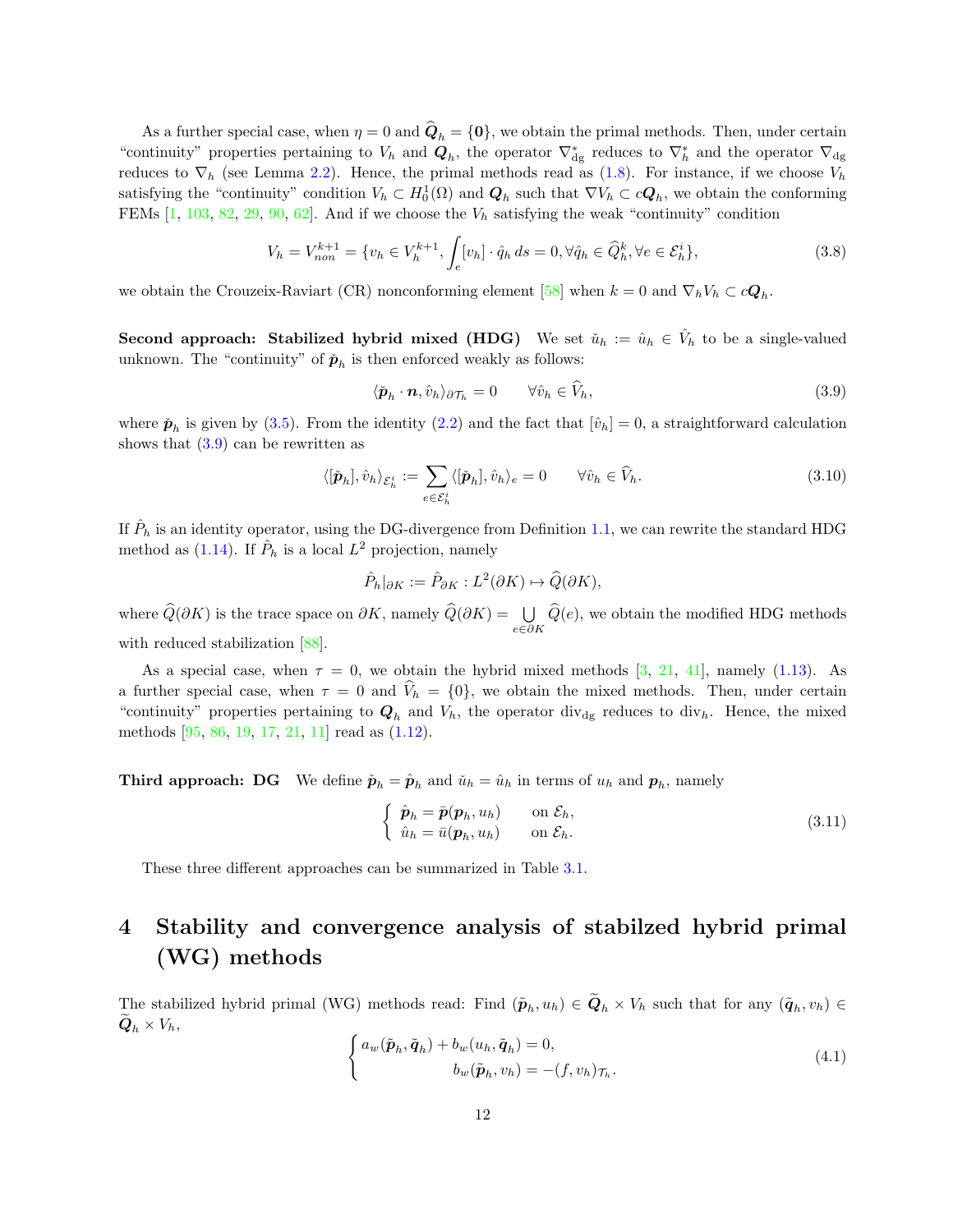As a further special case, when  $\eta = 0$  and  $\mathbf{Q}_h = \{\mathbf{0}\}\text{, we obtain the primal methods. Then, under certain$ "continuity" properties pertaining to  $V_h$  and  $Q_h$ , the operator  $\nabla_{dg}^*$  reduces to  $\nabla_h^*$  and the operator  $\nabla_{dg}$ reduces to  $\nabla_h$  (see Lemma [2.2\)](#page-9-3). Hence, the primal methods read as [\(1.8\)](#page-2-4). For instance, if we choose  $V_h$ satisfying the "continuity" condition  $V_h \subset H_0^1(\Omega)$  and  $Q_h$  such that  $\nabla V_h \subset cQ_h$ , we obtain the conforming FEMs  $[1, 103, 82, 29, 90, 62]$  $[1, 103, 82, 29, 90, 62]$  $[1, 103, 82, 29, 90, 62]$  $[1, 103, 82, 29, 90, 62]$  $[1, 103, 82, 29, 90, 62]$  $[1, 103, 82, 29, 90, 62]$  $[1, 103, 82, 29, 90, 62]$  $[1, 103, 82, 29, 90, 62]$  $[1, 103, 82, 29, 90, 62]$  $[1, 103, 82, 29, 90, 62]$ . And if we choose the  $V_h$  satisfying the weak "continuity" condition

$$
V_h = V_{non}^{k+1} = \{v_h \in V_h^{k+1}, \int_e [v_h] \cdot \hat{q}_h ds = 0, \forall \hat{q}_h \in \hat{Q}_h^k, \forall e \in \mathcal{E}_h^i\},\tag{3.8}
$$

we obtain the Crouzeix-Raviart (CR) nonconforming element [\[58\]](#page-34-2) when  $k = 0$  and  $\nabla_h V_h \subset c\mathbf{Q}_h$ .

Second approach: Stabilized hybrid mixed (HDG) We set  $\check{u}_h := \hat{u}_h \in \hat{V}_h$  to be a single-valued unknown. The "continuity" of  $\check{p}_h$  is then enforced weakly as follows:

<span id="page-11-1"></span>
$$
\langle \check{\boldsymbol{p}}_h \cdot \boldsymbol{n}, \hat{v}_h \rangle_{\partial \mathcal{T}_h} = 0 \qquad \forall \hat{v}_h \in \hat{V}_h,
$$
\n(3.9)

where  $\check{\boldsymbol{p}}_h$  is given by [\(3.5\)](#page-10-1). From the identity [\(2.2\)](#page-8-0) and the fact that  $[\hat{v}_h] = 0$ , a straightforward calculation shows that  $(3.9)$  can be rewritten as

$$
\langle [\check{\boldsymbol{p}}_h], \hat{v}_h \rangle_{\mathcal{E}_h^i} := \sum_{e \in \mathcal{E}_h^i} \langle [\check{\boldsymbol{p}}_h], \hat{v}_h \rangle_e = 0 \qquad \forall \hat{v}_h \in \widehat{V}_h.
$$
\n(3.10)

If  $\hat{P}_h$  is an identity operator, using the DG-divergence from Definition [1.1,](#page-1-1) we can rewrite the standard HDG method as [\(1.14\)](#page-4-1). If  $\hat{P}_h$  is a local  $L^2$  projection, namely

$$
\hat{P}_h|_{\partial K} := \hat{P}_{\partial K} : L^2(\partial K) \mapsto \widehat{Q}(\partial K),
$$

where  $\widehat{Q}(\partial K)$  is the trace space on  $\partial K$ , namely  $\widehat{Q}(\partial K) = \bigcup_{e \in \partial K} \widehat{Q}(e)$ , we obtain the modified HDG methods with reduced stabilization [\[88\]](#page-36-17).

As a special case, when  $\tau = 0$ , we obtain the hybrid mixed methods [\[3,](#page-31-2) [21,](#page-32-5) [41\]](#page-33-1), namely [\(1.13\)](#page-4-2). As a further special case, when  $\tau = 0$  and  $\hat{V}_h = \{0\}$ , we obtain the mixed methods. Then, under certain "continuity" properties pertaining to  $Q_h$  and  $V_h$ , the operator div<sub>dg</sub> reduces to div<sub>h</sub>. Hence, the mixed methods [\[95,](#page-36-4) [86,](#page-36-5) [19,](#page-32-2) [17,](#page-32-3) [21,](#page-32-5) [11\]](#page-31-0) read as [\(1.12\)](#page-2-5).

**Third approach:** DG We define  $\tilde{p}_h = \hat{p}_h$  and  $\tilde{u}_h = \hat{u}_h$  in terms of  $u_h$  and  $p_h$ , namely

$$
\begin{cases}\n\hat{\mathbf{p}}_h = \bar{\mathbf{p}}(\mathbf{p}_h, u_h) & \text{on } \mathcal{E}_h, \\
\hat{u}_h = \bar{u}(\mathbf{p}_h, u_h) & \text{on } \mathcal{E}_h.\n\end{cases}
$$
\n(3.11)

<span id="page-11-0"></span>These three different approaches can be summarized in Table [3.1.](#page-12-0)

## 4 Stability and convergence analysis of stabilzed hybrid primal (WG) methods

<span id="page-11-2"></span>The stabilized hybrid primal (WG) methods read: Find  $(\tilde{\boldsymbol{p}}_h, u_h) \in \boldsymbol{Q}_h \times V_h$  such that for any  $(\tilde{\boldsymbol{q}}_h, v_h) \in$  $\mathbf{Q}_h \times V_h,$ 

$$
\begin{cases}\n a_w(\tilde{\boldsymbol{p}}_h, \tilde{\boldsymbol{q}}_h) + b_w(u_h, \tilde{\boldsymbol{q}}_h) = 0, \\
 b_w(\tilde{\boldsymbol{p}}_h, v_h) = -(f, v_h)_{\mathcal{T}_h}.\n\end{cases}
$$
\n(4.1)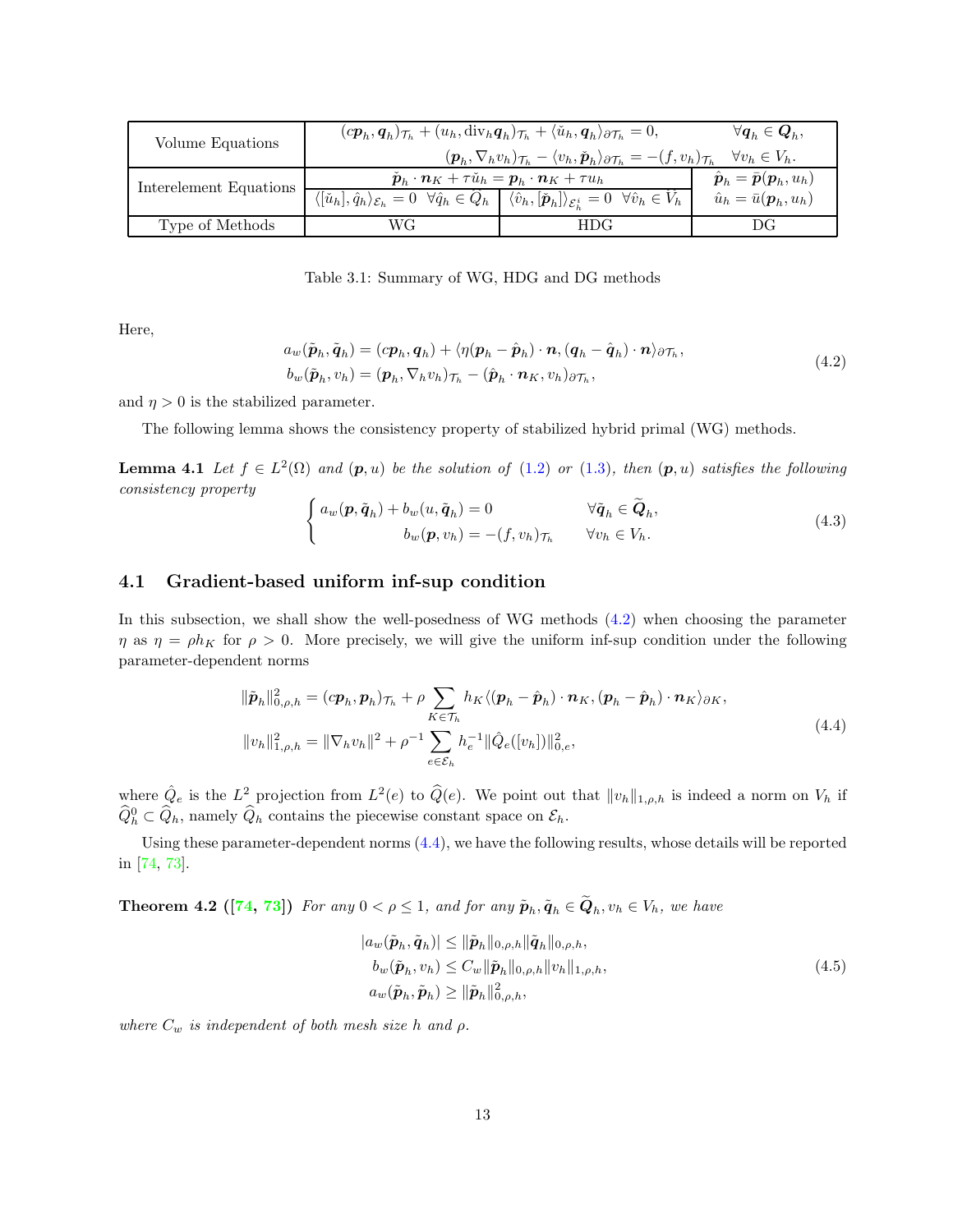<span id="page-12-0"></span>

| Volume Equations       | $(c\mathbf{p}_h, \mathbf{q}_h)_{\mathcal{T}_h} + (u_h, \text{div}_h \mathbf{q}_h)_{\mathcal{T}_h} + \langle \check{u}_h, \mathbf{q}_h \rangle_{\partial \mathcal{T}_h} = 0,$       | $\forall \boldsymbol{q}_h \in \boldsymbol{Q}_h,$                                                                                                                                                                                  |                                              |  |  |  |  |
|------------------------|------------------------------------------------------------------------------------------------------------------------------------------------------------------------------------|-----------------------------------------------------------------------------------------------------------------------------------------------------------------------------------------------------------------------------------|----------------------------------------------|--|--|--|--|
|                        | $(\boldsymbol{p}_h, \nabla_h v_h)_{\mathcal{T}_h} - \langle v_h, \check{\boldsymbol{p}}_h \rangle_{\partial \mathcal{T}_h} = -(f, v_h)_{\mathcal{T}_h}$<br>$\forall v_h \in V_h$ . |                                                                                                                                                                                                                                   |                                              |  |  |  |  |
| Interelement Equations | $\check{\boldsymbol{p}}_h \cdot \boldsymbol{n}_K + \tau \check{u}_h = \boldsymbol{p}_h \cdot \boldsymbol{n}_K + \tau u_h$                                                          | $\hat{\boldsymbol{p}}_h = \bar{\boldsymbol{p}}(\boldsymbol{p}_h, u_h)$                                                                                                                                                            |                                              |  |  |  |  |
|                        |                                                                                                                                                                                    | $\overline{\langle[\check{u}_h],\hat{q}_h\rangle_{\mathcal{E}_h}} = 0 \quad \forall \hat{q}_h \in \widehat{Q}_h \mid \langle \hat{v}_h, [\check{\boldsymbol{p}}_h] \rangle_{\mathcal{E}_h^i} = 0 \quad \forall \hat{v}_h \in V_h$ | $\hat{u}_h = \bar{u}(\boldsymbol{p}_h, u_h)$ |  |  |  |  |
| Type of Methods        | WG                                                                                                                                                                                 | HDG.                                                                                                                                                                                                                              | DG                                           |  |  |  |  |

Table 3.1: Summary of WG, HDG and DG methods

<span id="page-12-1"></span>Here,

$$
a_w(\tilde{\boldsymbol{p}}_h, \tilde{\boldsymbol{q}}_h) = (c\boldsymbol{p}_h, \boldsymbol{q}_h) + \langle \eta(\boldsymbol{p}_h - \hat{\boldsymbol{p}}_h) \cdot \boldsymbol{n}, (\boldsymbol{q}_h - \hat{\boldsymbol{q}}_h) \cdot \boldsymbol{n} \rangle_{\partial \mathcal{T}_h},
$$
  
\n
$$
b_w(\tilde{\boldsymbol{p}}_h, v_h) = (\boldsymbol{p}_h, \nabla_h v_h)_{\mathcal{T}_h} - (\hat{\boldsymbol{p}}_h \cdot \boldsymbol{n}_K, v_h)_{\partial \mathcal{T}_h},
$$
\n(4.2)

and  $\eta > 0$  is the stabilized parameter.

The following lemma shows the consistency property of stabilized hybrid primal (WG) methods.

**Lemma 4.1** Let  $f \in L^2(\Omega)$  and  $(p, u)$  be the solution of  $(1.2)$  or  $(1.3)$ , then  $(p, u)$  satisfies the following consistency property

$$
\begin{cases}\n a_w(\mathbf{p}, \tilde{\mathbf{q}}_h) + b_w(u, \tilde{\mathbf{q}}_h) = 0 & \forall \tilde{\mathbf{q}}_h \in \tilde{\mathbf{Q}}_h, \\
 b_w(\mathbf{p}, v_h) = -(f, v_h)_{\mathcal{T}_h} & \forall v_h \in V_h.\n\end{cases}
$$
\n(4.3)

### 4.1 Gradient-based uniform inf-sup condition

In this subsection, we shall show the well-posedness of WG methods [\(4.2\)](#page-12-1) when choosing the parameter  $\eta$  as  $\eta = \rho h_K$  for  $\rho > 0$ . More precisely, we will give the uniform inf-sup condition under the following parameter-dependent norms

<span id="page-12-2"></span>
$$
\|\tilde{\boldsymbol{p}}_h\|_{0,\rho,h}^2 = (c\boldsymbol{p}_h, \boldsymbol{p}_h)\tau_h + \rho \sum_{K \in \mathcal{T}_h} h_K \langle (\boldsymbol{p}_h - \hat{\boldsymbol{p}}_h) \cdot \boldsymbol{n}_K, (\boldsymbol{p}_h - \hat{\boldsymbol{p}}_h) \cdot \boldsymbol{n}_K \rangle_{\partial K},
$$
  

$$
\|v_h\|_{1,\rho,h}^2 = \|\nabla_h v_h\|^2 + \rho^{-1} \sum_{e \in \mathcal{E}_h} h_e^{-1} \|\hat{Q}_e([v_h])\|_{0,e}^2,
$$
 (4.4)

where  $\hat{Q}_e$  is the  $L^2$  projection from  $L^2(e)$  to  $\hat{Q}(e)$ . We point out that  $||v_h||_{1,\rho,h}$  is indeed a norm on  $V_h$  if  $\widehat{Q}_h^0 \subset \widehat{Q}_h$ , namely  $\widehat{Q}_h$  contains the piecewise constant space on  $\mathcal{E}_h$ .

Using these parameter-dependent norms [\(4.4\)](#page-12-2), we have the following results, whose details will be reported in [\[74,](#page-35-12) [73\]](#page-35-13).

**Theorem 4.2** ([\[74,](#page-35-12) [73\]](#page-35-13)) For any  $0 < \rho \le 1$ , and for any  $\tilde{\boldsymbol{p}}_h, \tilde{\boldsymbol{q}}_h \in \boldsymbol{Q}_h, v_h \in V_h$ , we have

$$
|a_w(\tilde{\boldsymbol{p}}_h, \tilde{\boldsymbol{q}}_h)| \leq \|\tilde{\boldsymbol{p}}_h\|_{0,\rho,h} \|\tilde{\boldsymbol{q}}_h\|_{0,\rho,h},
$$
  
\n
$$
b_w(\tilde{\boldsymbol{p}}_h, v_h) \leq C_w \|\tilde{\boldsymbol{p}}_h\|_{0,\rho,h} \|v_h\|_{1,\rho,h},
$$
  
\n
$$
a_w(\tilde{\boldsymbol{p}}_h, \tilde{\boldsymbol{p}}_h) \geq \|\tilde{\boldsymbol{p}}_h\|_{0,\rho,h}^2,
$$
\n(4.5)

<span id="page-12-3"></span>where  $C_w$  is independent of both mesh size h and  $\rho$ .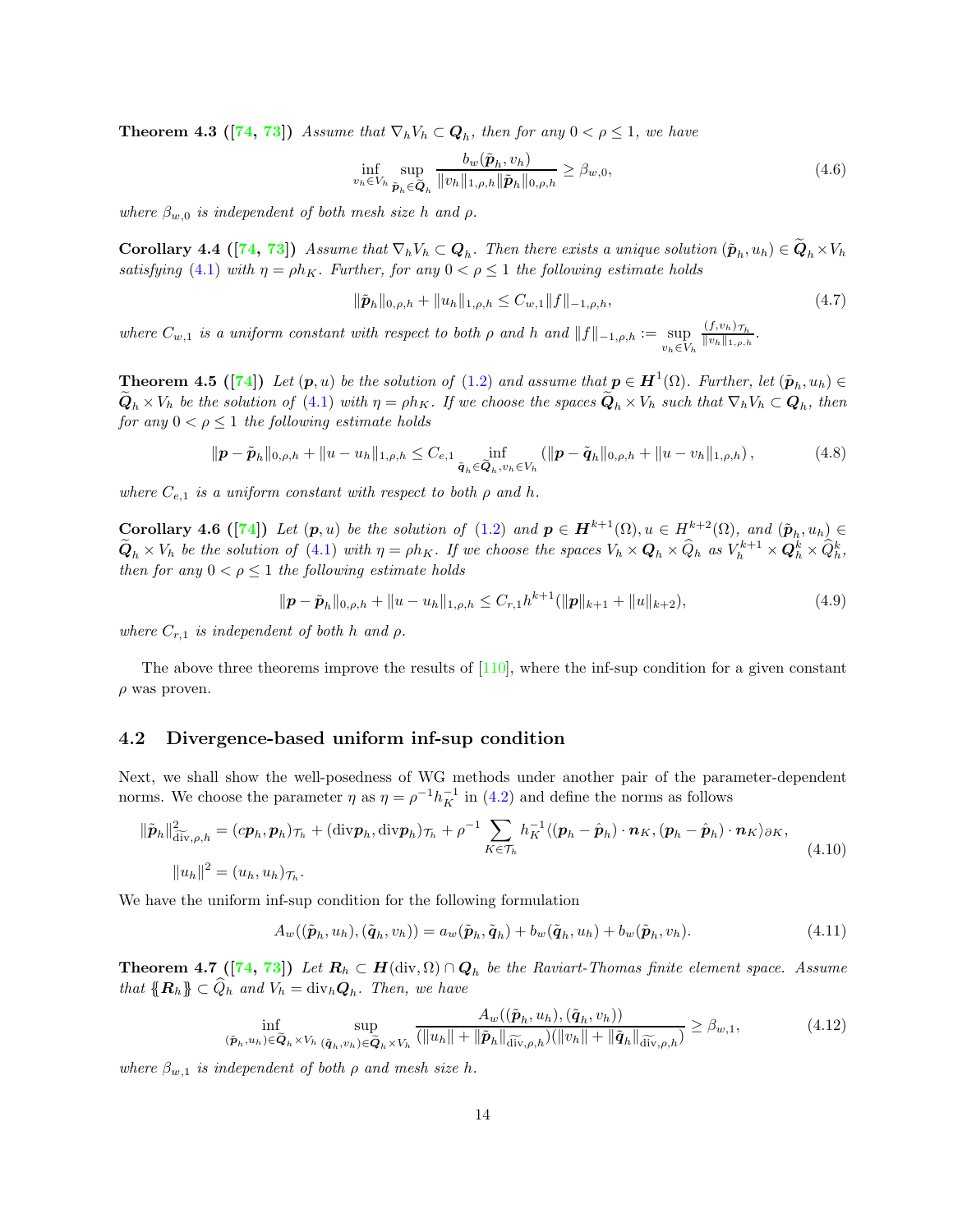**Theorem 4.3** ([\[74,](#page-35-12) [73\]](#page-35-13)) Assume that  $\nabla_h V_h \subset \mathbf{Q}_h$ , then for any  $0 < \rho \leq 1$ , we have

$$
\inf_{v_h \in V_h} \sup_{\tilde{\boldsymbol{p}}_h \in \tilde{\boldsymbol{Q}}_h} \frac{b_w(\tilde{\boldsymbol{p}}_h, v_h)}{\|v_h\|_{1,\rho,h} \|\tilde{\boldsymbol{p}}_h\|_{0,\rho,h}} \ge \beta_{w,0},\tag{4.6}
$$

where  $\beta_{w,0}$  is independent of both mesh size h and  $\rho$ .

**Corollary 4.4** ([\[74,](#page-35-12) [73\]](#page-35-13)) Assume that  $\nabla_h V_h \subset \mathbf{Q}_h$ . Then there exists a unique solution  $(\tilde{\mathbf{p}}_h, u_h) \in \mathbf{Q}_h \times V_h$ satisfying [\(4.1\)](#page-11-2) with  $\eta = \rho h_K$ . Further, for any  $0 < \rho \le 1$  the following estimate holds

$$
\|\tilde{\boldsymbol{p}}_h\|_{0,\rho,h} + \|u_h\|_{1,\rho,h} \le C_{w,1} \|f\|_{-1,\rho,h},\tag{4.7}
$$

where  $C_{w,1}$  is a uniform constant with respect to both  $\rho$  and h and  $||f||_{-1,\rho,h} := \sup_{v_h \in V_h}$  $\frac{(f, v_h)_{\mathcal{T}_h}}{\|v_h\|_{1, \rho, h}}$ .

**Theorem 4.5** ([\[74\]](#page-35-12)) Let  $(p, u)$  be the solution of [\(1.2\)](#page-0-1) and assume that  $p \in H^1(\Omega)$ . Further, let  $(\tilde{p}_h, u_h) \in$  $\bm{Q}_h\times V_h$  be the solution of [\(4.1\)](#page-11-2) with  $\eta=\rho h_K$ . If we choose the spaces  $\bm{Q}_h\times V_h$  such that  $\nabla_h V_h\subset \bm{Q}_h$ , then for any  $0 < \rho \leq 1$  the following estimate holds

$$
\|\boldsymbol{p} - \tilde{\boldsymbol{p}}_h\|_{0,\rho,h} + \|u - u_h\|_{1,\rho,h} \leq C_{e,1} \inf_{\tilde{\boldsymbol{q}}_h \in \tilde{\boldsymbol{Q}}_h, v_h \in V_h} (\|\boldsymbol{p} - \tilde{\boldsymbol{q}}_h\|_{0,\rho,h} + \|u - v_h\|_{1,\rho,h}), \tag{4.8}
$$

where  $C_{e,1}$  is a uniform constant with respect to both  $\rho$  and h.

**Corollary 4.6** ([\[74\]](#page-35-12)) Let  $(p, u)$  be the solution of [\(1.2\)](#page-0-1) and  $p \in H^{k+1}(\Omega)$ ,  $u \in H^{k+2}(\Omega)$ , and  $(\tilde{p}_h, u_h) \in$  $\widetilde{\mathbf{Q}}_h \times V_h$  be the solution of [\(4.1\)](#page-11-2) with  $\eta = \rho h_K$ . If we choose the spaces  $V_h \times \mathbf{Q}_h \times \widehat{Q}_h$  as  $V_h^{k+1} \times \mathbf{Q}_h^k \times \widehat{Q}_h^k$ , then for any  $0 < \rho \leq 1$  the following estimate holds

$$
\|\boldsymbol{p} - \tilde{\boldsymbol{p}}_h\|_{0,\rho,h} + \|u - u_h\|_{1,\rho,h} \leq C_{r,1}h^{k+1}(\|\boldsymbol{p}\|_{k+1} + \|u\|_{k+2}),\tag{4.9}
$$

where  $C_{r,1}$  is independent of both h and  $\rho$ .

The above three theorems improve the results of  $[110]$ , where the inf-sup condition for a given constant  $\rho$  was proven.

### 4.2 Divergence-based uniform inf-sup condition

Next, we shall show the well-posedness of WG methods under another pair of the parameter-dependent norms. We choose the parameter  $\eta$  as  $\eta = \rho^{-1} h_K^{-1}$  in [\(4.2\)](#page-12-1) and define the norms as follows

$$
\|\tilde{\boldsymbol{p}}_h\|_{\tilde{\text{div}},\rho,h}^2 = (c\boldsymbol{p}_h, \boldsymbol{p}_h)\tau_h + (\text{div}\boldsymbol{p}_h, \text{div}\boldsymbol{p}_h)\tau_h + \rho^{-1} \sum_{K \in \mathcal{T}_h} h_K^{-1} \langle (\boldsymbol{p}_h - \hat{\boldsymbol{p}}_h) \cdot \boldsymbol{n}_K, (\boldsymbol{p}_h - \hat{\boldsymbol{p}}_h) \cdot \boldsymbol{n}_K \rangle_{\partial K},
$$
\n
$$
\|u_h\|^2 = (u_h, u_h)\tau_h.
$$
\n(4.10)

We have the uniform inf-sup condition for the following formulation

<span id="page-13-1"></span>
$$
A_w((\tilde{\boldsymbol{p}}_h, u_h), (\tilde{\boldsymbol{q}}_h, v_h)) = a_w(\tilde{\boldsymbol{p}}_h, \tilde{\boldsymbol{q}}_h) + b_w(\tilde{\boldsymbol{q}}_h, u_h) + b_w(\tilde{\boldsymbol{p}}_h, v_h). \tag{4.11}
$$

<span id="page-13-0"></span>**Theorem 4.7** ([\[74,](#page-35-12) [73\]](#page-35-13)) Let  $R_h \subset H(\text{div}, \Omega) \cap Q_h$  be the Raviart-Thomas finite element space. Assume that  $\{R_h\} \subset Q_h$  and  $V_h = \text{div}_h \mathbf{Q}_h$ . Then, we have

$$
\inf_{(\tilde{\boldsymbol{p}}_h, u_h) \in \tilde{\boldsymbol{Q}}_h \times V_h} \sup_{(\tilde{\boldsymbol{q}}_h, v_h) \in \tilde{\boldsymbol{Q}}_h \times V_h} \frac{A_w((\tilde{\boldsymbol{p}}_h, u_h), (\tilde{\boldsymbol{q}}_h, v_h))}{(\|u_h\| + \|\tilde{\boldsymbol{p}}_h\|_{\widetilde{\text{div}}, \rho, h}) (\|v_h\| + \|\tilde{\boldsymbol{q}}_h\|_{\widetilde{\text{div}}, \rho, h})} \ge \beta_{w,1},
$$
\n(4.12)

<span id="page-13-2"></span>where  $\beta_{w,1}$  is independent of both  $\rho$  and mesh size h.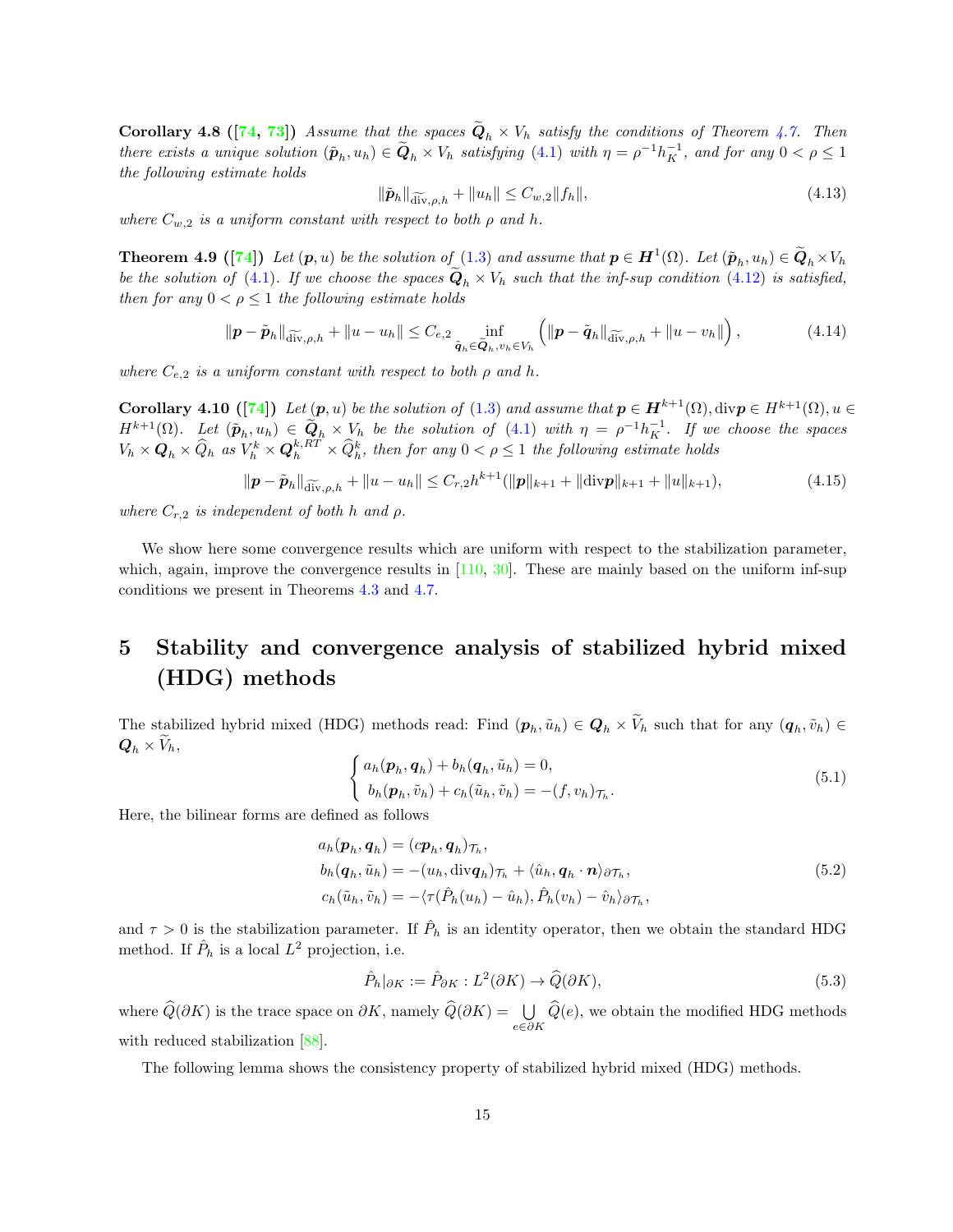**Corollary 4.8** ([\[74,](#page-35-12) [73\]](#page-35-13)) Assume that the spaces  $Q_h \times V_h$  satisfy the conditions of Theorem [4.7.](#page-13-0) Then there exists a unique solution  $(\tilde{p}_h, u_h) \in \tilde{Q}_h \times V_h$  satisfying  $(4.1)$  with  $\eta = \rho^{-1} h_K^{-1}$ , and for any  $0 < \rho \le 1$ the following estimate holds

$$
\|\tilde{\boldsymbol{p}}_h\|_{\widetilde{\text{div}},\rho,h} + \|u_h\| \le C_{w,2} \|f_h\|,\tag{4.13}
$$

where  $C_{w,2}$  is a uniform constant with respect to both  $\rho$  and h.

**Theorem 4.9** ([\[74\]](#page-35-12)) Let  $(p, u)$  be the solution of  $(1.3)$  and assume that  $p \in H^1(\Omega)$ . Let  $(\tilde{p}_h, u_h) \in \tilde{Q}_h \times V_h$ be the solution of [\(4.1\)](#page-11-2). If we choose the spaces  $Q_h \times V_h$  such that the inf-sup condition [\(4.12\)](#page-13-1) is satisfied, then for any  $0 < \rho \leq 1$  the following estimate holds

$$
\|\boldsymbol{p} - \tilde{\boldsymbol{p}}_h\|_{\widetilde{\text{div}},\rho,h} + \|u - u_h\| \leq C_{e,2} \inf_{\tilde{\boldsymbol{q}}_h \in \widetilde{\boldsymbol{Q}}_h, v_h \in V_h} \left( \|\boldsymbol{p} - \tilde{\boldsymbol{q}}_h\|_{\widetilde{\text{div}},\rho,h} + \|u - v_h\|\right),\tag{4.14}
$$

where  $C_{e,2}$  is a uniform constant with respect to both  $\rho$  and  $h$ .

Corollary 4.10 ([\[74\]](#page-35-12)) Let  $(p, u)$  be the solution of [\(1.3\)](#page-1-2) and assume that  $p \in H^{k+1}(\Omega)$ , div $p \in H^{k+1}(\Omega)$ ,  $u \in$  $H^{k+1}(\Omega)$ . Let  $(\tilde{\boldsymbol{p}}_h, u_h) \in \tilde{\boldsymbol{Q}}_h \times V_h$  be the solution of  $(4.1)$  with  $\eta = \rho^{-1} h_K^{-1}$ . If we choose the spaces  $V_h \times \mathbf{Q}_h \times \widehat{Q}_h$  as  $V_h^k \times \mathbf{Q}_h^{k,RT} \times \widehat{Q}_h^k$ , then for any  $0 < \rho \leq 1$  the following estimate holds

$$
\|\boldsymbol{p} - \tilde{\boldsymbol{p}}_h\|_{\widetilde{\text{div}},\rho,h} + \|u - u_h\| \le C_{r,2} h^{k+1} (\|\boldsymbol{p}\|_{k+1} + \|\text{div}\boldsymbol{p}\|_{k+1} + \|u\|_{k+1}),\tag{4.15}
$$

where  $C_{r,2}$  is independent of both h and  $\rho$ .

We show here some convergence results which are uniform with respect to the stabilization parameter, which, again, improve the convergence results in [\[110,](#page-37-10) [30\]](#page-33-14). These are mainly based on the uniform inf-sup conditions we present in Theorems [4.3](#page-12-3) and [4.7.](#page-13-0)

## <span id="page-14-0"></span>5 Stability and convergence analysis of stabilized hybrid mixed (HDG) methods

<span id="page-14-2"></span>The stabilized hybrid mixed (HDG) methods read: Find  $(p_h, \tilde{u}_h) \in Q_h \times V_h$  such that for any  $(q_h, \tilde{v}_h) \in$  $\mathbf{Q}_h \times V_h$ 

<span id="page-14-1"></span>
$$
\begin{cases}\n a_h(\boldsymbol{p}_h, \boldsymbol{q}_h) + b_h(\boldsymbol{q}_h, \tilde{u}_h) = 0, \\
 b_h(\boldsymbol{p}_h, \tilde{v}_h) + c_h(\tilde{u}_h, \tilde{v}_h) = -(f, v_h)\tau_h.\n\end{cases}
$$
\n(5.1)

Here, the bilinear forms are defined as follows

$$
a_h(\mathbf{p}_h, \mathbf{q}_h) = (c\mathbf{p}_h, \mathbf{q}_h) \tau_h,
$$
  
\n
$$
b_h(\mathbf{q}_h, \tilde{u}_h) = -(u_h, \text{div}\mathbf{q}_h) \tau_h + \langle \hat{u}_h, \mathbf{q}_h \cdot \mathbf{n} \rangle_{\partial \mathcal{T}_h},
$$
  
\n
$$
c_h(\tilde{u}_h, \tilde{v}_h) = -\langle \tau(\hat{P}_h(u_h) - \hat{u}_h), \hat{P}_h(v_h) - \hat{v}_h \rangle_{\partial \mathcal{T}_h},
$$
\n(5.2)

and  $\tau > 0$  is the stabilization parameter. If  $\hat{P}_h$  is an identity operator, then we obtain the standard HDG method. If  $\hat{P}_h$  is a local  $L^2$  projection, i.e.

<span id="page-14-3"></span>
$$
\hat{P}_h|_{\partial K} := \hat{P}_{\partial K} : L^2(\partial K) \to \hat{Q}(\partial K), \tag{5.3}
$$

where  $\widehat{Q}(\partial K)$  is the trace space on  $\partial K$ , namely  $\widehat{Q}(\partial K) = \bigcup_{e \in \partial K} \widehat{Q}(e)$ , we obtain the modified HDG methods with reduced stabilization [\[88\]](#page-36-17).

The following lemma shows the consistency property of stabilized hybrid mixed (HDG) methods.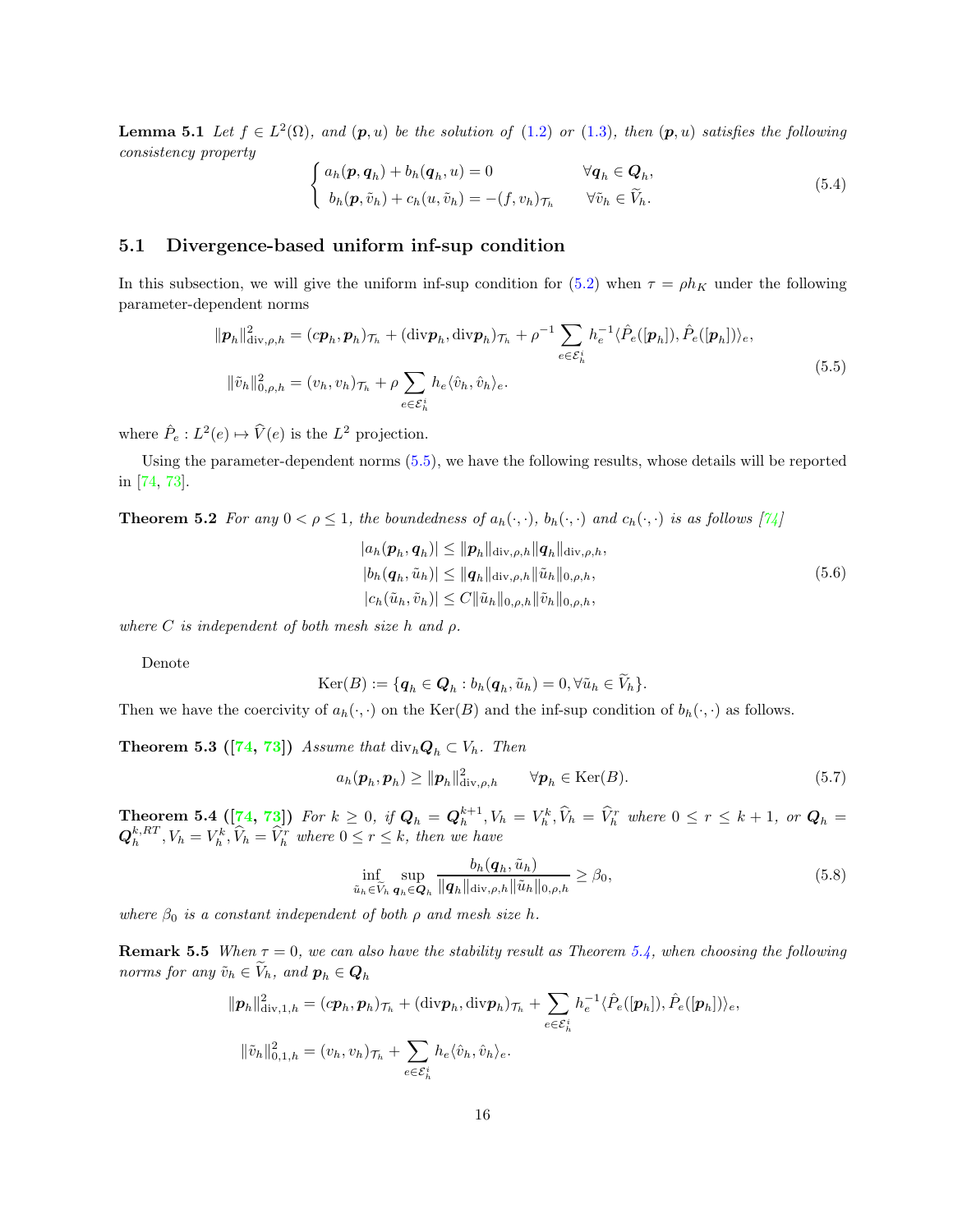**Lemma 5.1** Let  $f \in L^2(\Omega)$ , and  $(p, u)$  be the solution of  $(1.2)$  or  $(1.3)$ , then  $(p, u)$  satisfies the following consistency property

$$
\begin{cases}\n a_h(\mathbf{p}, \mathbf{q}_h) + b_h(\mathbf{q}_h, u) = 0 & \forall \mathbf{q}_h \in \mathbf{Q}_h, \\
 b_h(\mathbf{p}, \tilde{v}_h) + c_h(u, \tilde{v}_h) = -(f, v_h)_{\mathcal{T}_h} & \forall \tilde{v}_h \in \widetilde{V}_h.\n\end{cases}
$$
\n(5.4)

### 5.1 Divergence-based uniform inf-sup condition

In this subsection, we will give the uniform inf-sup condition for [\(5.2\)](#page-14-1) when  $\tau = \rho h_K$  under the following parameter-dependent norms

<span id="page-15-0"></span>
$$
\|\boldsymbol{p}_h\|_{\text{div},\rho,h}^2 = (c\boldsymbol{p}_h, \boldsymbol{p}_h)\tau_h + (\text{div}\boldsymbol{p}_h, \text{div}\boldsymbol{p}_h)\tau_h + \rho^{-1} \sum_{e \in \mathcal{E}_h^i} h_e^{-1} \langle \hat{P}_e([\boldsymbol{p}_h]), \hat{P}_e([\boldsymbol{p}_h]) \rangle_e,
$$
  

$$
\|\tilde{v}_h\|_{0,\rho,h}^2 = (v_h, v_h)\tau_h + \rho \sum_{e \in \mathcal{E}_h^i} h_e \langle \hat{v}_h, \hat{v}_h \rangle_e.
$$
 (5.5)

where  $\hat{P}_e: L^2(e) \mapsto \hat{V}(e)$  is the  $L^2$  projection.

Using the parameter-dependent norms [\(5.5\)](#page-15-0), we have the following results, whose details will be reported in [\[74,](#page-35-12) [73\]](#page-35-13).

**Theorem 5.2** For any  $0 < \rho \leq 1$ , the boundedness of  $a_h(\cdot, \cdot)$ ,  $b_h(\cdot, \cdot)$  and  $c_h(\cdot, \cdot)$  is as follows  $\lceil \frac{\gamma}{4} \rceil$ 

$$
|a_h(\boldsymbol{p}_h, \boldsymbol{q}_h)| \le ||\boldsymbol{p}_h||_{\text{div},\rho,h} ||\boldsymbol{q}_h||_{\text{div},\rho,h},
$$
  
\n
$$
|b_h(\boldsymbol{q}_h, \tilde{u}_h)| \le ||\boldsymbol{q}_h||_{\text{div},\rho,h} ||\tilde{u}_h||_{0,\rho,h},
$$
  
\n
$$
|c_h(\tilde{u}_h, \tilde{v}_h)| \le C ||\tilde{u}_h||_{0,\rho,h} ||\tilde{v}_h||_{0,\rho,h},
$$
\n(5.6)

where C is independent of both mesh size h and  $\rho$ .

Denote

$$
\mathrm{Ker}(B) := \{ \boldsymbol{q}_h \in \boldsymbol{Q}_h : b_h(\boldsymbol{q}_h, \tilde{u}_h) = 0, \forall \tilde{u}_h \in V_h \}.
$$

Then we have the coercivity of  $a_h(\cdot, \cdot)$  on the  $\text{Ker}(B)$  and the inf-sup condition of  $b_h(\cdot, \cdot)$  as follows.

**Theorem 5.3 ([\[74,](#page-35-12) [73\]](#page-35-13))** Assume that  $\text{div}_h \mathbf{Q}_h \subset V_h$ . Then

$$
a_h(\boldsymbol{p}_h, \boldsymbol{p}_h) \ge ||\boldsymbol{p}_h||_{\text{div}, \rho, h}^2 \qquad \forall \boldsymbol{p}_h \in \text{Ker}(B). \tag{5.7}
$$

<span id="page-15-1"></span>**Theorem 5.4** ([\[74,](#page-35-12) [73\]](#page-35-13)) For  $k \geq 0$ , if  $Q_h = Q_h^{k+1}$ ,  $V_h = V_h^k$ ,  $V_h = V_h^r$  where  $0 \leq r \leq k+1$ , or  $Q_h =$  $\mathbf{Q}_h^{k,RT}, V_h = V_h^k, \hat{V}_h = \hat{V}_h^r$  where  $0 \le r \le k$ , then we have

$$
\inf_{\tilde{u}_h \in \tilde{V}_h} \sup_{\boldsymbol{q}_h \in \boldsymbol{Q}_h} \frac{b_h(\boldsymbol{q}_h, \tilde{u}_h)}{\|\boldsymbol{q}_h\|_{\text{div},\rho,h} \|\tilde{u}_h\|_{0,\rho,h}} \ge \beta_0,
$$
\n(5.8)

where  $\beta_0$  is a constant independent of both  $\rho$  and mesh size h.

**Remark 5.5** When  $\tau = 0$ , we can also have the stability result as Theorem [5.4,](#page-15-1) when choosing the following norms for any  $\tilde{v}_h \in \tilde{V}_h$ , and  $p_h \in \mathbf{Q}_h$ 

$$
\|\boldsymbol{p}_h\|_{\text{div},1,h}^2 = (c\boldsymbol{p}_h, \boldsymbol{p}_h)\tau_h + (\text{div}\boldsymbol{p}_h, \text{div}\boldsymbol{p}_h)\tau_h + \sum_{e \in \mathcal{E}_h^i} h_e^{-1} \langle \hat{P}_e([\boldsymbol{p}_h]), \hat{P}_e([\boldsymbol{p}_h]) \rangle_e,
$$
  

$$
\|\tilde{v}_h\|_{0,1,h}^2 = (v_h, v_h)\tau_h + \sum_{e \in \mathcal{E}_h^i} h_e \langle \hat{v}_h, \hat{v}_h \rangle_e.
$$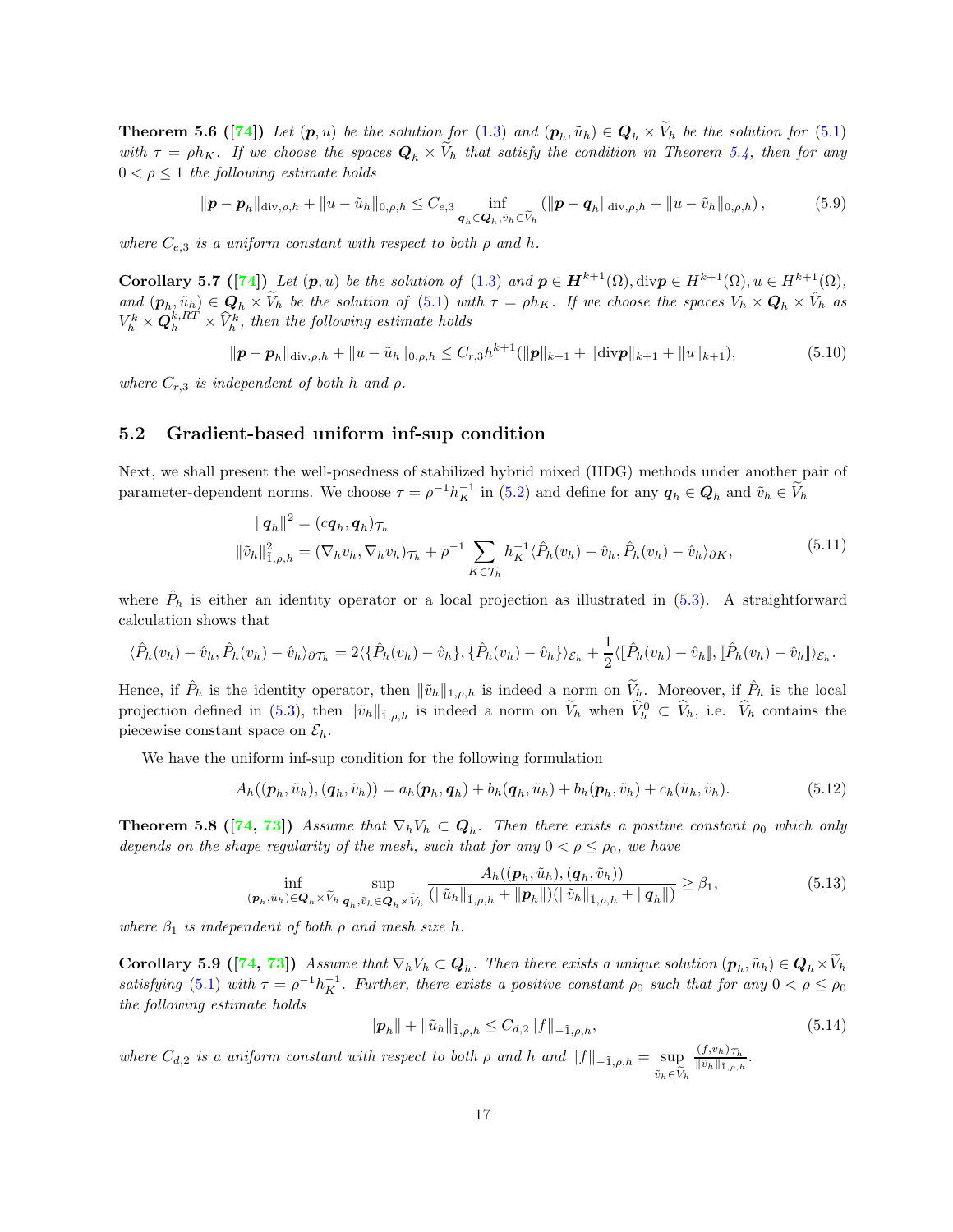**Theorem 5.6** ([\[74\]](#page-35-12)) Let  $(p, u)$  be the solution for  $(1.3)$  and  $(p_h, \tilde{u}_h) \in Q_h \times V_h$  be the solution for  $(5.1)$ with  $\tau = \rho h_K$ . If we choose the spaces  $\mathbf{Q}_h \times V_h$  that satisfy the condition in Theorem [5.4,](#page-15-1) then for any  $0 < \rho \leq 1$  the following estimate holds

$$
\|\bm{p}-\bm{p}_h\|_{\text{div},\rho,h} + \|u-\tilde{u}_h\|_{0,\rho,h} \leq C_{e,3} \inf_{\bm{q}_h \in \bm{Q}_h,\tilde{v}_h \in \tilde{V}_h} (\|\bm{p}-\bm{q}_h\|_{\text{div},\rho,h} + \|u-\tilde{v}_h\|_{0,\rho,h}),
$$
(5.9)

where  $C_{e,3}$  is a uniform constant with respect to both  $\rho$  and h.

Corollary 5.7 ([\[74\]](#page-35-12)) Let  $(p, u)$  be the solution of [\(1.3\)](#page-1-2) and  $p \in H^{k+1}(\Omega)$ , div $p \in H^{k+1}(\Omega)$ ,  $u \in H^{k+1}(\Omega)$ , and  $(\mathbf{p}_h, \tilde{u}_h) \in \mathbf{Q}_h \times \tilde{V}_h$  be the solution of [\(5.1\)](#page-14-2) with  $\tau = \rho h_K$ . If we choose the spaces  $V_h \times \mathbf{Q}_h \times \hat{V}_h$  as  $V^k_h \times \boldsymbol{Q}^{k,RT}_h \times \widehat{V}^k_h$ , then the following estimate holds

$$
\|\boldsymbol{p} - \boldsymbol{p}_h\|_{\text{div},\rho,h} + \|u - \tilde{u}_h\|_{0,\rho,h} \leq C_{r,3}h^{k+1}(\|\boldsymbol{p}\|_{k+1} + \|\text{div}\boldsymbol{p}\|_{k+1} + \|u\|_{k+1}),\tag{5.10}
$$

where  $C_{r,3}$  is independent of both h and  $\rho$ .

### 5.2 Gradient-based uniform inf-sup condition

Next, we shall present the well-posedness of stabilized hybrid mixed (HDG) methods under another pair of parameter-dependent norms. We choose  $\tau = \rho^{-1} h_K^{-1}$  in [\(5.2\)](#page-14-1) and define for any  $q_h \in Q_h$  and  $\tilde{v}_h \in \tilde{V}_h$ 

<span id="page-16-0"></span>
$$
\|\boldsymbol{q}_h\|^2 = (c\boldsymbol{q}_h, \boldsymbol{q}_h)_{\mathcal{T}_h}
$$
  

$$
\|\tilde{v}_h\|_{1,\rho,h}^2 = (\nabla_h v_h, \nabla_h v_h)_{\mathcal{T}_h} + \rho^{-1} \sum_{K \in \mathcal{T}_h} h_K^{-1} \langle \hat{P}_h(v_h) - \hat{v}_h, \hat{P}_h(v_h) - \hat{v}_h \rangle_{\partial K},
$$
\n(5.11)

where  $\hat{P}_h$  is either an identity operator or a local projection as illustrated in [\(5.3\)](#page-14-3). A straightforward calculation shows that

$$
\langle \hat{P}_h(v_h) - \hat{v}_h, \hat{P}_h(v_h) - \hat{v}_h \rangle_{\partial \mathcal{T}_h} = 2 \langle \{ \hat{P}_h(v_h) - \hat{v}_h \}, \{ \hat{P}_h(v_h) - \hat{v}_h \} \rangle_{\mathcal{E}_h} + \frac{1}{2} \langle [\hat{P}_h(v_h) - \hat{v}_h] \rangle_{\mathbb{R}} [\hat{P}_h(v_h) - \hat{v}_h] \rangle_{\mathcal{E}_h}.
$$

Hence, if  $\hat{P}_h$  is the identity operator, then  $\|\tilde{v}_h\|_{1,\rho,h}$  is indeed a norm on  $\tilde{V}_h$ . Moreover, if  $\hat{P}_h$  is the local projection defined in [\(5.3\)](#page-14-3), then  $\|\tilde{v}_h\|_{\tilde{1},\rho,h}$  is indeed a norm on  $V_h$  when  $\tilde{V}_h^0 \subset \tilde{V}_h$ , i.e.  $\tilde{V}_h$  contains the piecewise constant space on  $\mathcal{E}_h$ .

We have the uniform inf-sup condition for the following formulation

$$
A_h((\boldsymbol{p}_h, \tilde{u}_h), (\boldsymbol{q}_h, \tilde{v}_h)) = a_h(\boldsymbol{p}_h, \boldsymbol{q}_h) + b_h(\boldsymbol{q}_h, \tilde{u}_h) + b_h(\boldsymbol{p}_h, \tilde{v}_h) + c_h(\tilde{u}_h, \tilde{v}_h).
$$
(5.12)

**Theorem 5.8** ([\[74,](#page-35-12) [73\]](#page-35-13)) Assume that  $\nabla_h V_h \subset Q_h$ . Then there exists a positive constant  $\rho_0$  which only depends on the shape regularity of the mesh, such that for any  $0 < \rho \le \rho_0$ , we have

$$
\inf_{(\boldsymbol{p}_h,\tilde{u}_h)\in\boldsymbol{Q}_h\times\tilde{V}_h}\sup_{\boldsymbol{q}_h,\tilde{v}_h\in\boldsymbol{Q}_h\times\tilde{V}_h}\frac{A_h((\boldsymbol{p}_h,\tilde{u}_h),(\boldsymbol{q}_h,\tilde{v}_h))}{(\|\tilde{u}_h\|_{\tilde{1},\rho,h}+\|\boldsymbol{p}_h\|)(\|\tilde{v}_h\|_{\tilde{1},\rho,h}+\|\boldsymbol{q}_h\|)}\geq\beta_1,
$$
\n(5.13)

<span id="page-16-1"></span>where  $\beta_1$  is independent of both  $\rho$  and mesh size h.

**Corollary 5.9** ([\[74,](#page-35-12) [73\]](#page-35-13)) Assume that  $\nabla_h V_h \subset \mathbf{Q}_h$ . Then there exists a unique solution  $(\mathbf{p}_h, \tilde{u}_h) \in \mathbf{Q}_h \times V_h$ satisfying [\(5.1\)](#page-14-2) with  $\tau = \rho^{-1} h_K^{-1}$ . Further, there exists a positive constant  $\rho_0$  such that for any  $0 < \rho \le \rho_0$ the following estimate holds

$$
\|\mathbf{p}_h\| + \|\tilde{u}_h\|_{\tilde{1},\rho,h} \le C_{d,2} \|f\|_{-\tilde{1},\rho,h},\tag{5.14}
$$

where  $C_{d,2}$  is a uniform constant with respect to both  $\rho$  and h and  $||f||_{-\tilde{1},\rho,h} = \sup$  $\tilde{v}_h \in \overline{\widetilde{V}}_h$  $(f,v_h)_{\mathcal{T}_h}$  $\frac{\|\tilde{v}_h\|_{\tilde{1},\rho,h}}{\|\tilde{v}_h\|_{\tilde{1},\rho,h}}$ .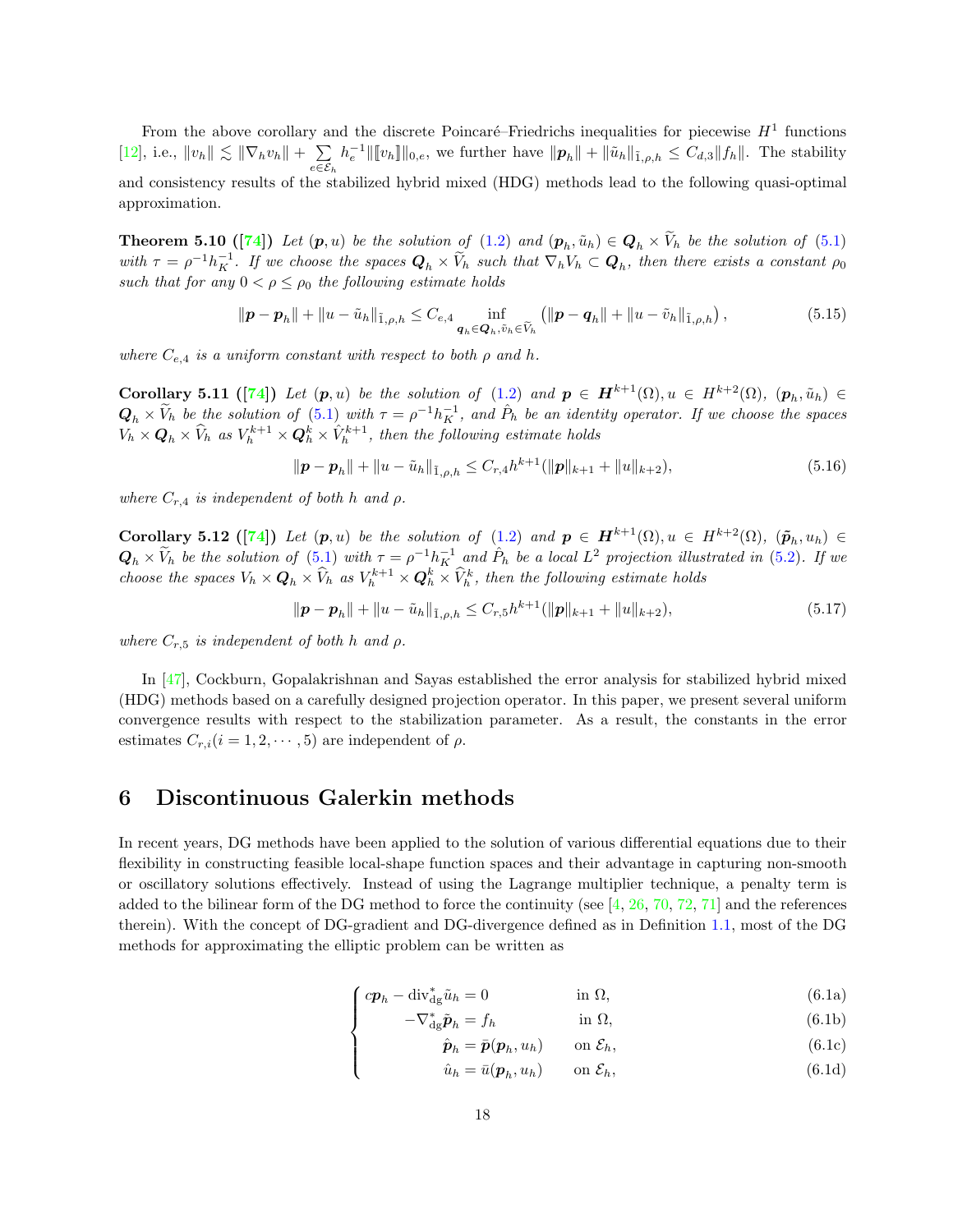From the above corollary and the discrete Poincaré–Friedrichs inequalities for piecewise  $H<sup>1</sup>$  functions [\[12\]](#page-32-10), i.e.,  $||v_h|| \lesssim ||\nabla_h v_h|| + \sum$  $e \in \mathcal{E}_h$  $h_e^{-1}$ ||[ $v_h$ ]||<sub>0,e</sub>, we further have  $\|\mathbf{p}_h\| + \|\tilde{u}_h\|_{\tilde{1},\rho,h} \leq C_{d,3} \|f_h\|$ . The stability and consistency results of the stabilized hybrid mixed (HDG) methods lead to the following quasi-optimal approximation.

**Theorem 5.10** ([\[74\]](#page-35-12)) Let  $(p, u)$  be the solution of  $(1.2)$  and  $(p_h, \tilde{u}_h) \in Q_h \times V_h$  be the solution of  $(5.1)$ with  $\tau = \rho^{-1} h_K^{-1}$ . If we choose the spaces  $Q_h \times V_h$  such that  $\nabla_h V_h \subset Q_h$ , then there exists a constant  $\rho_0$ such that for any  $0 < \rho \le \rho_0$  the following estimate holds

$$
\|\bm{p}-\bm{p}_h\| + \|u-\tilde{u}_h\|_{\tilde{1},\rho,h} \leq C_{e,4} \inf_{\bm{q}_h \in \bm{Q}_h,\tilde{v}_h \in \widetilde{V}_h} \left( \|\bm{p}-\bm{q}_h\| + \|u-\tilde{v}_h\|_{\tilde{1},\rho,h} \right),\tag{5.15}
$$

where  $C_{e,4}$  is a uniform constant with respect to both  $\rho$  and  $h$ .

Corollary 5.11 ([\[74\]](#page-35-12)) Let  $(p, u)$  be the solution of  $(1.2)$  and  $p \in H^{k+1}(\Omega), u \in H^{k+2}(\Omega), (p_h, \tilde{u}_h) \in$  $Q_h \times V_h$  be the solution of [\(5.1\)](#page-14-2) with  $\tau = \rho^{-1} h_K^{-1}$ , and  $\hat{P}_h$  be an identity operator. If we choose the spaces  $V_h \times \mathbf{Q}_h \times \widehat{V}_h$  as  $V_h^{k+1} \times \mathbf{Q}_h^k \times \widehat{V}_h^{k+1}$ , then the following estimate holds

$$
\|\boldsymbol{p} - \boldsymbol{p}_h\| + \|u - \tilde{u}_h\|_{\tilde{1},\rho,h} \le C_{r,4} h^{k+1} (\|\boldsymbol{p}\|_{k+1} + \|u\|_{k+2}),
$$
\n(5.16)

where  $C_{r,4}$  is independent of both h and  $\rho$ .

Corollary 5.12 ([\[74\]](#page-35-12)) Let  $(p, u)$  be the solution of  $(1.2)$  and  $p \in H^{k+1}(\Omega), u \in H^{k+2}(\Omega), \ (\tilde{p}_h, u_h) \in$  $Q_h \times V_h$  be the solution of [\(5.1\)](#page-14-2) with  $\tau = \rho^{-1} h^{-1}_K$  and  $\hat{P}_h$  be a local  $L^2$  projection illustrated in [\(5.2\)](#page-14-1). If we choose the spaces  $V_h \times \mathbf{Q}_h \times \widehat{V}_h$  as  $V_h^{k+1} \times \mathbf{Q}_h^k \times \widehat{V}_h^k$ , then the following estimate holds

 $\|\boldsymbol{p} - \boldsymbol{p}_h\| + \|u - \tilde{u}_h\|_{\tilde{1},\rho,h} \leq C_{r,5}h^{k+1}(\|\boldsymbol{p}\|_{k+1} + \|u\|_{k+2}),$ (5.17)

where  $C_{r,5}$  is independent of both h and  $\rho$ .

In [\[47\]](#page-34-8), Cockburn, Gopalakrishnan and Sayas established the error analysis for stabilized hybrid mixed (HDG) methods based on a carefully designed projection operator. In this paper, we present several uniform convergence results with respect to the stabilization parameter. As a result, the constants in the error estimates  $C_{r,i}$  ( $i = 1, 2, \dots, 5$ ) are independent of  $\rho$ .

## <span id="page-17-0"></span>6 Discontinuous Galerkin methods

 $\overline{\mathcal{L}}$ 

<span id="page-17-5"></span>In recent years, DG methods have been applied to the solution of various differential equations due to their flexibility in constructing feasible local-shape function spaces and their advantage in capturing non-smooth or oscillatory solutions effectively. Instead of using the Lagrange multiplier technique, a penalty term is added to the bilinear form of the DG method to force the continuity (see  $[4, 26, 70, 72, 71]$  $[4, 26, 70, 72, 71]$  $[4, 26, 70, 72, 71]$  $[4, 26, 70, 72, 71]$  $[4, 26, 70, 72, 71]$  $[4, 26, 70, 72, 71]$  $[4, 26, 70, 72, 71]$  $[4, 26, 70, 72, 71]$  and the references therein). With the concept of DG-gradient and DG-divergence defined as in Definition [1.1,](#page-1-1) most of the DG methods for approximating the elliptic problem can be written as

$$
\int c\mathbf{p}_h - \text{div}_{\text{dg}}^* \tilde{u}_h = 0 \qquad \text{in } \Omega,
$$
\n
$$
-\nabla_{\text{dg}}^* \tilde{\mathbf{p}}_h = f_h \qquad \text{in } \Omega,
$$
\n(6.1a)\n(6.1b)

$$
-\nabla_{\rm dg}^* \tilde{\boldsymbol{p}}_h = f_h \qquad \text{in } \Omega,\tag{6.1b}
$$

$$
\hat{\boldsymbol{p}}_h = \bar{\boldsymbol{p}}(\boldsymbol{p}_h, u_h) \qquad \text{on } \mathcal{E}_h,\tag{6.1c}
$$

<span id="page-17-4"></span><span id="page-17-3"></span><span id="page-17-2"></span><span id="page-17-1"></span>
$$
\hat{u}_h = \bar{u}(\mathbf{p}_h, u_h) \qquad \text{on } \mathcal{E}_h,\tag{6.1d}
$$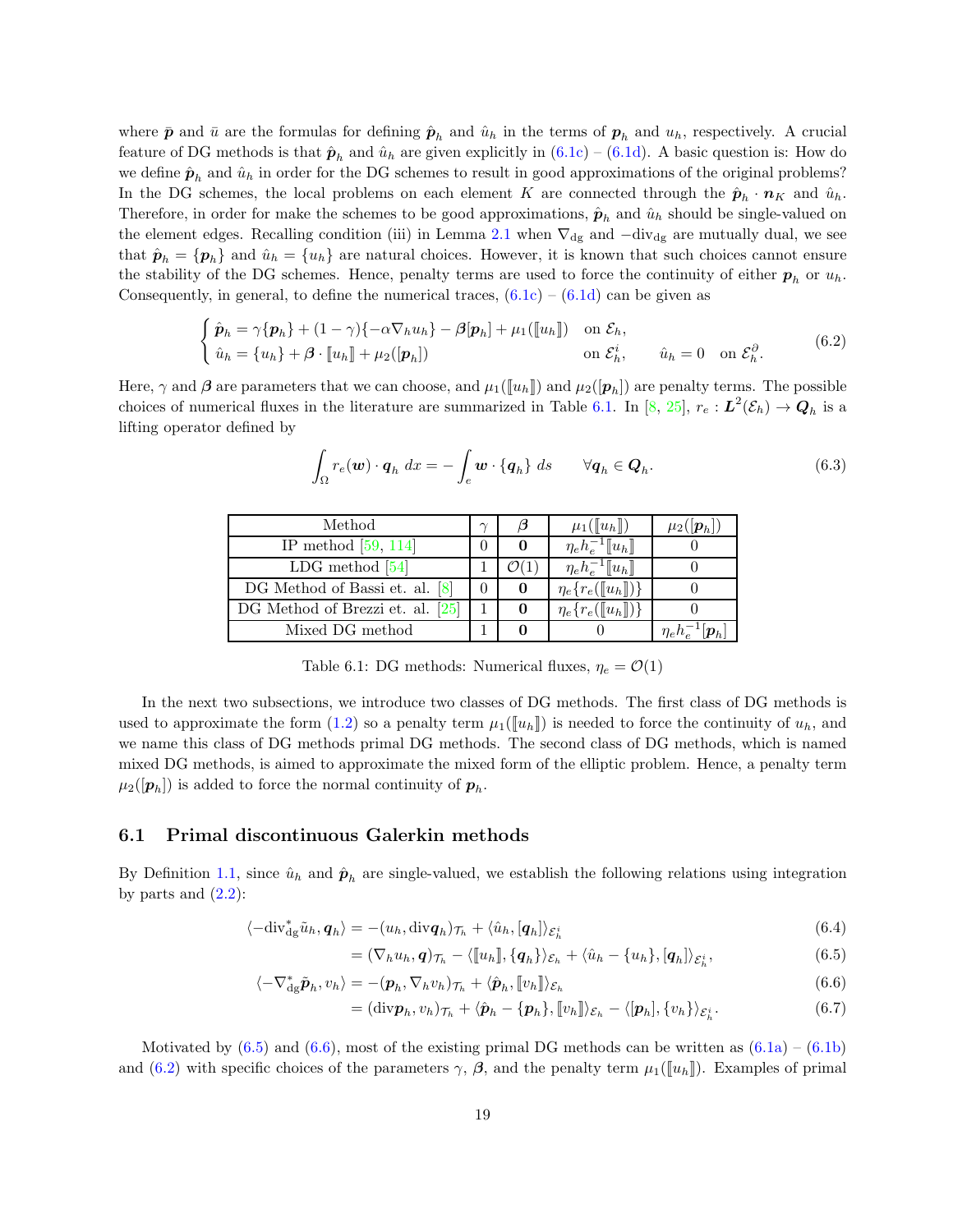where  $\bar{p}$  and  $\bar{u}$  are the formulas for defining  $\hat{p}_h$  and  $\hat{u}_h$  in the terms of  $p_h$  and  $u_h$ , respectively. A crucial feature of DG methods is that  $\hat{p}_h$  and  $\hat{u}_h$  are given explicitly in  $(6.1c) - (6.1d)$  $(6.1c) - (6.1d)$ . A basic question is: How do we define  $\hat{\boldsymbol{p}}_h$  and  $\hat{u}_h$  in order for the DG schemes to result in good approximations of the original problems? In the DG schemes, the local problems on each element K are connected through the  $\hat{\boldsymbol{p}}_h \cdot \boldsymbol{n}_K$  and  $\hat{u}_h$ . Therefore, in order for make the schemes to be good approximations,  $\hat{\boldsymbol{p}}_h$  and  $\hat{u}_h$  should be single-valued on the element edges. Recalling condition (iii) in Lemma [2.1](#page-8-1) when  $\nabla_{dg}$  and  $-div_{dg}$  are mutually dual, we see that  $\hat{\boldsymbol{p}}_h = {\boldsymbol{p}_h}$  and  $\hat{u}_h = {u_h}$  are natural choices. However, it is known that such choices cannot ensure the stability of the DG schemes. Hence, penalty terms are used to force the continuity of either  $p_h$  or  $u_h$ . Consequently, in general, to define the numerical traces,  $(6.1c) - (6.1d)$  $(6.1c) - (6.1d)$  can be given as

$$
\begin{cases}\n\hat{\mathbf{p}}_h = \gamma \{\mathbf{p}_h\} + (1 - \gamma)\{-\alpha \nabla_h u_h\} - \beta[\mathbf{p}_h] + \mu_1([\![u_h]\!]) \quad \text{on } \mathcal{E}_h, \\
\hat{u}_h = \{u_h\} + \beta \cdot [\![u_h]\!] + \mu_2([\![\mathbf{p}_h]\!]) \qquad \text{on } \mathcal{E}_h^i, \qquad \hat{u}_h = 0 \quad \text{on } \mathcal{E}_h^{\partial}.\n\end{cases}
$$
\n(6.2)

<span id="page-18-0"></span>Here,  $\gamma$  and  $\beta$  are parameters that we can choose, and  $\mu_1(\llbracket u_h \rrbracket)$  and  $\mu_2([\bm{p}_h])$  are penalty terms. The possible choices of numerical fluxes in the literature are summarized in Table [6.1.](#page-18-0) In [\[8,](#page-31-8) [25\]](#page-32-7),  $r_e: L^2(\mathcal{E}_h) \to \mathbf{Q}_h$  is a lifting operator defined by

<span id="page-18-3"></span>
$$
\int_{\Omega} r_e(\boldsymbol{w}) \cdot \boldsymbol{q}_h \, dx = - \int_e \boldsymbol{w} \cdot \{ \boldsymbol{q}_h \} \, ds \qquad \forall \boldsymbol{q}_h \in \boldsymbol{Q}_h. \tag{6.3}
$$

| Method                             | $\sim$ | $\mu_1(\llbracket u_h \rrbracket)$         | $\mu_2( \boldsymbol{p}_h )$ |
|------------------------------------|--------|--------------------------------------------|-----------------------------|
| IP method $[59, 114]$              |        | $\eta_e h_e^{-1} [ \! [ u_h ] \! ]$        |                             |
| LDG method $[54]$                  |        | $\eta_e h_e^{-1} [ \! [ u_h ] \! ]$        |                             |
| DG Method of Bassi et. al. [8]     |        | $\eta_e\{r_e(\llbracket u_h \rrbracket)\}$ |                             |
| DG Method of Brezzi et. al. $[25]$ |        | $\eta_e\{r_e([u_h])\}$                     |                             |
| Mixed DG method                    |        |                                            |                             |

Table 6.1: DG methods: Numerical fluxes,  $\eta_e = \mathcal{O}(1)$ 

In the next two subsections, we introduce two classes of DG methods. The first class of DG methods is used to approximate the form [\(1.2\)](#page-0-1) so a penalty term  $\mu_1([\![u_h]\!])$  is needed to force the continuity of  $u_h$ , and we name this class of DG methods primal DG methods. The second class of DG methods, which is named mixed DG methods, is aimed to approximate the mixed form of the elliptic problem. Hence, a penalty term  $\mu_2([p_h])$  is added to force the normal continuity of  $p_h$ .

### 6.1 Primal discontinuous Galerkin methods

By Definition [1.1,](#page-1-1) since  $\hat{u}_h$  and  $\hat{p}_h$  are single-valued, we establish the following relations using integration by parts and  $(2.2)$ :

$$
\langle -\mathrm{div}_{\mathrm{dg}}^* \tilde{u}_h, \mathbf{q}_h \rangle = - (u_h, \mathrm{div} \mathbf{q}_h)_{\mathcal{T}_h} + \langle \hat{u}_h, [\mathbf{q}_h] \rangle_{\mathcal{E}_h^i}
$$
(6.4)

<span id="page-18-2"></span><span id="page-18-1"></span>
$$
= (\nabla_h u_h, \mathbf{q})_{\mathcal{T}_h} - \langle [u_h], \{\mathbf{q}_h\}\rangle_{\mathcal{E}_h} + \langle \hat{u}_h - \{u_h\}, [\mathbf{q}_h] \rangle_{\mathcal{E}_h^i}, \tag{6.5}
$$

$$
\langle -\nabla_{\mathrm{dg}}^* \tilde{\boldsymbol{p}}_h, v_h \rangle = -(\boldsymbol{p}_h, \nabla_h v_h)_{\mathcal{T}_h} + \langle \hat{\boldsymbol{p}}_h, [\![v_h]\!] \rangle_{\mathcal{E}_h} \tag{6.6}
$$

$$
= (\text{div} \boldsymbol{p}_h, v_h)_{\mathcal{T}_h} + \langle \hat{\boldsymbol{p}}_h - \{\boldsymbol{p}_h\}, [\![v_h]\!])_{\mathcal{E}_h} - \langle [\boldsymbol{p}_h], \{v_h\} \rangle_{\mathcal{E}_h^i}.
$$
\n(6.7)

Motivated by  $(6.5)$  and  $(6.6)$ , most of the existing primal DG methods can be written as  $(6.1a) - (6.1b)$  $(6.1a) - (6.1b)$ and [\(6.2\)](#page-18-3) with specific choices of the parameters  $\gamma$ ,  $\beta$ , and the penalty term  $\mu_1(\llbracket u_h \rrbracket)$ . Examples of primal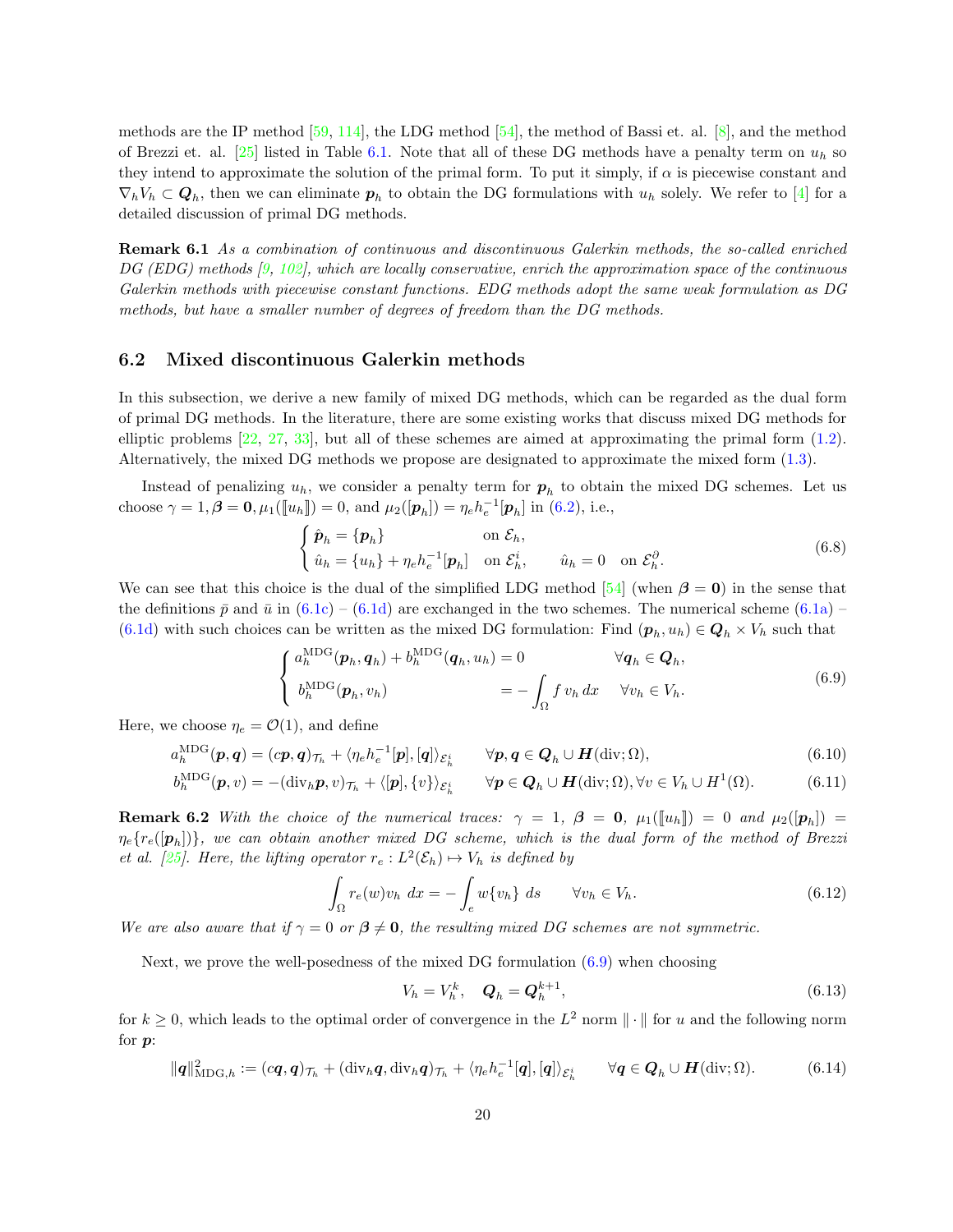methods are the IP method [\[59,](#page-34-4) [114\]](#page-37-6), the LDG method [\[54\]](#page-34-5), the method of Bassi et. al. [\[8\]](#page-31-8), and the method of Brezzi et. al. [\[25\]](#page-32-7) listed in Table [6.1.](#page-18-0) Note that all of these DG methods have a penalty term on  $u_h$  so they intend to approximate the solution of the primal form. To put it simply, if  $\alpha$  is piecewise constant and  $\nabla_h V_h \subset \mathbf{Q}_h$ , then we can eliminate  $\mathbf{p}_h$  to obtain the DG formulations with  $u_h$  solely. We refer to [\[4\]](#page-31-6) for a detailed discussion of primal DG methods.

Remark 6.1 As a combination of continuous and discontinuous Galerkin methods, the so-called enriched DG (EDG) methods [\[9,](#page-31-9) [102\]](#page-37-16), which are locally conservative, enrich the approximation space of the continuous Galerkin methods with piecewise constant functions. EDG methods adopt the same weak formulation as DG methods, but have a smaller number of degrees of freedom than the DG methods.

### 6.2 Mixed discontinuous Galerkin methods

In this subsection, we derive a new family of mixed DG methods, which can be regarded as the dual form of primal DG methods. In the literature, there are some existing works that discuss mixed DG methods for elliptic problems [\[22,](#page-32-11) [27,](#page-32-12) [33\]](#page-33-16), but all of these schemes are aimed at approximating the primal form [\(1.2\)](#page-0-1). Alternatively, the mixed DG methods we propose are designated to approximate the mixed form [\(1.3\)](#page-1-2).

Instead of penalizing  $u_h$ , we consider a penalty term for  $p_h$  to obtain the mixed DG schemes. Let us choose  $\gamma = 1, \beta = 0, \mu_1(\llbracket u_h \rrbracket) = 0$ , and  $\mu_2([\mathbf{p}_h]) = \eta_e h_e^{-1}[\mathbf{p}_h]$  in [\(6.2\)](#page-18-3), i.e.,

<span id="page-19-2"></span><span id="page-19-0"></span>
$$
\begin{cases}\n\hat{\mathbf{p}}_h = \{\mathbf{p}_h\} & \text{on } \mathcal{E}_h, \\
\hat{u}_h = \{u_h\} + \eta_e h_e^{-1}[\mathbf{p}_h] & \text{on } \mathcal{E}_h^i, \qquad \hat{u}_h = 0 & \text{on } \mathcal{E}_h^\partial.\n\end{cases}
$$
\n(6.8)

We can see that this choice is the dual of the simplified LDG method [\[54\]](#page-34-5) (when  $\beta = 0$ ) in the sense that the definitions  $\bar{p}$  and  $\bar{u}$  in [\(6.1c\)](#page-17-1) – [\(6.1d\)](#page-17-2) are exchanged in the two schemes. The numerical scheme [\(6.1a\)](#page-17-3) – [\(6.1d\)](#page-17-2) with such choices can be written as the mixed DG formulation: Find  $(p_h, u_h) \in \mathcal{Q}_h \times V_h$  such that

$$
\begin{cases}\na_h^{\text{MDG}}(\boldsymbol{p}_h, \boldsymbol{q}_h) + b_h^{\text{MDG}}(\boldsymbol{q}_h, u_h) = 0 & \forall \boldsymbol{q}_h \in \boldsymbol{Q}_h, \\
b_h^{\text{MDG}}(\boldsymbol{p}_h, v_h) = - \int_{\Omega} f v_h dx & \forall v_h \in V_h.\n\end{cases} \tag{6.9}
$$

Here, we choose  $\eta_e = \mathcal{O}(1)$ , and define

$$
a_h^{\text{MDG}}(\boldsymbol{p}, \boldsymbol{q}) = (c\boldsymbol{p}, \boldsymbol{q})_{\mathcal{T}_h} + \langle \eta_e h_e^{-1}[\boldsymbol{p}], [\boldsymbol{q}]\rangle_{\mathcal{E}_h^i} \qquad \forall \boldsymbol{p}, \boldsymbol{q} \in \boldsymbol{Q}_h \cup \boldsymbol{H}(\text{div}; \Omega), \tag{6.10}
$$

$$
b_h^{\text{MDG}}(\boldsymbol{p}, v) = -(\text{div}_h \boldsymbol{p}, v)_{\mathcal{T}_h} + \langle [\boldsymbol{p}], \{v\} \rangle_{\mathcal{E}_h^i} \qquad \forall \boldsymbol{p} \in \boldsymbol{Q}_h \cup \boldsymbol{H}(\text{div}; \Omega), \forall v \in V_h \cup H^1(\Omega). \tag{6.11}
$$

<span id="page-19-3"></span>**Remark 6.2** With the choice of the numerical traces:  $\gamma = 1$ ,  $\beta = 0$ ,  $\mu_1([\![u_h]\!]) = 0$  and  $\mu_2([\![p_h]\!]) =$  $\eta_e \{r_e([{\bm p}_h])\},$  we can obtain another mixed  $DG$  scheme, which is the dual form of the method of Brezzi et al. [\[25\]](#page-32-7). Here, the lifting operator  $r_e: L^2(\mathcal{E}_h) \mapsto V_h$  is defined by

$$
\int_{\Omega} r_e(w)v_h \ dx = -\int_e w\{v_h\} \ ds \qquad \forall v_h \in V_h.
$$
\n(6.12)

We are also aware that if  $\gamma = 0$  or  $\beta \neq 0$ , the resulting mixed DG schemes are not symmetric.

Next, we prove the well-posedness of the mixed DG formulation  $(6.9)$  when choosing

<span id="page-19-1"></span>
$$
V_h = V_h^k, \quad \boldsymbol{Q}_h = \boldsymbol{Q}_h^{k+1}, \tag{6.13}
$$

for  $k \geq 0$ , which leads to the optimal order of convergence in the  $L^2$  norm  $\|\cdot\|$  for u and the following norm for  $p$ :

$$
\|\mathbf{q}\|_{\text{MDG},h}^2 := (c\mathbf{q},\mathbf{q})_{\mathcal{T}_h} + (\text{div}_h \mathbf{q}, \text{div}_h \mathbf{q})_{\mathcal{T}_h} + \langle \eta_e h_e^{-1}[\mathbf{q}], [\mathbf{q}]\rangle_{\mathcal{E}_h^i} \qquad \forall \mathbf{q} \in \mathbf{Q}_h \cup \mathbf{H}(\text{div}; \Omega). \tag{6.14}
$$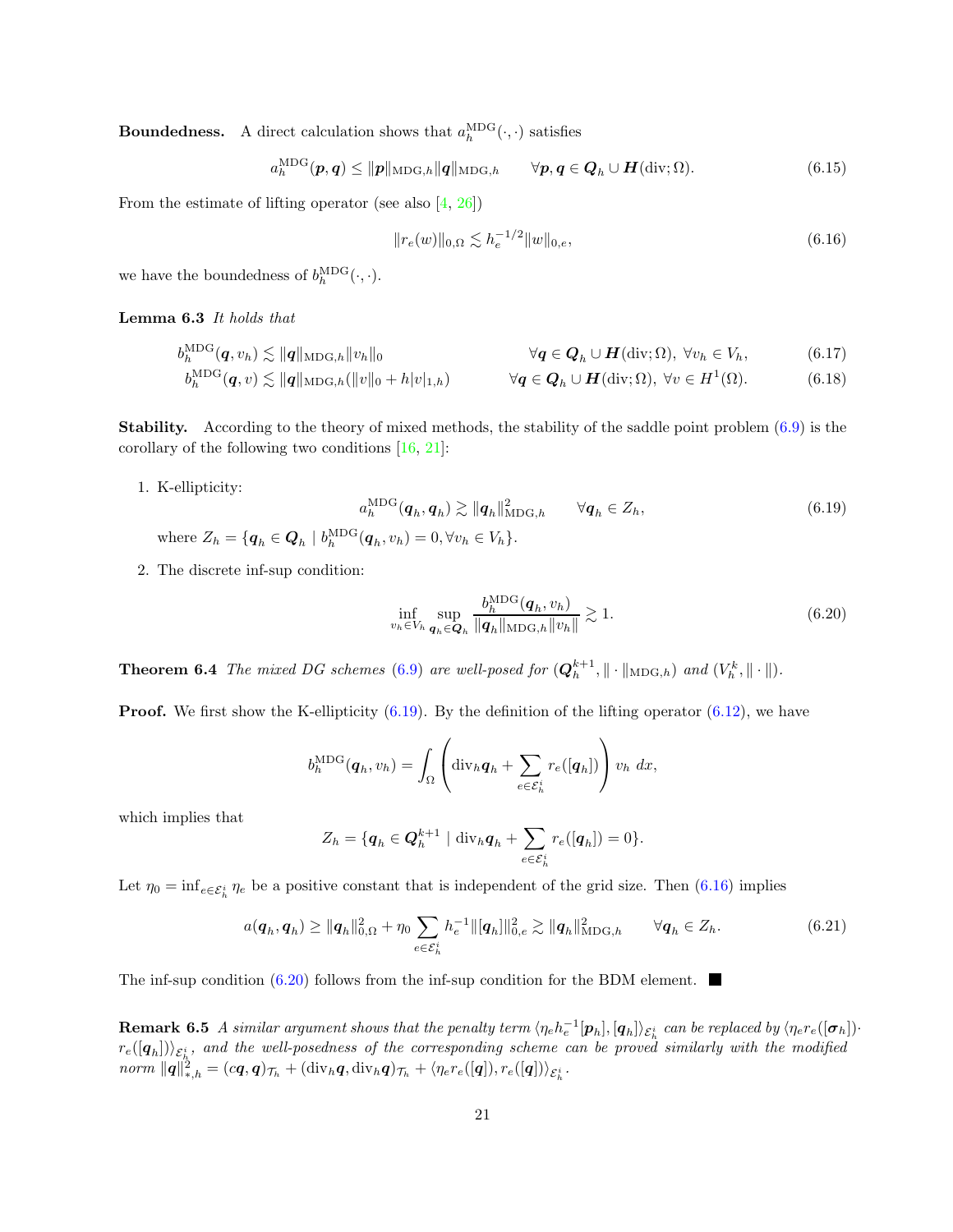**Boundedness.** A direct calculation shows that  $a_h^{\text{MDG}}(\cdot, \cdot)$  satisfies

 $a_h^{\text{MDG}}(\boldsymbol{p}, \boldsymbol{q}) \le ||\boldsymbol{p}||_{\text{MDG},h} ||\boldsymbol{q}||_{\text{MDG},h} \qquad \forall \boldsymbol{p}, \boldsymbol{q} \in \boldsymbol{Q}_h \cup \boldsymbol{H}(\text{div}; \Omega).$ (6.15)

From the estimate of lifting operator (see also  $[4, 26]$  $[4, 26]$ )

<span id="page-20-1"></span>
$$
||r_e(w)||_{0,\Omega} \lesssim h_e^{-1/2} ||w||_{0,e},\tag{6.16}
$$

we have the boundedness of  $b_h^{\text{MDG}}(\cdot, \cdot)$ .

Lemma 6.3 It holds that

$$
b_h^{\text{MDG}}(\boldsymbol{q}, v_h) \lesssim \|\boldsymbol{q}\|_{\text{MDG},h} \|v_h\|_0 \qquad \qquad \forall \boldsymbol{q} \in \boldsymbol{Q}_h \cup \boldsymbol{H}(\text{div};\Omega), \ \forall v_h \in V_h, \tag{6.17}
$$

$$
b_h^{\text{MDG}}(\boldsymbol{q},v) \lesssim \|\boldsymbol{q}\|_{\text{MDG},h}(\|v\|_0+h|v|_{1,h}) \qquad \forall \boldsymbol{q} \in \boldsymbol{Q}_h \cup \boldsymbol{H}(\text{div};\Omega), \ \forall v \in H^1(\Omega). \tag{6.18}
$$

Stability. According to the theory of mixed methods, the stability of the saddle point problem [\(6.9\)](#page-19-0) is the corollary of the following two conditions [\[16,](#page-32-1) [21\]](#page-32-5):

1. K-ellipticity:

<span id="page-20-0"></span>
$$
a_h^{\text{MDG}}(\boldsymbol{q}_h, \boldsymbol{q}_h) \gtrsim \|\boldsymbol{q}_h\|_{\text{MDG},h}^2 \qquad \forall \boldsymbol{q}_h \in Z_h,\tag{6.19}
$$

- where  $Z_h = \{ \mathbf{q}_h \in \mathbf{Q}_h \mid b_h^{\mathrm{MDG}}(\mathbf{q}_h, v_h) = 0, \forall v_h \in V_h \}.$
- 2. The discrete inf-sup condition:

<span id="page-20-2"></span>
$$
\inf_{v_h \in V_h} \sup_{\mathbf{q}_h \in \mathbf{Q}_h} \frac{b_h^{\text{MDG}}(\mathbf{q}_h, v_h)}{\|\mathbf{q}_h\|_{\text{MDG},h} \|v_h\|} \gtrsim 1. \tag{6.20}
$$

**Theorem 6.4** The mixed DG schemes [\(6.9\)](#page-19-0) are well-posed for  $(Q_h^{k+1}, \|\cdot\|_{\text{MDG},h})$  and  $(V_h^k, \|\cdot\|)$ .

**Proof.** We first show the K-ellipticity  $(6.19)$ . By the definition of the lifting operator  $(6.12)$ , we have

$$
b_h^{\text{MDG}}(\boldsymbol{q}_h, v_h) = \int_{\Omega} \left( \text{div}_h \boldsymbol{q}_h + \sum_{e \in \mathcal{E}_h^i} r_e([\boldsymbol{q}_h]) \right) v_h \, dx,
$$

which implies that

$$
Z_h = \{ \boldsymbol{q}_h \in \boldsymbol{Q}_h^{k+1} \mid \mathrm{div}_h \boldsymbol{q}_h + \sum_{e \in \mathcal{E}_h^i} r_e([\boldsymbol{q}_h]) = 0 \}.
$$

Let  $\eta_0 = \inf_{e \in \mathcal{E}_h^i} \eta_e$  be a positive constant that is independent of the grid size. Then  $(6.16)$  implies

$$
a(\mathbf{q}_h, \mathbf{q}_h) \ge ||\mathbf{q}_h||_{0,\Omega}^2 + \eta_0 \sum_{e \in \mathcal{E}_h^i} h_e^{-1} ||[\mathbf{q}_h]||_{0,e}^2 \gtrsim ||\mathbf{q}_h||_{\text{MDG},h}^2 \qquad \forall \mathbf{q}_h \in Z_h.
$$
 (6.21)

The inf-sup condition  $(6.20)$  follows from the inf-sup condition for the BDM element.

<span id="page-20-3"></span>**Remark 6.5** A similar argument shows that the penalty term  $\langle \eta_e h_e^{-1}[\bm{p}_h],[\bm{q}_h]\rangle_{\mathcal{E}_h^i}$  can be replaced by  $\langle \eta_e r_e([\bm{\sigma}_h])\cdot$  $r_e([{\bm q}_h])\rangle_{\mathcal{E}_h^i}$ , and the well-posedness of the corresponding scheme can be proved similarly with the modified  $\mathit{norm}\ \| \bm{q} \|_{*,h}^2 = (c\bm{q},\bm{q})_{\mathcal{T}_h} + (\mathrm{div}_h\bm{q}, \mathrm{div}_h\bm{q})_{\mathcal{T}_h} + \langle \eta_e r_e([\bm{q}]), r_e([\bm{q}]) \rangle_{\mathcal{E}_h^i}.$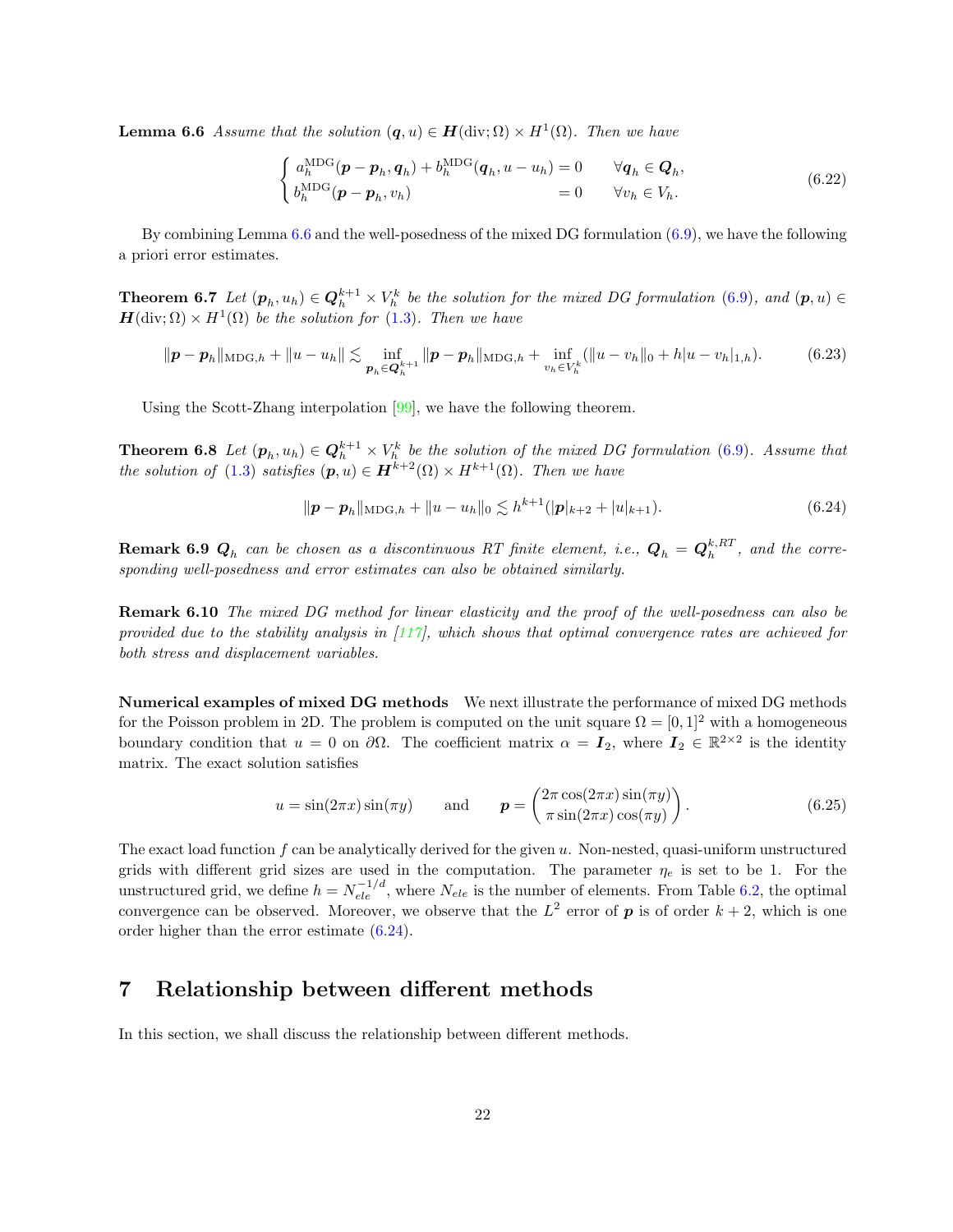**Lemma 6.6** Assume that the solution  $(q, u) \in H(\text{div}; \Omega) \times H^1(\Omega)$ . Then we have

$$
\begin{cases}\na_h^{\text{MDG}}(\boldsymbol{p} - \boldsymbol{p}_h, \boldsymbol{q}_h) + b_h^{\text{MDG}}(\boldsymbol{q}_h, u - u_h) = 0 & \forall \boldsymbol{q}_h \in \boldsymbol{Q}_h, \\
b_h^{\text{MDG}}(\boldsymbol{p} - \boldsymbol{p}_h, v_h) = 0 & \forall v_h \in V_h.\n\end{cases} \tag{6.22}
$$

By combining Lemma [6.6](#page-20-3) and the well-posedness of the mixed DG formulation [\(6.9\)](#page-19-0), we have the following a priori error estimates.

**Theorem 6.7** Let  $(p_h, u_h) \in \mathbb{Q}_h^{k+1} \times V_h^k$  be the solution for the mixed DG formulation [\(6.9\)](#page-19-0), and  $(p, u) \in$  $H(\text{div};\Omega) \times H^1(\Omega)$  be the solution for [\(1.3\)](#page-1-2). Then we have

$$
\|\boldsymbol{p} - \boldsymbol{p}_h\|_{\text{MDG},h} + \|u - u_h\| \lesssim \inf_{\boldsymbol{p}_h \in \mathbf{Q}_h^{k+1}} \|\boldsymbol{p} - \boldsymbol{p}_h\|_{\text{MDG},h} + \inf_{v_h \in V_h^k} (\|u - v_h\|_0 + h|u - v_h|_{1,h}).\tag{6.23}
$$

Using the Scott-Zhang interpolation [\[99\]](#page-37-17), we have the following theorem.

**Theorem 6.8** Let  $(p_h, u_h) \in \mathbb{Q}_h^{k+1} \times V_h^k$  be the solution of the mixed DG formulation [\(6.9\)](#page-19-0). Assume that the solution of [\(1.3\)](#page-1-2) satisfies  $(p, u) \in H^{k+2}(\Omega) \times H^{k+1}(\Omega)$ . Then we have

<span id="page-21-1"></span>
$$
\|\mathbf{p} - \mathbf{p}_h\|_{\text{MDG},h} + \|u - u_h\|_0 \lesssim h^{k+1}(|\mathbf{p}|_{k+2} + |u|_{k+1}).\tag{6.24}
$$

**Remark 6.9**  $Q_h$  can be chosen as a discontinuous RT finite element, i.e.,  $Q_h = Q_h^{k,RT}$ , and the corresponding well-posedness and error estimates can also be obtained similarly.

Remark 6.10 The mixed DG method for linear elasticity and the proof of the well-posedness can also be provided due to the stability analysis in  $\left[117\right]$ , which shows that optimal convergence rates are achieved for both stress and displacement variables.

Numerical examples of mixed DG methods We next illustrate the performance of mixed DG methods for the Poisson problem in 2D. The problem is computed on the unit square  $\Omega = [0, 1]^2$  with a homogeneous boundary condition that  $u = 0$  on  $\partial\Omega$ . The coefficient matrix  $\alpha = I_2$ , where  $I_2 \in \mathbb{R}^{2 \times 2}$  is the identity matrix. The exact solution satisfies

<span id="page-21-2"></span>
$$
u = \sin(2\pi x)\sin(\pi y) \quad \text{and} \quad \mathbf{p} = \begin{pmatrix} 2\pi \cos(2\pi x)\sin(\pi y) \\ \pi \sin(2\pi x)\cos(\pi y) \end{pmatrix}.
$$
 (6.25)

The exact load function f can be analytically derived for the given  $u$ . Non-nested, quasi-uniform unstructured grids with different grid sizes are used in the computation. The parameter  $\eta_e$  is set to be 1. For the unstructured grid, we define  $h = N_{ele}^{-1/d}$ , where  $N_{ele}$  is the number of elements. From Table [6.2,](#page-22-0) the optimal convergence can be observed. Moreover, we observe that the  $L^2$  error of  $p$  is of order  $k+2$ , which is one order higher than the error estimate [\(6.24\)](#page-21-1).

## <span id="page-21-0"></span>7 Relationship between different methods

In this section, we shall discuss the relationship between different methods.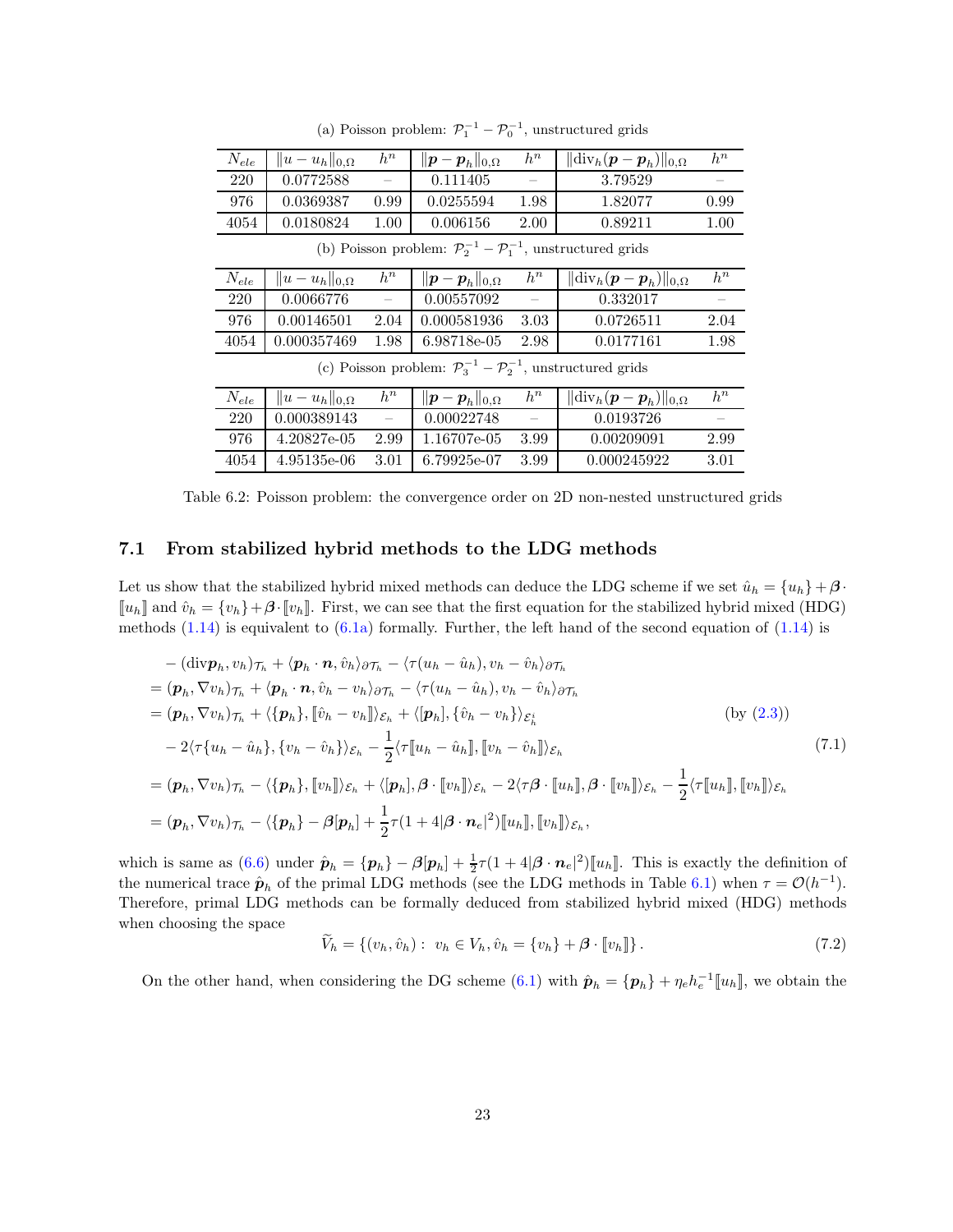<span id="page-22-0"></span>

| $N_{ele}$                                                                           | $  u-u_h  _{0,\Omega}$ | $h^n$ | $  \boldsymbol{p}-\boldsymbol{p}_h  _{0,\Omega}$ | $h^n$ | $\ \text{\rm div}_h(\bm p-\bm p_h)\ _{0,\Omega}$ | $h^n$ |  |  |  |
|-------------------------------------------------------------------------------------|------------------------|-------|--------------------------------------------------|-------|--------------------------------------------------|-------|--|--|--|
| 220                                                                                 | 0.0772588              |       | 0.111405                                         |       | 3.79529                                          |       |  |  |  |
| 976                                                                                 | 0.0369387              | 0.99  | 0.0255594                                        | 1.98  | 1.82077                                          | 0.99  |  |  |  |
| 4054                                                                                | 0.0180824              | 1.00  | 0.006156                                         | 2.00  | 0.89211                                          | 1.00  |  |  |  |
| (b) Poisson problem: $\mathcal{P}_2^{-1} - \mathcal{P}_1^{-1}$ , unstructured grids |                        |       |                                                  |       |                                                  |       |  |  |  |
| $N_{ele}$                                                                           | $  u-u_h  _{0,\Omega}$ | $h^n$ | $\ \boldsymbol{p}-\boldsymbol{p}_h\ _{0,\Omega}$ | $h^n$ | $\ \text{\rm div}_h(\bm p-\bm p_h)\ _{0,\Omega}$ | $h^n$ |  |  |  |
| 220                                                                                 | 0.0066776              |       | 0.00557092                                       |       | 0.332017                                         |       |  |  |  |

(a) Poisson problem:  $\mathcal{P}_1^{-1} - \mathcal{P}_0^{-1}$ , unstructured grids

4054 0.000357469 1.98 6.98718e-05 2.98 0.0177161 1.98 (c) Poisson problem:  $\mathcal{P}_3^{-1} - \mathcal{P}_2^{-1}$ , unstructured grids

976 0.00146501 2.04 0.000581936 3.03 0.0726511 2.04

| $N_{ele}$ | $  u-u_h  _{0,\Omega}$ | $h^n$ | $  \boldsymbol{p}-\boldsymbol{p}_h  _{0,\Omega}$ | $h^n$ | $\ \text{div}_h(\bm{p}-\bm{p}_h)\ _{0,\Omega}$ | $h^n$                    |
|-----------|------------------------|-------|--------------------------------------------------|-------|------------------------------------------------|--------------------------|
| 220       | 0.000389143            |       | 0.00022748                                       |       | 0.0193726                                      | $\overline{\phantom{a}}$ |
| 976       | 4.20827e-05            | 2.99  | 1.16707e-05                                      | 3.99  | 0.00209091                                     | 2.99                     |
| 4054      | $4.95135e-06$          | 3.01  | 6.79925e-07                                      | 3.99  | 0.000245922                                    | 3.01                     |

Table 6.2: Poisson problem: the convergence order on 2D non-nested unstructured grids

### 7.1 From stabilized hybrid methods to the LDG methods

Let us show that the stabilized hybrid mixed methods can deduce the LDG scheme if we set  $\hat{u}_h = \{u_h\} + \beta \cdot$  $\llbracket u_h \rrbracket$  and  $\hat{v}_h = \{v_h\} + \beta \cdot \llbracket v_h \rrbracket$ . First, we can see that the first equation for the stabilized hybrid mixed (HDG) methods  $(1.14)$  is equivalent to  $(6.1a)$  formally. Further, the left hand of the second equation of  $(1.14)$  is

$$
-(\text{div}\mathbf{p}_h, v_h)\tau_h + \langle \mathbf{p}_h \cdot \mathbf{n}, \hat{v}_h \rangle_{\partial \mathcal{T}_h} - \langle \tau(u_h - \hat{u}_h), v_h - \hat{v}_h \rangle_{\partial \mathcal{T}_h}
$$
  
\n
$$
= (\mathbf{p}_h, \nabla v_h)\tau_h + \langle \mathbf{p}_h \cdot \mathbf{n}, \hat{v}_h - v_h \rangle_{\partial \mathcal{T}_h} - \langle \tau(u_h - \hat{u}_h), v_h - \hat{v}_h \rangle_{\partial \mathcal{T}_h}
$$
  
\n
$$
= (\mathbf{p}_h, \nabla v_h)\tau_h + \langle \{\mathbf{p}_h\}, [\hat{v}_h - v_h] \rangle_{\mathcal{E}_h} + \langle [\mathbf{p}_h], {\hat{v}_h - v_h} \rangle_{\mathcal{E}_h^i}
$$
 (by (2.3))  
\n
$$
-2\langle \tau\{u_h - \hat{u}_h\}, \{v_h - \hat{v}_h\} \rangle_{\mathcal{E}_h} - \frac{1}{2}\langle \tau[u_h - \hat{u}_h]], [v_h - \hat{v}_h] \rangle_{\mathcal{E}_h}
$$
  
\n
$$
= (\mathbf{p}_h, \nabla v_h)\tau_h - \langle \{\mathbf{p}_h\}, [v_h] \rangle_{\mathcal{E}_h} + \langle [\mathbf{p}_h], \boldsymbol{\beta} \cdot [v_h] \rangle_{\mathcal{E}_h} - 2\langle \tau \boldsymbol{\beta} \cdot [u_h], \boldsymbol{\beta} \cdot [v_h] \rangle_{\mathcal{E}_h} - \frac{1}{2}\langle \tau[u_h], [v_h] \rangle_{\mathcal{E}_h}
$$
  
\n
$$
= (\mathbf{p}_h, \nabla v_h)\tau_h - \langle \{\mathbf{p}_h\} - \boldsymbol{\beta}[\mathbf{p}_h] + \frac{1}{2}\tau(1 + 4|\boldsymbol{\beta} \cdot \mathbf{n}_e|^2)[[u_h], [v_h] \rangle_{\mathcal{E}_h},
$$
 (7.1)

which is same as  $(6.6)$  under  $\hat{\boldsymbol{p}}_h = {\{\boldsymbol{p}_h\}} - \beta[\boldsymbol{p}_h] + \frac{1}{2}\tau(1+4|\boldsymbol{\beta}\cdot\boldsymbol{n}_e|^2)[u_h]$ . This is exactly the definition of the numerical trace  $\hat{\boldsymbol{p}}_h$  of the primal LDG methods (see the LDG methods in Table [6.1\)](#page-18-0) when  $\tau = \mathcal{O}(h^{-1})$ . Therefore, primal LDG methods can be formally deduced from stabilized hybrid mixed (HDG) methods when choosing the space

<span id="page-22-1"></span>
$$
\widetilde{V}_h = \{ (v_h, \hat{v}_h) : v_h \in V_h, \hat{v}_h = \{ v_h \} + \beta \cdot [v_h] \}.
$$
\n(7.2)

On the other hand, when considering the DG scheme  $(6.1)$  with  $\hat{\boldsymbol{p}}_h = {\{\boldsymbol{p}_h\}} + \eta_e h_e^{-1} [\![u_h]\!]$ , we obtain the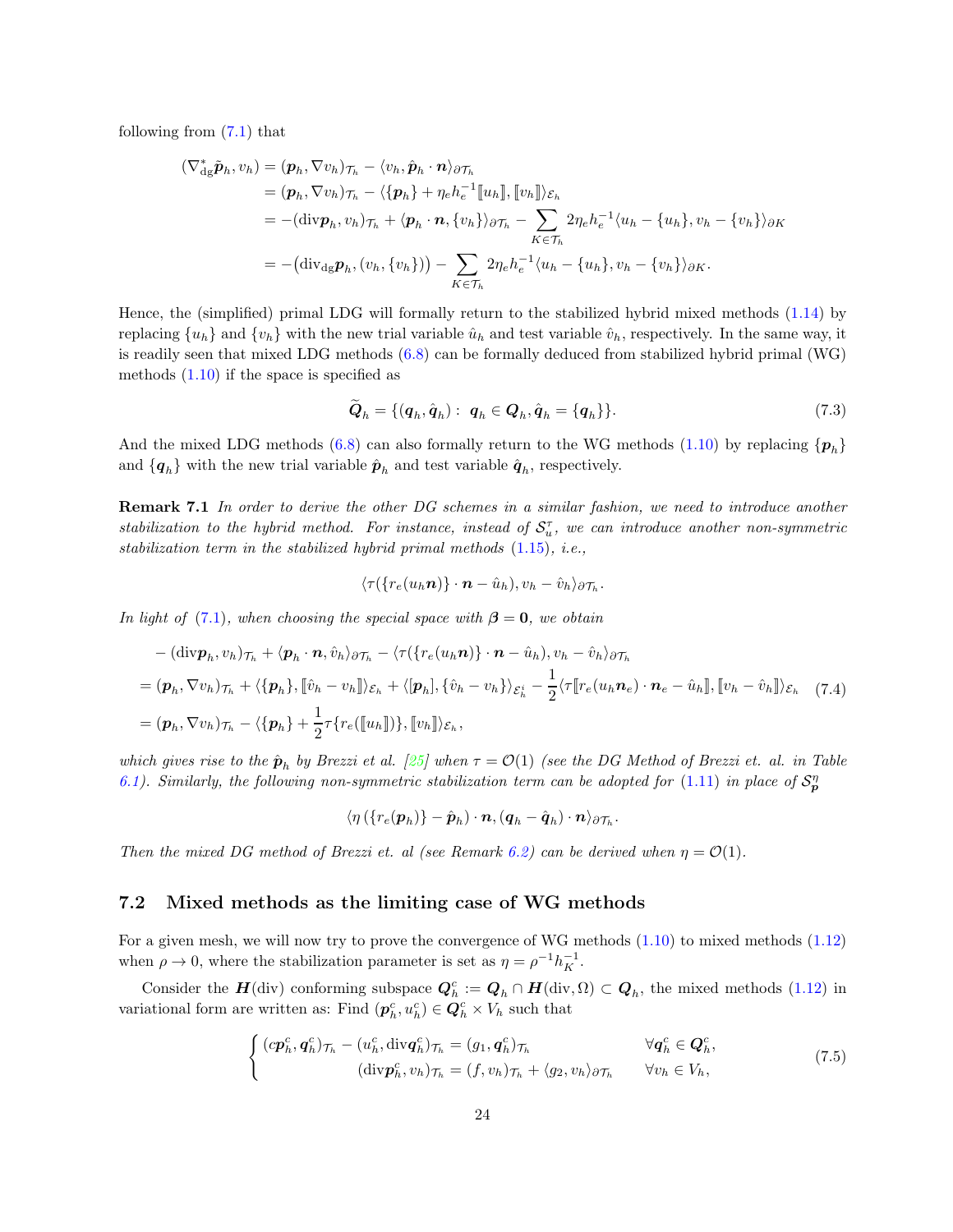following from [\(7.1\)](#page-22-1) that

$$
\begin{split}\n(\nabla_{\mathrm{dg}}^* \tilde{\boldsymbol{p}}_h, v_h) &= (\boldsymbol{p}_h, \nabla v_h)_{\mathcal{T}_h} - \langle v_h, \hat{\boldsymbol{p}}_h \cdot \boldsymbol{n} \rangle_{\partial \mathcal{T}_h} \\
&= (\boldsymbol{p}_h, \nabla v_h)_{\mathcal{T}_h} - \langle \{\boldsymbol{p}_h\} + \eta_e h_e^{-1} [\![u_h]\!], [\![v_h]\!] \rangle_{\mathcal{E}_h} \\
&= -(\text{div} \boldsymbol{p}_h, v_h)_{\mathcal{T}_h} + \langle \boldsymbol{p}_h \cdot \boldsymbol{n}, \{v_h\} \rangle_{\partial \mathcal{T}_h} - \sum_{K \in \mathcal{T}_h} 2\eta_e h_e^{-1} \langle u_h - \{u_h\}, v_h - \{v_h\} \rangle_{\partial K} \\
&= -(\text{div}_{\mathrm{dg}} \boldsymbol{p}_h, (v_h, \{v_h\})) - \sum_{K \in \mathcal{T}_h} 2\eta_e h_e^{-1} \langle u_h - \{u_h\}, v_h - \{v_h\} \rangle_{\partial K}.\n\end{split}
$$

Hence, the (simplified) primal LDG will formally return to the stabilized hybrid mixed methods [\(1.14\)](#page-4-1) by replacing  $\{u_h\}$  and  $\{v_h\}$  with the new trial variable  $\hat{u}_h$  and test variable  $\hat{v}_h$ , respectively. In the same way, it is readily seen that mixed LDG methods [\(6.8\)](#page-19-2) can be formally deduced from stabilized hybrid primal (WG) methods  $(1.10)$  if the space is specified as

$$
\widetilde{\boldsymbol{Q}}_h = \{(\boldsymbol{q}_h, \hat{\boldsymbol{q}}_h): \ \boldsymbol{q}_h \in \boldsymbol{Q}_h, \hat{\boldsymbol{q}}_h = \{\boldsymbol{q}_h\}\}.
$$
\n(7.3)

<span id="page-23-0"></span>.

And the mixed LDG methods [\(6.8\)](#page-19-2) can also formally return to the WG methods [\(1.10\)](#page-2-2) by replacing  $\{p_h\}$ and  $\{q_h\}$  with the new trial variable  $\hat{p}_h$  and test variable  $\hat{q}_h$ , respectively.

Remark 7.1 In order to derive the other DG schemes in a similar fashion, we need to introduce another stabilization to the hybrid method. For instance, instead of  $S_u^{\tau}$ , we can introduce another non-symmetric stabilization term in the stabilized hybrid primal methods [\(1.15\)](#page-4-3), i.e.,

$$
\langle \tau(\{r_e(u_h\boldsymbol{n})\}\cdot\boldsymbol{n}-\hat{u}_h),v_h-\hat{v}_h\rangle_{\partial\mathcal{T}_h}.
$$

In light of [\(7.1\)](#page-22-1), when choosing the special space with  $\beta = 0$ , we obtain

$$
-(\text{div}\mathbf{p}_h, v_h)\tau_h + \langle \mathbf{p}_h \cdot \mathbf{n}, \hat{v}_h \rangle_{\partial \mathcal{T}_h} - \langle \tau(\{r_e(u_h \mathbf{n})\} \cdot \mathbf{n} - \hat{u}_h), v_h - \hat{v}_h \rangle_{\partial \mathcal{T}_h}
$$
  
=  $(\mathbf{p}_h, \nabla v_h)\tau_h + \langle \{\mathbf{p}_h\}, [\hat{v}_h - v_h] \rangle_{\mathcal{E}_h} + \langle [\mathbf{p}_h], {\hat{v}_h - v_h} \rangle_{\mathcal{E}_h^i} - \frac{1}{2} \langle \tau[[r_e(u_h \mathbf{n}_e) \cdot \mathbf{n}_e - \hat{u}_h]], [[v_h - \hat{v}_h]] \rangle_{\mathcal{E}_h}$  (7.4)  
=  $(\mathbf{p}_h, \nabla v_h)\tau_h - \langle \{\mathbf{p}_h\} + \frac{1}{2} \tau\{r_e([\![u_h]\!])\}, [\![v_h]\!])_{\mathcal{E}_h}$ ,

which gives rise to the  $\hat{\bm{p}}_h$  by Brezzi et al. [\[25\]](#page-32-7) when  $\tau = \mathcal{O}(1)$  (see the DG Method of Brezzi et. al. in Table [6.1\)](#page-18-0). Similarly, the following non-symmetric stabilization term can be adopted for  $(1.11)$  in place of  $S_p^n$ 

$$
\langle \eta\left( \{r_{e}(\boldsymbol{p}_h)\} - \hat{\boldsymbol{p}}_h \right) \cdot \boldsymbol{n}, (\boldsymbol{q}_h - \hat{\boldsymbol{q}}_h) \cdot \boldsymbol{n} \rangle_{\partial \mathcal{T}_h}
$$

Then the mixed DG method of Brezzi et. al (see Remark [6.2\)](#page-19-3) can be derived when  $\eta = \mathcal{O}(1)$ .

### 7.2 Mixed methods as the limiting case of WG methods

For a given mesh, we will now try to prove the convergence of WG methods [\(1.10\)](#page-2-2) to mixed methods [\(1.12\)](#page-2-5) when  $\rho \to 0$ , where the stabilization parameter is set as  $\eta = \rho^{-1} h_K^{-1}$ .

Consider the  $H(\text{div})$  conforming subspace  $Q_h^c := Q_h \cap H(\text{div}, \Omega) \subset Q_h$ , the mixed methods [\(1.12\)](#page-2-5) in variational form are written as: Find  $(\mathbf{p}_h^c, u_h^c) \in \mathbf{Q}_h^c \times V_h$  such that

$$
\begin{cases}\n(c\boldsymbol{p}_h^c, \boldsymbol{q}_h^c)_{\mathcal{T}_h} - (u_h^c, \text{div}\boldsymbol{q}_h^c)_{\mathcal{T}_h} = (g_1, \boldsymbol{q}_h^c)_{\mathcal{T}_h} & \forall \boldsymbol{q}_h^c \in \boldsymbol{Q}_h^c, \\
(\text{div}\boldsymbol{p}_h^c, v_h)_{\mathcal{T}_h} = (f, v_h)_{\mathcal{T}_h} + \langle g_2, v_h \rangle_{\partial \mathcal{T}_h} & \forall v_h \in V_h,\n\end{cases}
$$
\n(7.5)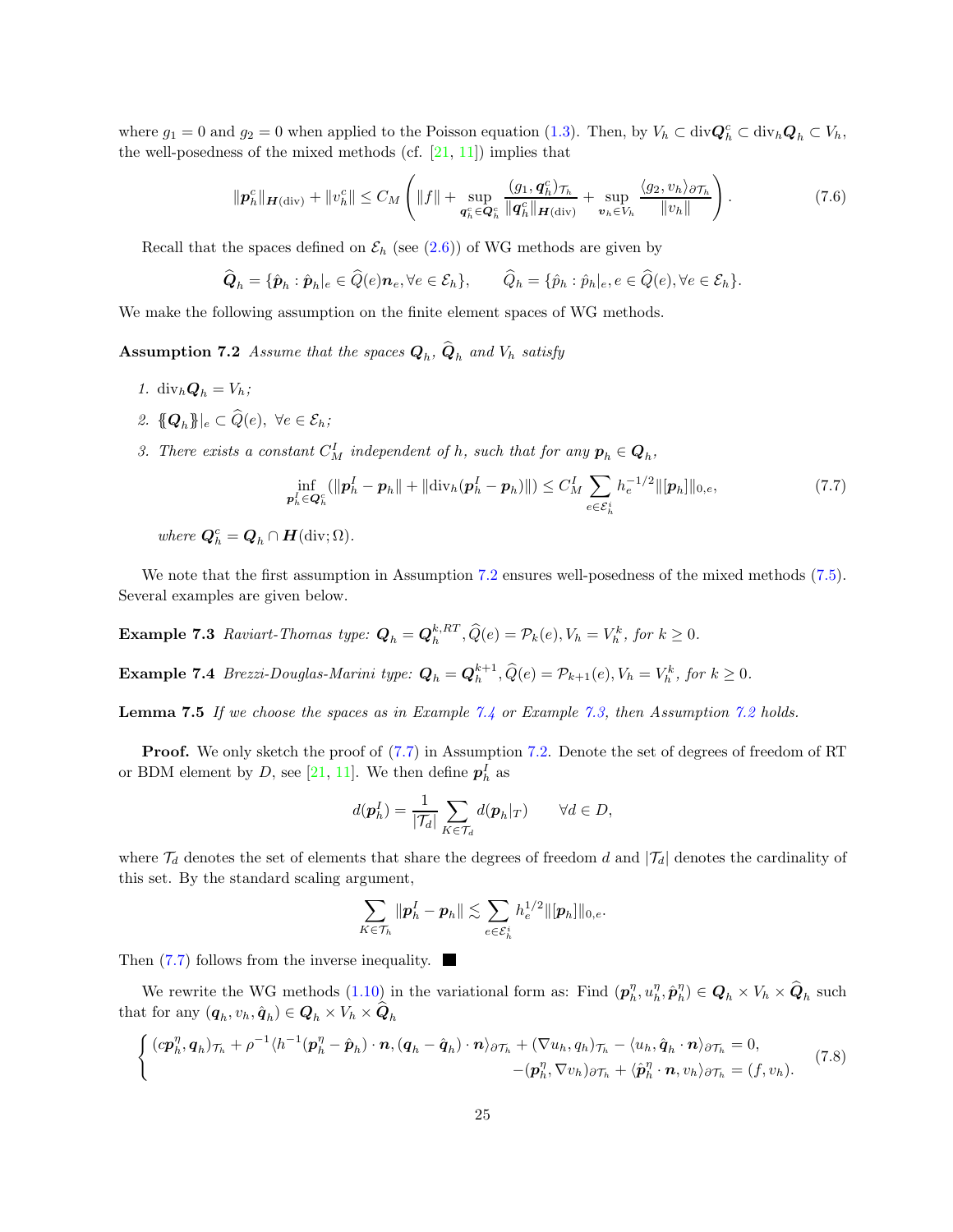where  $g_1 = 0$  and  $g_2 = 0$  when applied to the Poisson equation [\(1.3\)](#page-1-2). Then, by  $V_h \subset \text{div} \mathbf{Q}_h^c \subset \text{div}_h \mathbf{Q}_h \subset V_h$ , the well-posedness of the mixed methods (cf.  $[21, 11]$  $[21, 11]$ ) implies that

<span id="page-24-5"></span>
$$
\|\boldsymbol{p}_h^c\|_{\boldsymbol{H}(\text{div})} + \|v_h^c\| \le C_M \left( \|f\| + \sup_{\boldsymbol{q}_h^c \in \boldsymbol{Q}_h^c} \frac{(g_1, \boldsymbol{q}_h^c)_{\mathcal{T}_h}}{\|\boldsymbol{q}_h^c\|_{\boldsymbol{H}(\text{div})}} + \sup_{\boldsymbol{v}_h \in V_h} \frac{\langle g_2, v_h \rangle_{\partial \mathcal{T}_h}}{\|v_h\|} \right). \tag{7.6}
$$

Recall that the spaces defined on  $\mathcal{E}_h$  (see [\(2.6\)](#page-8-3)) of WG methods are given by

$$
\widehat{\bm{Q}}_h = \{\hat{\bm{p}}_h : \hat{\bm{p}}_h|_e \in \widehat{Q}(e)\bm{n}_e, \forall e \in \mathcal{E}_h\}, \qquad \widehat{Q}_h = \{\hat{p}_h : \hat{p}_h|_e, e \in \widehat{Q}(e), \forall e \in \mathcal{E}_h\}.
$$

<span id="page-24-0"></span>We make the following assumption on the finite element spaces of WG methods.

**Assumption 7.2** Assume that the spaces  $Q_h$ ,  $Q_h$  and  $V_h$  satisfy

- 1. div $h\mathbf{Q}_h = V_h$ ;
- 2.  ${Q_h}$  $\|e \subset \widehat{Q}(e), \ \forall e \in \mathcal{E}_h;$
- 3. There exists a constant  $C_M^I$  independent of h, such that for any  $p_h \in Q_h$ ,

<span id="page-24-3"></span>
$$
\inf_{\mathbf{p}_h^I \in \mathbf{Q}_h^c} (\|\mathbf{p}_h^I - \mathbf{p}_h\| + \|div_h(\mathbf{p}_h^I - \mathbf{p}_h)\|) \le C_M^I \sum_{e \in \mathcal{E}_h^i} h_e^{-1/2} \|[p_h]\|_{0,e},\tag{7.7}
$$

where  $\mathbf{Q}_h^c = \mathbf{Q}_h \cap \mathbf{H}(\text{div}; \Omega)$ .

<span id="page-24-2"></span>We note that the first assumption in Assumption [7.2](#page-24-0) ensures well-posedness of the mixed methods [\(7.5\)](#page-23-0). Several examples are given below.

<span id="page-24-1"></span>**Example 7.3** Raviart-Thomas type:  $Q_h = Q_h^{k, RT}, \hat{Q}(e) = P_k(e), V_h = V_h^k$ , for  $k \ge 0$ .

**Example 7.4** Brezzi-Douglas-Marini type:  $Q_h = Q_h^{k+1}$ ,  $\hat{Q}(e) = \mathcal{P}_{k+1}(e)$ ,  $V_h = V_h^k$ , for  $k \geq 0$ .

Lemma 7.5 If we choose the spaces as in Example [7.4](#page-24-1) or Example [7.3,](#page-24-2) then Assumption [7.2](#page-24-0) holds.

Proof. We only sketch the proof of  $(7.7)$  in Assumption [7.2.](#page-24-0) Denote the set of degrees of freedom of RT or BDM element by D, see [\[21,](#page-32-5) [11\]](#page-31-0). We then define  $p<sub>h</sub><sup>I</sup>$  as

$$
d(\boldsymbol{p}_h^I) = \frac{1}{|\mathcal{T}_d|} \sum_{K \in \mathcal{T}_d} d(\boldsymbol{p}_h|_T) \qquad \forall d \in D,
$$

where  $\mathcal{T}_d$  denotes the set of elements that share the degrees of freedom d and  $|\mathcal{T}_d|$  denotes the cardinality of this set. By the standard scaling argument,

<span id="page-24-4"></span>
$$
\sum_{K\in\mathcal{T}_h}\|\bm{p}_h^I-\bm{p}_h\|\lesssim \sum_{e\in\mathcal{E}_h^i}h_e^{1/2}\|[\bm{p}_h]\|_{0,e}.
$$

Then  $(7.7)$  follows from the inverse inequality.

We rewrite the WG methods  $(1.10)$  in the variational form as: Find  $(\boldsymbol{p}_h^{\eta}, u_h^{\eta}, \hat{\boldsymbol{p}}_h^{\eta}) \in \boldsymbol{Q}_h \times V_h \times \widehat{\boldsymbol{Q}}_h$  such that for any  $(q_h, v_h, \hat{q}_h) \in \mathbf{Q}_h \times V_h \times \mathbf{Q}_h$ 

<span id="page-24-6"></span>
$$
\begin{cases}\n\left(c\mathbf{p}_{h}^{\eta},\mathbf{q}_{h}\right)_{\mathcal{T}_{h}} + \rho^{-1}\langle h^{-1}(\mathbf{p}_{h}^{\eta} - \hat{\mathbf{p}}_{h})\cdot\mathbf{n},\left(\mathbf{q}_{h} - \hat{\mathbf{q}}_{h}\right)\cdot\mathbf{n}\rangle_{\partial\mathcal{T}_{h}} + \left(\nabla u_{h}, q_{h}\right)_{\mathcal{T}_{h}} - \langle u_{h}, \hat{\mathbf{q}}_{h}\cdot\mathbf{n}\rangle_{\partial\mathcal{T}_{h}} = 0, \\
-\left(\mathbf{p}_{h}^{\eta}, \nabla v_{h}\right)_{\partial\mathcal{T}_{h}} + \langle\hat{\mathbf{p}}_{h}^{\eta}\cdot\mathbf{n}, v_{h}\rangle_{\partial\mathcal{T}_{h}} = (f, v_{h}).\n\end{cases} (7.8)
$$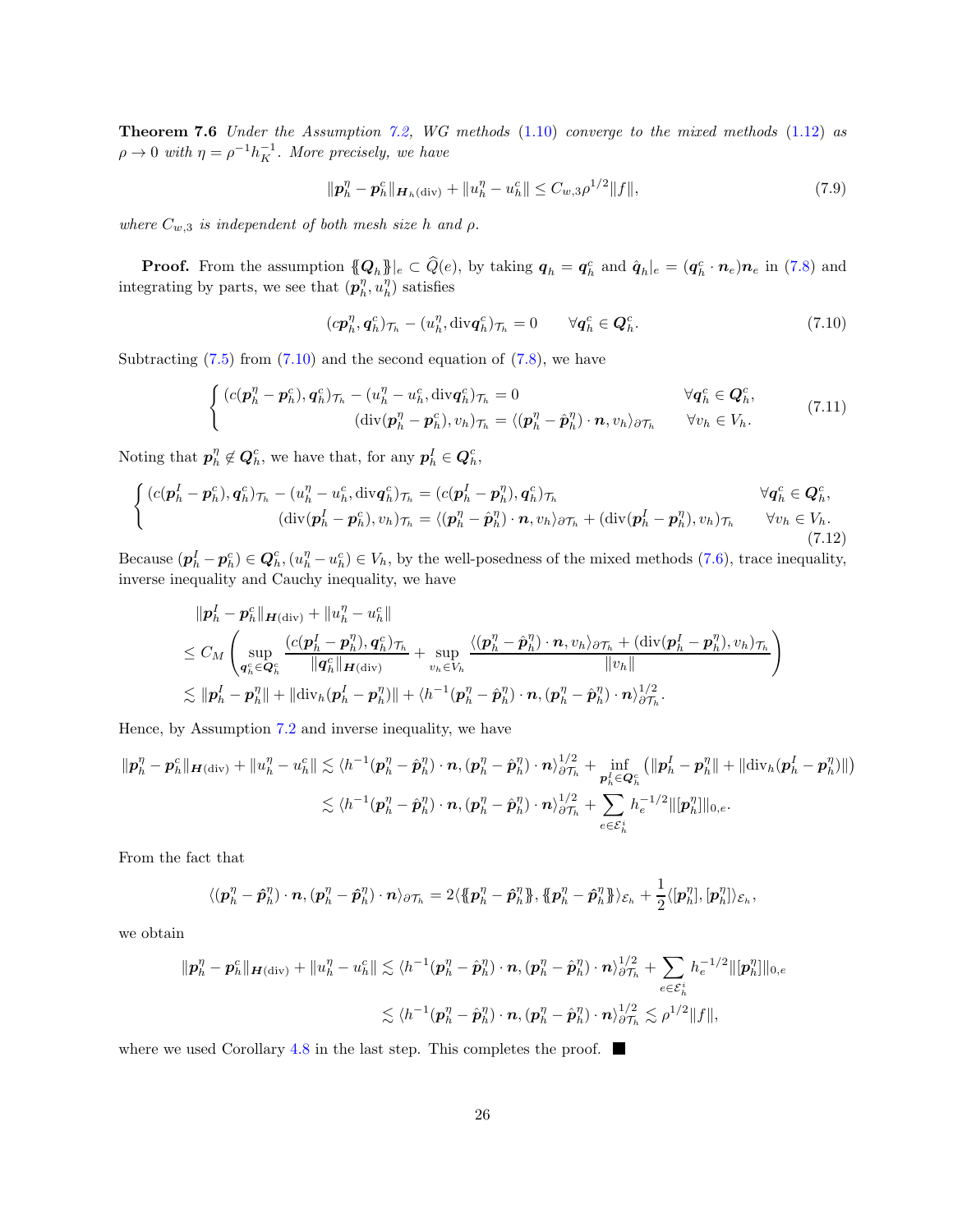Theorem 7.6 Under the Assumption [7.2,](#page-24-0) WG methods [\(1.10\)](#page-2-2) converge to the mixed methods [\(1.12\)](#page-2-5) as  $\rho \rightarrow 0$  with  $\eta = \rho^{-1} h_K^{-1}$ . More precisely, we have

$$
\|\mathbf{p}_h^{\eta} - \mathbf{p}_h^c\|_{\mathbf{H}_h(\text{div})} + \|u_h^{\eta} - u_h^c\| \le C_{w,3} \rho^{1/2} \|f\|,
$$
\n(7.9)

where  $C_{w,3}$  is independent of both mesh size h and  $\rho$ .

**Proof.** From the assumption  ${[Q_h]}_e \subset \hat{Q}(e)$ , by taking  $q_h = q_h^c$  and  $\hat{q}_h|_e = (q_h^c \cdot n_e) n_e$  in [\(7.8\)](#page-24-4) and integrating by parts, we see that  $(\boldsymbol{p}_h^{\eta}, u_h^{\eta})$  satisfies

<span id="page-25-0"></span>
$$
(c\boldsymbol{p}_h^{\eta}, \boldsymbol{q}_h^c)_{\mathcal{T}_h} - (u_h^{\eta}, \text{div}\boldsymbol{q}_h^c)_{\mathcal{T}_h} = 0 \qquad \forall \boldsymbol{q}_h^c \in \boldsymbol{Q}_h^c.
$$

Subtracting  $(7.5)$  from  $(7.10)$  and the second equation of  $(7.8)$ , we have

$$
\begin{cases}\n(c(\mathbf{p}_h^{\eta} - \mathbf{p}_h^c), \mathbf{q}_h^c)_{\mathcal{T}_h} - (u_h^{\eta} - u_h^c, \text{div}\mathbf{q}_h^c)_{\mathcal{T}_h} = 0 & \forall \mathbf{q}_h^c \in \mathbf{Q}_h^c, \\
(\text{div}(\mathbf{p}_h^{\eta} - \mathbf{p}_h^c), v_h)_{\mathcal{T}_h} = \langle (\mathbf{p}_h^{\eta} - \hat{\mathbf{p}}_h^{\eta}) \cdot \mathbf{n}, v_h \rangle_{\partial \mathcal{T}_h} & \forall v_h \in V_h.\n\end{cases} (7.11)
$$

Noting that  $p_h^{\eta} \notin Q_h^c$ , we have that, for any  $p_h^I \in Q_h^c$ ,

$$
\begin{cases}\n(c(\mathbf{p}_h^I - \mathbf{p}_h^c), \mathbf{q}_h^c)_{\mathcal{T}_h} - (u_h^{\eta} - u_h^c, \text{div}\mathbf{q}_h^c)_{\mathcal{T}_h} = (c(\mathbf{p}_h^I - \mathbf{p}_h^{\eta}), \mathbf{q}_h^c)_{\mathcal{T}_h} & \forall \mathbf{q}_h^c \in \mathbf{Q}_h^c, \\
(\text{div}(\mathbf{p}_h^I - \mathbf{p}_h^c), v_h)_{\mathcal{T}_h} = \langle (\mathbf{p}_h^{\eta} - \hat{\mathbf{p}}_h^{\eta}) \cdot \mathbf{n}, v_h \rangle_{\partial \mathcal{T}_h} + (\text{div}(\mathbf{p}_h^I - \mathbf{p}_h^{\eta}), v_h)_{\mathcal{T}_h} & \forall v_h \in V_h. \\
(7.12)\n\end{cases}
$$

Because  $(\boldsymbol{p}_h^I - \boldsymbol{p}_h^c) \in \boldsymbol{Q}_h^c$ ,  $(u_h^{\eta} - u_h^c) \in V_h$ , by the well-posedness of the mixed methods [\(7.6\)](#page-24-5), trace inequality, inverse inequality and Cauchy inequality, we have

$$
\begin{aligned} &\|\boldsymbol{p}_h^I - \boldsymbol{p}_h^c\|_{\boldsymbol{H}(\mathrm{div})} + \|u_h^\eta - u_h^c\| \\ &\leq C_M\left(\sup_{\boldsymbol{q}_h^c \in \mathcal{Q}_h^c} \frac{(c(\boldsymbol{p}_h^I - \boldsymbol{p}_h^\eta), \boldsymbol{q}_h^c)_{\mathcal{T}_h}}{\|\boldsymbol{q}_h^c\|_{\boldsymbol{H}(\mathrm{div})}} + \sup_{v_h \in V_h} \frac{\langle (\boldsymbol{p}_h^\eta - \hat{\boldsymbol{p}}_h^\eta) \cdot \boldsymbol{n}, v_h \rangle_{\partial \mathcal{T}_h} + (\mathrm{div}(\boldsymbol{p}_h^I - \boldsymbol{p}_h^\eta), v_h)_{\mathcal{T}_h}}{\|v_h\|} \right) \\ &\lesssim \|\boldsymbol{p}_h^I - \boldsymbol{p}_h^\eta\| + \|\mathrm{div}_h(\boldsymbol{p}_h^I - \boldsymbol{p}_h^\eta)\| + \langle h^{-1}(\boldsymbol{p}_h^\eta - \hat{\boldsymbol{p}}_h^\eta) \cdot \boldsymbol{n}, (\boldsymbol{p}_h^\eta - \hat{\boldsymbol{p}}_h^\eta) \cdot \boldsymbol{n}\rangle_{\partial \mathcal{T}_h}^{1/2}.\end{aligned}
$$

Hence, by Assumption [7.2](#page-24-0) and inverse inequality, we have

$$
\|\boldsymbol{p}_h^{\eta} - \boldsymbol{p}_h^c\|_{\boldsymbol{H}(\mathrm{div})} + \|u_h^{\eta} - u_h^c\| \lesssim \langle h^{-1}(\boldsymbol{p}_h^{\eta} - \hat{\boldsymbol{p}}_h^{\eta}) \cdot \boldsymbol{n}, (\boldsymbol{p}_h^{\eta} - \hat{\boldsymbol{p}}_h^{\eta}) \cdot \boldsymbol{n} \rangle_{\partial \mathcal{T}_h}^{1/2} + \inf_{\boldsymbol{p}_h^I \in \mathcal{Q}_h^c} \left( \|\boldsymbol{p}_h^I - \boldsymbol{p}_h^{\eta}\| + \|\mathrm{div}_h(\boldsymbol{p}_h^I - \boldsymbol{p}_h^{\eta})\|\right) \\ \lesssim \langle h^{-1}(\boldsymbol{p}_h^{\eta} - \hat{\boldsymbol{p}}_h^{\eta}) \cdot \boldsymbol{n}, (\boldsymbol{p}_h^{\eta} - \hat{\boldsymbol{p}}_h^{\eta}) \cdot \boldsymbol{n} \rangle_{\partial \mathcal{T}_h}^{1/2} + \sum_{e \in \mathcal{E}_h^i} h_e^{-1/2} \|\,[\boldsymbol{p}_h^{\eta}]\|_{0,e}.
$$

From the fact that

I

$$
\langle (\boldsymbol{p}_h^{\eta} - \hat{\boldsymbol{p}}_h^{\eta}) \cdot \boldsymbol{n}, (\boldsymbol{p}_h^{\eta} - \hat{\boldsymbol{p}}_h^{\eta}) \cdot \boldsymbol{n} \rangle_{\partial \mathcal{T}_h} = 2 \langle \{\!\{\boldsymbol{p}_h^{\eta} - \hat{\boldsymbol{p}}_h^{\eta}\}\!\}, \{\!\{\boldsymbol{p}_h^{\eta} - \hat{\boldsymbol{p}}_h^{\eta}\}\!\}\rangle_{\mathcal{E}_h} + \frac{1}{2} \langle [\boldsymbol{p}_h^{\eta}], [\boldsymbol{p}_h^{\eta}]\rangle_{\mathcal{E}_h},
$$

we obtain

$$
\begin{aligned}\n\|\boldsymbol{p}_h^{\eta} - \boldsymbol{p}_h^c\|_{\boldsymbol{H}(\mathrm{div})} + \|u_h^{\eta} - u_h^c\| &\leq \langle h^{-1}(\boldsymbol{p}_h^{\eta} - \hat{\boldsymbol{p}}_h^{\eta}) \cdot \boldsymbol{n}, (\boldsymbol{p}_h^{\eta} - \hat{\boldsymbol{p}}_h^{\eta}) \cdot \boldsymbol{n} \rangle_{\partial \mathcal{T}_h}^{1/2} + \sum_{e \in \mathcal{E}_h^i} h_e^{-1/2} \|[\boldsymbol{p}_h^{\eta}]\|_{0,e} \\
&\leq \langle h^{-1}(\boldsymbol{p}_h^{\eta} - \hat{\boldsymbol{p}}_h^{\eta}) \cdot \boldsymbol{n}, (\boldsymbol{p}_h^{\eta} - \hat{\boldsymbol{p}}_h^{\eta}) \cdot \boldsymbol{n} \rangle_{\partial \mathcal{T}_h}^{1/2} \leq \rho^{1/2} \|f\|,\n\end{aligned}
$$

where we used Corollary [4.8](#page-13-2) in the last step. This completes the proof.  $\Box$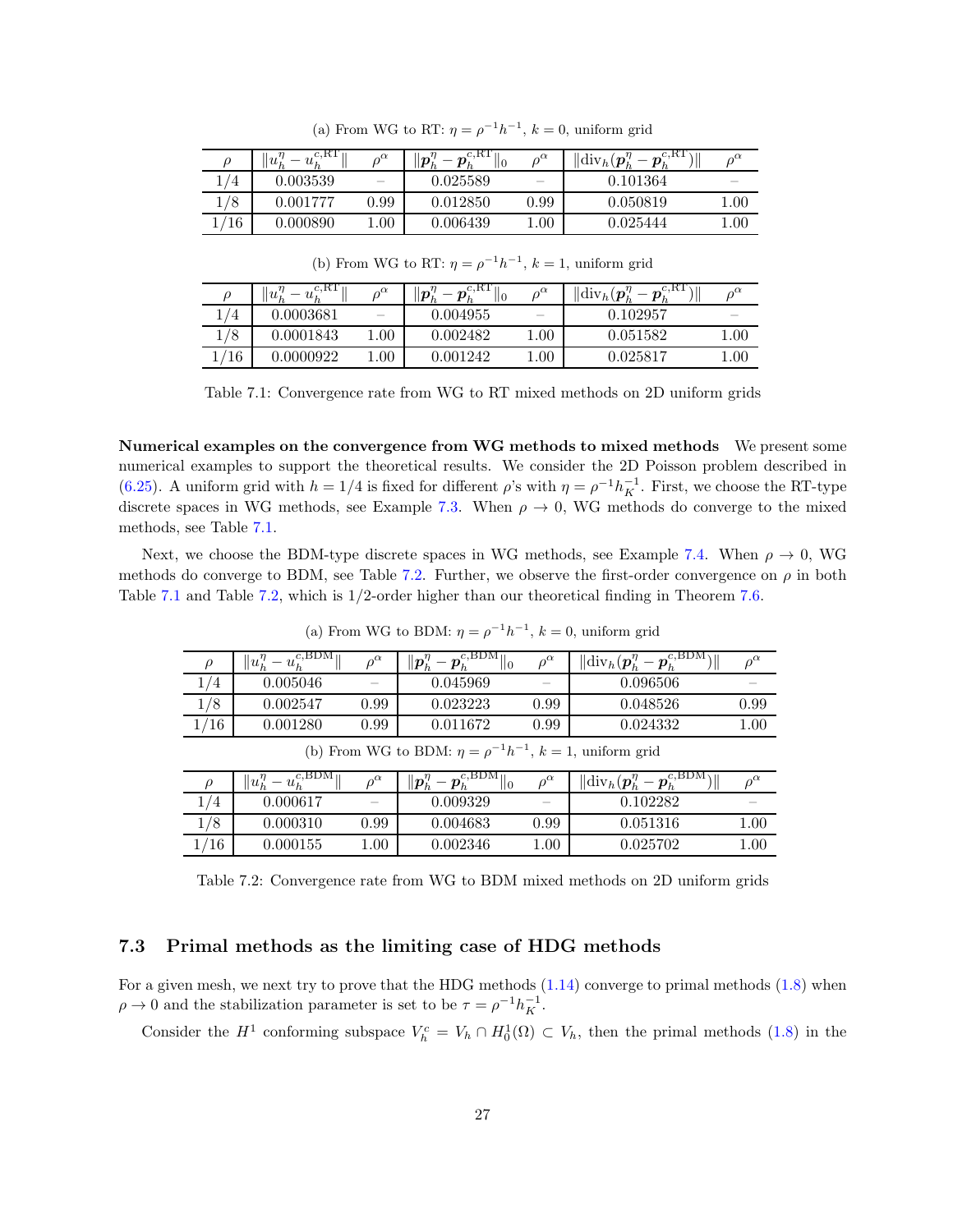<span id="page-26-0"></span>

|     | c, RT<br>$u_{k}$<br>$u_{\iota}$ | $\alpha^{\alpha}$        | $c, \text{KL}$<br>$ p^{\gamma}_h$<br>$\sim$<br>$\vert 0$ | $\rho^{\alpha}$          | $\ \text{div}_h(\boldsymbol{p}_h^{\eta})\ $<br>$\boldsymbol{p}_k$ |                          |
|-----|---------------------------------|--------------------------|----------------------------------------------------------|--------------------------|-------------------------------------------------------------------|--------------------------|
| 4   | 0.003539                        | $\overline{\phantom{a}}$ | 0.025589                                                 | $\overline{\phantom{a}}$ | 0.101364                                                          | $\overline{\phantom{a}}$ |
| '8  | 0.001777                        | 0.99                     | 0.012850                                                 | 0.99                     | 0.050819                                                          | 0.00                     |
| /16 | 0.000890                        | .00.                     | 0.006439                                                 | 00.1                     | 0.025444                                                          | .00.                     |

(a) From WG to RT:  $\eta = \rho^{-1}h^{-1}$ ,  $k = 0$ , uniform grid

(b) From WG to RT:  $\eta = \rho^{-1}h^{-1}$ ,  $k = 1$ , uniform grid

|      | $c$ , $RT$<br>$u_{\iota}$<br>$u_{i}$ | $\alpha$ | c.n.<br>$ \bm{p}_h $<br>$\mathbf{r}$<br>$\vert 0$ | $\alpha$                 | $\mu(\bm{p}^{\eta})$<br>$-p_k^{c,\text{KL}}$<br>$\left\Vert \text{div}_{h}\right\Vert$ | $\alpha$                 |
|------|--------------------------------------|----------|---------------------------------------------------|--------------------------|----------------------------------------------------------------------------------------|--------------------------|
|      | $\,0.0003681\,$                      |          | 0.004955                                          | $\overline{\phantom{a}}$ | 0.102957                                                                               | $\overline{\phantom{a}}$ |
| 8    | 0.0001843                            | .00.     | 0.002482                                          | 00.1                     | 0.051582                                                                               | $1.00\,$                 |
| 1/16 | 0.0000922                            | .00      | $\,0.001242\,$                                    | $1.00\,$                 | 0.025817                                                                               | .00                      |

Table 7.1: Convergence rate from WG to RT mixed methods on 2D uniform grids

Numerical examples on the convergence from WG methods to mixed methods We present some numerical examples to support the theoretical results. We consider the 2D Poisson problem described in [\(6.25\)](#page-21-2). A uniform grid with  $h = 1/4$  is fixed for different  $\rho$ 's with  $\eta = \rho^{-1} h_K^{-1}$ . First, we choose the RT-type discrete spaces in WG methods, see Example [7.3.](#page-24-2) When  $\rho \to 0$ , WG methods do converge to the mixed methods, see Table [7.1.](#page-26-0)

<span id="page-26-1"></span>Next, we choose the BDM-type discrete spaces in WG methods, see Example [7.4.](#page-24-1) When  $\rho \to 0$ , WG methods do converge to BDM, see Table [7.2.](#page-26-1) Further, we observe the first-order convergence on  $\rho$  in both Table [7.1](#page-26-0) and Table [7.2,](#page-26-1) which is 1/2-order higher than our theoretical finding in Theorem [7.6.](#page-24-6)

| $\rho$                                                                | $c, \text{BDM}$<br>$\ u_h^\eta$<br>$-u_{\nu}$                 | $\rho^{\alpha}$ | $\ \boldsymbol{p}_h^{\eta} - \overline{\boldsymbol{p}_h^{c,\textrm{BDM}}}\ $<br>Ħо | $\rho^{\alpha}$ | $\ \text{\rm div}_h (\boldsymbol{p}_h^{\eta} - \boldsymbol{p}_h^{c,\text{BDM}})$ | $\rho^{\alpha}$ |  |
|-----------------------------------------------------------------------|---------------------------------------------------------------|-----------------|------------------------------------------------------------------------------------|-----------------|----------------------------------------------------------------------------------|-----------------|--|
| 1/4                                                                   | 0.005046                                                      |                 | 0.045969                                                                           |                 | 0.096506                                                                         |                 |  |
| 1/8                                                                   | 0.002547                                                      | 0.99            | 0.023223                                                                           | 0.99            | 0.048526                                                                         | 0.99            |  |
| 1/16                                                                  | 0.001280                                                      | 0.99            | 0.011672                                                                           | 0.99            | 0.024332                                                                         | 1.00            |  |
| (b) From WG to BDM: $\eta = \rho^{-1}h^{-1}$ , $k = 1$ , uniform grid |                                                               |                 |                                                                                    |                 |                                                                                  |                 |  |
| $\rho$                                                                | $= u_h^{c,\overline{\operatorname{BDM}}_h}$<br>$  u_h^{\eta}$ | $\rho^{\alpha}$ | $\ \boldsymbol{p}_h^{\eta} - \boldsymbol{p}_h^{c,\mathrm{BDM}}\ _0$                | $\rho^{\alpha}$ | $\ \text{\rm div}_h (\boldsymbol{p}_h^{\eta} - \boldsymbol{p}_h^{c,\text{BDM}})$ | $\rho^{\alpha}$ |  |
| 1/4                                                                   | 0.000617                                                      |                 | 0.009329                                                                           |                 | 0.102282                                                                         |                 |  |
| 1/8                                                                   | 0.000310                                                      | 0.99            | 0.004683                                                                           | 0.99            | 0.051316                                                                         | 1.00            |  |
| 1/16                                                                  | 0.000155                                                      | 1.00            | 0.002346                                                                           | 1.00            | 0.025702                                                                         | 1.00            |  |

(a) From WG to BDM:  $\eta = \rho^{-1}h^{-1}$ ,  $k = 0$ , uniform grid

Table 7.2: Convergence rate from WG to BDM mixed methods on 2D uniform grids

### 7.3 Primal methods as the limiting case of HDG methods

For a given mesh, we next try to prove that the HDG methods  $(1.14)$  converge to primal methods  $(1.8)$  when  $\rho \to 0$  and the stabilization parameter is set to be  $\tau = \rho^{-1} h_K^{-1}$ .

Consider the  $H^1$  conforming subspace  $V_h^c = V_h \cap H_0^1(\Omega) \subset V_h$ , then the primal methods [\(1.8\)](#page-2-4) in the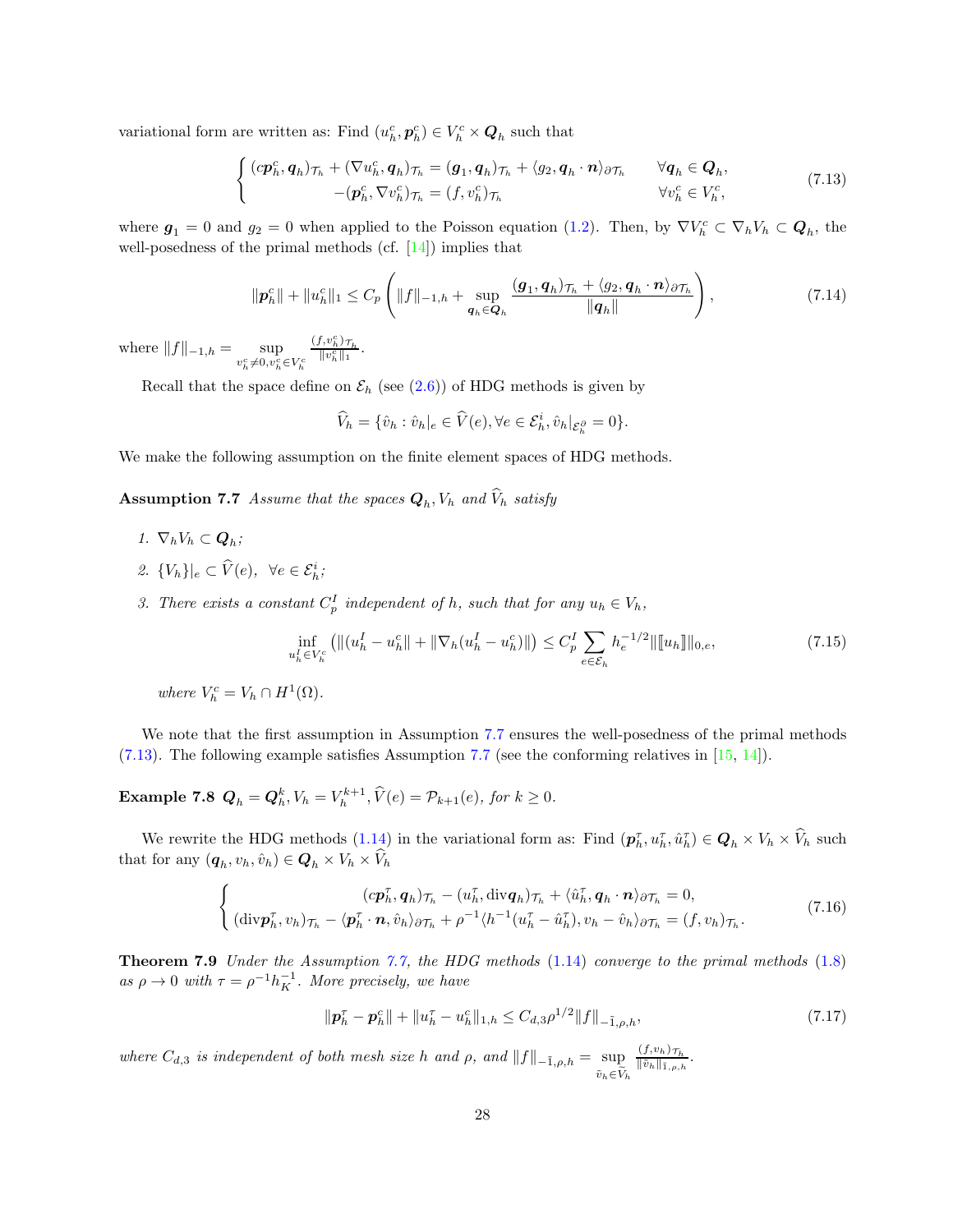variational form are written as: Find  $(u_h^c, p_h^c) \in V_h^c \times Q_h$  such that

<span id="page-27-1"></span>
$$
\begin{cases}\n(c\boldsymbol{p}_h^c, \boldsymbol{q}_h)_{\mathcal{T}_h} + (\nabla u_h^c, \boldsymbol{q}_h)_{\mathcal{T}_h} = (\boldsymbol{g}_1, \boldsymbol{q}_h)_{\mathcal{T}_h} + \langle g_2, \boldsymbol{q}_h \cdot \boldsymbol{n} \rangle_{\partial \mathcal{T}_h} & \forall \boldsymbol{q}_h \in \boldsymbol{Q}_h, \\
-(\boldsymbol{p}_h^c, \nabla v_h^c)_{\mathcal{T}_h} = (f, v_h^c)_{\mathcal{T}_h} & \forall v_h^c \in V_h^c,\n\end{cases}
$$
\n(7.13)

where  $g_1 = 0$  and  $g_2 = 0$  when applied to the Poisson equation [\(1.2\)](#page-0-1). Then, by  $\nabla V_h^c \subset \nabla_h V_h \subset \mathbf{Q}_h$ , the well-posedness of the primal methods (cf.  $[14]$ ) implies that

$$
\|\boldsymbol{p}_h^c\| + \|u_h^c\|_1 \leq C_p \left( \|f\|_{-1,h} + \sup_{\boldsymbol{q}_h \in \boldsymbol{Q}_h} \frac{(\boldsymbol{g}_1, \boldsymbol{q}_h)_{\mathcal{T}_h} + \langle g_2, \boldsymbol{q}_h \cdot \boldsymbol{n} \rangle_{\partial \mathcal{T}_h}}{\|\boldsymbol{q}_h\|} \right),\tag{7.14}
$$

where  $||f||_{-1,h} = \sup_{v_h^c \neq 0, v_h^c \in V_h^c}$  $\frac{(f, v_h^c) \tau_h}{\|v_h^c\|_1}$ .

Recall that the space define on  $\mathcal{E}_h$  (see [\(2.6\)](#page-8-3)) of HDG methods is given by

<span id="page-27-3"></span>
$$
\widehat{V}_h = \{\hat{v}_h : \hat{v}_h|_e \in \widehat{V}(e), \forall e \in \mathcal{E}_h^i, \hat{v}_h|_{\mathcal{E}_h^{\partial}} = 0\}.
$$

<span id="page-27-0"></span>We make the following assumption on the finite element spaces of HDG methods.

**Assumption 7.7** Assume that the spaces  $\mathbf{Q}_h$ ,  $V_h$  and  $V_h$  satisfy

- 1.  $\nabla_h V_h \subset \mathbf{Q}_h$ ;
- 2.  $\{V_h\}|_e \subset \hat{V}(e)$ ,  $\forall e \in \mathcal{E}_h^i$ ;
- 3. There exists a constant  $C_p^I$  independent of h, such that for any  $u_h \in V_h$ ,

$$
\inf_{u_h^I \in V_h^c} \left( \| (u_h^I - u_h^c \| + \| \nabla_h (u_h^I - u_h^c) \| \right) \le C_p^I \sum_{e \in \mathcal{E}_h} h_e^{-1/2} \| [u_h] \|_{0,e},\tag{7.15}
$$

where  $V_h^c = V_h \cap H^1(\Omega)$ .

<span id="page-27-4"></span>We note that the first assumption in Assumption [7.7](#page-27-0) ensures the well-posedness of the primal methods [\(7.13\)](#page-27-1). The following example satisfies Assumption [7.7](#page-27-0) (see the conforming relatives in [\[15,](#page-32-9) [14\]](#page-32-6)).

**Example 7.8**  $Q_h = Q_h^k$ ,  $V_h = V_h^{k+1}$ ,  $\hat{V}(e) = \mathcal{P}_{k+1}(e)$ , for  $k \geq 0$ .

We rewrite the HDG methods  $(1.14)$  in the variational form as: Find  $(p_h^{\tau}, u_h^{\tau}, \hat{u}_h^{\tau}) \in Q_h \times V_h \times V_h$  such that for any  $(\boldsymbol{q}_h, v_h, \hat{v}_h) \in \boldsymbol{Q}_h \times V_h \times V_h$ 

$$
\begin{cases}\n\left(c\mathbf{p}_h^{\tau}, \mathbf{q}_h\right)_{\mathcal{T}_h} - \left(u_h^{\tau}, \text{div}\mathbf{q}_h\right)_{\mathcal{T}_h} + \langle \hat{u}_h^{\tau}, \mathbf{q}_h \cdot \mathbf{n} \rangle_{\partial \mathcal{T}_h} = 0, \\
\left(\text{div}\mathbf{p}_h^{\tau}, v_h\right)_{\mathcal{T}_h} - \langle \mathbf{p}_h^{\tau} \cdot \mathbf{n}, \hat{v}_h \rangle_{\partial \mathcal{T}_h} + \rho^{-1} \langle h^{-1}(u_h^{\tau} - \hat{u}_h^{\tau}), v_h - \hat{v}_h \rangle_{\partial \mathcal{T}_h} = (f, v_h)_{\mathcal{T}_h}.\n\end{cases} \tag{7.16}
$$

<span id="page-27-5"></span>Theorem 7.9 Under the Assumption [7.7,](#page-27-0) the HDG methods [\(1.14\)](#page-4-1) converge to the primal methods [\(1.8\)](#page-2-4) as  $\rho \to 0$  with  $\tau = \rho^{-1} h_K^{-1}$ . More precisely, we have

<span id="page-27-2"></span>
$$
\|\mathbf{p}_h^{\tau} - \mathbf{p}_h^c\| + \|u_h^{\tau} - u_h^c\|_{1,h} \leq C_{d,3}\rho^{1/2} \|f\|_{-\tilde{1},\rho,h},\tag{7.17}
$$

where  $C_{d,3}$  is independent of both mesh size h and  $\rho$ , and  $||f||_{-\tilde{1},\rho,h} = \sup$  $\tilde{v}_h \in \tilde{\widetilde{V}}_h$  $(f,v_h)_{\mathcal{T}_h}$  $\frac{\langle j, v_h \rangle \gamma_h}{\|\tilde{v}_h\|_{\tilde{1},\rho,h}}$ .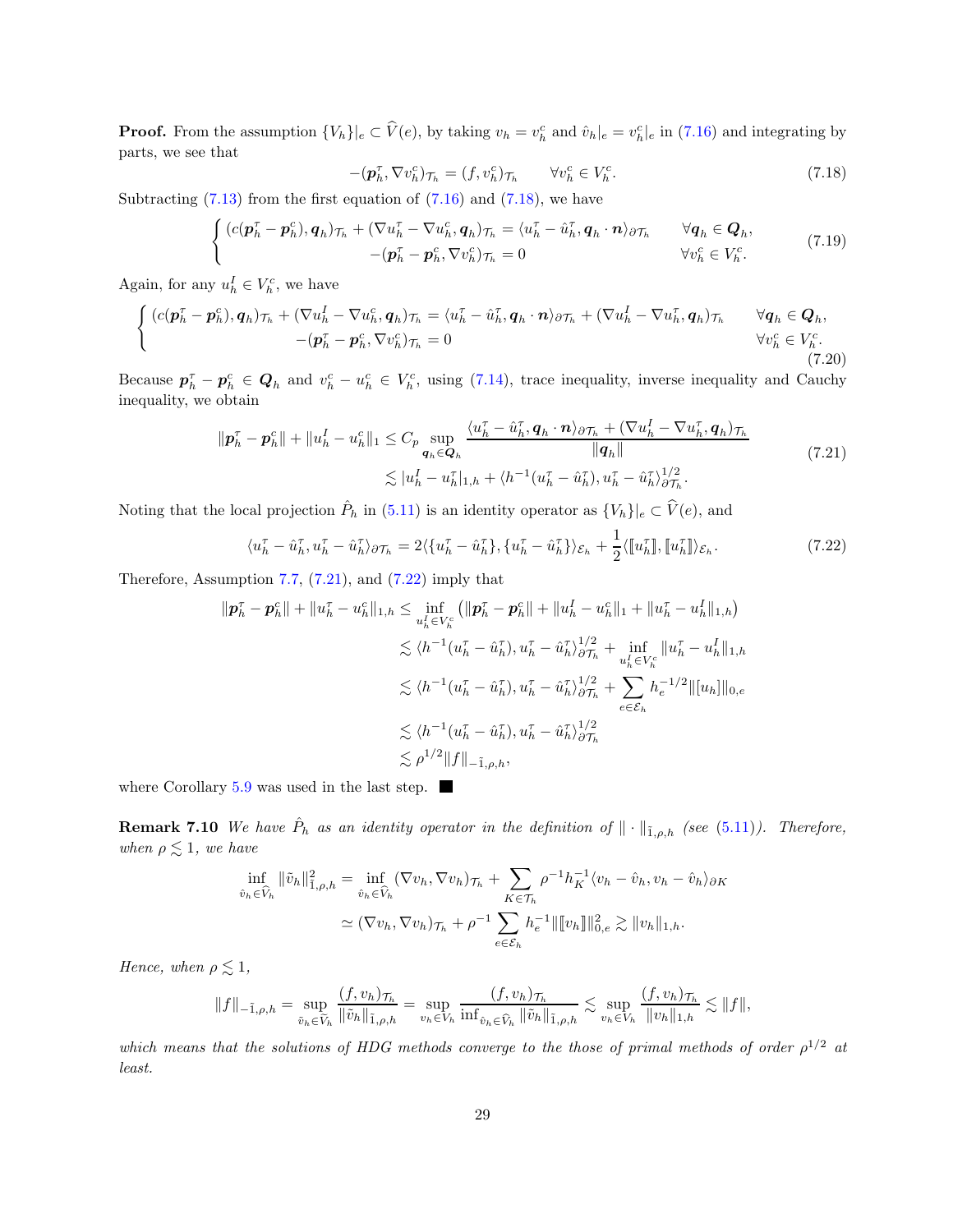**Proof.** From the assumption  $\{V_h\}|_e \subset \hat{V}(e)$ , by taking  $v_h = v_h^c$  and  $\hat{v}_h|_e = v_h^c|_e$  in  $(7.16)$  and integrating by parts, we see that

$$
-(\boldsymbol{p}_h^{\tau}, \nabla v_h^c)_{\mathcal{T}_h} = (f, v_h^c)_{\mathcal{T}_h} \qquad \forall v_h^c \in V_h^c. \tag{7.18}
$$

Subtracting  $(7.13)$  from the first equation of  $(7.16)$  and  $(7.18)$ , we have

<span id="page-28-0"></span>
$$
\begin{cases}\n(c(\mathbf{p}_h^{\tau} - \mathbf{p}_h^c), \mathbf{q}_h)_{\mathcal{T}_h} + (\nabla u_h^{\tau} - \nabla u_h^c, \mathbf{q}_h)_{\mathcal{T}_h} = \langle u_h^{\tau} - \hat{u}_h^{\tau}, \mathbf{q}_h \cdot \mathbf{n} \rangle_{\partial \mathcal{T}_h} & \forall \mathbf{q}_h \in \mathbf{Q}_h, \\
-(\mathbf{p}_h^{\tau} - \mathbf{p}_h^c, \nabla v_h^c)_{\mathcal{T}_h} = 0 & \forall v_h^c \in V_h^c.\n\end{cases}
$$
\n(7.19)

Again, for any  $u_h^I \in V_h^c$ , we have

$$
\begin{cases}\n(c(\mathbf{p}_h^{\tau} - \mathbf{p}_h^c), \mathbf{q}_h)_{\mathcal{T}_h} + (\nabla u_h^I - \nabla u_h^c, \mathbf{q}_h)_{\mathcal{T}_h} = \langle u_h^{\tau} - \hat{u}_h^{\tau}, \mathbf{q}_h \cdot \mathbf{n} \rangle_{\partial \mathcal{T}_h} + (\nabla u_h^I - \nabla u_h^{\tau}, \mathbf{q}_h)_{\mathcal{T}_h} & \forall \mathbf{q}_h \in \mathbf{Q}_h, \\
-(\mathbf{p}_h^{\tau} - \mathbf{p}_h^c, \nabla v_h^c)_{\mathcal{T}_h} = 0 & \forall v_h^c \in V_h^c.\n\end{cases}
$$
\n(7.20)

Because  $p_h^{\tau} - p_h^c \in Q_h$  and  $v_h^c - u_h^c \in V_h^c$ , using [\(7.14\)](#page-27-3), trace inequality, inverse inequality and Cauchy inequality, we obtain

<span id="page-28-1"></span>
$$
\|\boldsymbol{p}_h^{\tau} - \boldsymbol{p}_h^c\| + \|u_h^I - u_h^c\|_1 \leq C_p \sup_{\boldsymbol{q}_h \in \boldsymbol{Q}_h} \frac{\langle u_h^{\tau} - \hat{u}_h^{\tau}, \boldsymbol{q}_h \cdot \boldsymbol{n} \rangle_{\partial \mathcal{T}_h} + (\nabla u_h^I - \nabla u_h^{\tau}, \boldsymbol{q}_h)_{\mathcal{T}_h}}{\|\boldsymbol{q}_h\|} \leq |u_h^I - u_h^{\tau}|_{1,h} + \langle h^{-1}(u_h^{\tau} - \hat{u}_h^{\tau}), u_h^{\tau} - \hat{u}_h^{\tau}\rangle_{\partial \mathcal{T}_h}^{1/2}.
$$
\n(7.21)

Noting that the local projection  $\hat{P}_h$  in [\(5.11\)](#page-16-0) is an identity operator as  $\{V_h\}|_e \subset \hat{V}(e)$ , and

<span id="page-28-2"></span>
$$
\langle u_h^\tau - \hat{u}_h^\tau, u_h^\tau - \hat{u}_h^\tau \rangle_{\partial \mathcal{T}_h} = 2 \langle \{ u_h^\tau - \hat{u}_h^\tau \}, \{ u_h^\tau - \hat{u}_h^\tau \} \rangle_{\mathcal{E}_h} + \frac{1}{2} \langle [u_h^\tau], [u_h^\tau] \rangle_{\mathcal{E}_h}.
$$
\n(7.22)

Therefore, Assumption  $7.7$ ,  $(7.21)$ , and  $(7.22)$  imply that

$$
\begin{split} \|\pmb{p}_h^{\tau} - \pmb{p}_h^c\| + \|u_h^{\tau} - u_h^c\|_{1,h} &\leq \inf_{u_h^I \in V_h^c} \left( \|\pmb{p}_h^{\tau} - \pmb{p}_h^c\| + \|u_h^I - u_h^c\|_{1} + \|u_h^{\tau} - u_h^I\|_{1,h} \right) \\ &\leq \langle h^{-1}(u_h^{\tau} - \hat{u}_h^{\tau}), u_h^{\tau} - \hat{u}_h^{\tau} \rangle_{\partial \mathcal{T}_h}^{1/2} + \inf_{u_h^I \in V_h^c} \|u_h^{\tau} - u_h^I\|_{1,h} \\ &\leq \langle h^{-1}(u_h^{\tau} - \hat{u}_h^{\tau}), u_h^{\tau} - \hat{u}_h^{\tau} \rangle_{\partial \mathcal{T}_h}^{1/2} + \sum_{e \in \mathcal{E}_h} h_e^{-1/2} \| [u_h] \|_{0,e} \\ &\leq \langle h^{-1}(u_h^{\tau} - \hat{u}_h^{\tau}), u_h^{\tau} - \hat{u}_h^{\tau} \rangle_{\partial \mathcal{T}_h}^{1/2} \\ &\leq \rho^{1/2} \|f\|_{-\tilde{1},\rho,h}, \end{split}
$$

where Corollary [5.9](#page-16-1) was used in the last step.

**Remark 7.10** We have  $\hat{P}_h$  as an identity operator in the definition of  $\|\cdot\|_{\tilde{1},\rho,h}$  (see [\(5.11\)](#page-16-0)). Therefore, when  $\rho \lesssim 1$ , we have

$$
\inf_{\hat{v}_h \in \widehat{V}_h} \|\tilde{v}_h\|_{1,\rho,h}^2 = \inf_{\hat{v}_h \in \widehat{V}_h} (\nabla v_h, \nabla v_h)_{\mathcal{T}_h} + \sum_{K \in \mathcal{T}_h} \rho^{-1} h_K^{-1} \langle v_h - \hat{v}_h, v_h - \hat{v}_h \rangle_{\partial K}
$$
  

$$
\simeq (\nabla v_h, \nabla v_h)_{\mathcal{T}_h} + \rho^{-1} \sum_{e \in \mathcal{E}_h} h_e^{-1} \| [v_h] \|_{0,e}^2 \gtrsim \|v_h\|_{1,h}.
$$

Hence, when  $\rho \lesssim 1$ ,

$$
||f||_{-\tilde{1},\rho,h} = \sup_{\tilde{v}_h \in \widetilde{V}_h} \frac{(f,v_h)_{\mathcal{T}_h}}{||\tilde{v}_h||_{\tilde{1},\rho,h}} = \sup_{v_h \in V_h} \frac{(f,v_h)_{\mathcal{T}_h}}{\inf_{\hat{v}_h \in \widehat{V}_h} ||\tilde{v}_h||_{\tilde{1},\rho,h}} \lesssim \sup_{v_h \in V_h} \frac{(f,v_h)_{\mathcal{T}_h}}{||v_h||_{1,h}} \lesssim ||f||,
$$

which means that the solutions of HDG methods converge to the those of primal methods of order  $\rho^{1/2}$  at least.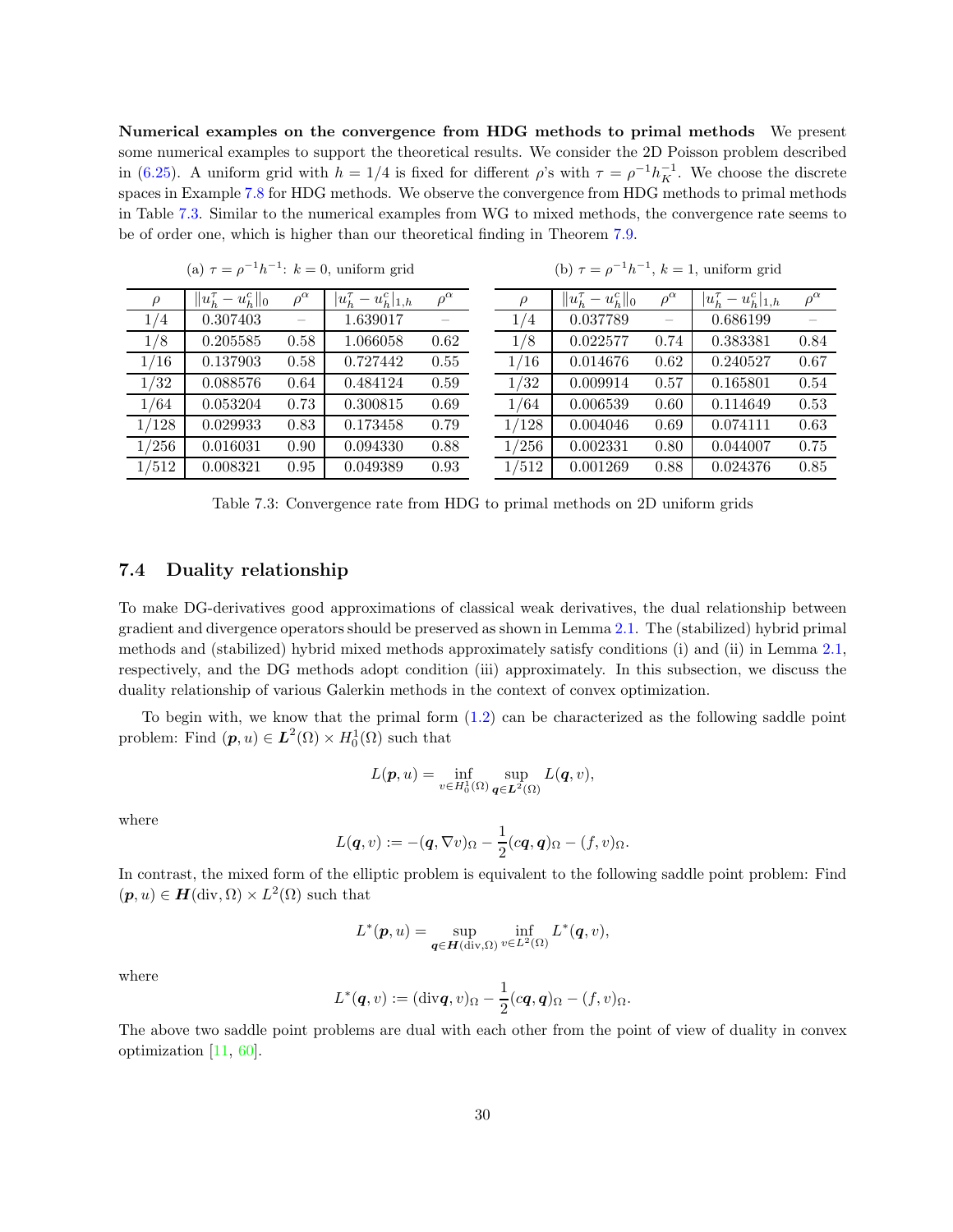Numerical examples on the convergence from HDG methods to primal methods We present some numerical examples to support the theoretical results. We consider the 2D Poisson problem described in [\(6.25\)](#page-21-2). A uniform grid with  $h = 1/4$  is fixed for different  $\rho$ 's with  $\tau = \rho^{-1} h_K^{-1}$ . We choose the discrete spaces in Example [7.8](#page-27-4) for HDG methods. We observe the convergence from HDG methods to primal methods in Table [7.3.](#page-29-0) Similar to the numerical examples from WG to mixed methods, the convergence rate seems to be of order one, which is higher than our theoretical finding in Theorem [7.9.](#page-27-5)

<span id="page-29-0"></span>

|        | (a) $\tau = \rho^{-1}h^{-1}$ : $k = 0$ , uniform grid |                 |                              |                 |  |       | (b) $\tau = \rho^{-1}h^{-1}$ , $k = 1$ , uniform grid |                 |                              |                 |  |  |  |
|--------|-------------------------------------------------------|-----------------|------------------------------|-----------------|--|-------|-------------------------------------------------------|-----------------|------------------------------|-----------------|--|--|--|
| $\rho$ | $  u_{h}^{\tau} - u_{h}^{c}  _{0}$                    | $\rho^{\alpha}$ | $ u_h^{\tau} - u_h^c _{1,h}$ | $\rho^{\alpha}$ |  | ρ     | $  u_h^{\tau} - u_h^c  _0$                            | $\rho^{\alpha}$ | $ u_h^{\tau} - u_h^c _{1,h}$ | $\rho^{\alpha}$ |  |  |  |
| 1/4    | 0.307403                                              |                 | 1.639017                     |                 |  | 1/4   | 0.037789                                              |                 | 0.686199                     |                 |  |  |  |
| 1/8    | 0.205585                                              | 0.58            | 1.066058                     | 0.62            |  | 1/8   | 0.022577                                              | 0.74            | 0.383381                     | 0.84            |  |  |  |
| 1/16   | 0.137903                                              | 0.58            | 0.727442                     | 0.55            |  | 1/16  | 0.014676                                              | 0.62            | 0.240527                     | 0.67            |  |  |  |
| 1/32   | 0.088576                                              | 0.64            | 0.484124                     | 0.59            |  | 1/32  | 0.009914                                              | 0.57            | 0.165801                     | 0.54            |  |  |  |
| 1/64   | 0.053204                                              | 0.73            | 0.300815                     | 0.69            |  | 1/64  | 0.006539                                              | 0.60            | 0.114649                     | 0.53            |  |  |  |
| 1/128  | 0.029933                                              | 0.83            | 0.173458                     | 0.79            |  | 1/128 | 0.004046                                              | 0.69            | 0.074111                     | 0.63            |  |  |  |
| 1/256  | 0.016031                                              | 0.90            | 0.094330                     | 0.88            |  | 1/256 | 0.002331                                              | 0.80            | 0.044007                     | 0.75            |  |  |  |
| 1/512  | 0.008321                                              | 0.95            | 0.049389                     | 0.93            |  | 1/512 | 0.001269                                              | 0.88            | 0.024376                     | 0.85            |  |  |  |

Table 7.3: Convergence rate from HDG to primal methods on 2D uniform grids

#### 7.4 Duality relationship

To make DG-derivatives good approximations of classical weak derivatives, the dual relationship between gradient and divergence operators should be preserved as shown in Lemma [2.1.](#page-8-1) The (stabilized) hybrid primal methods and (stabilized) hybrid mixed methods approximately satisfy conditions (i) and (ii) in Lemma [2.1,](#page-8-1) respectively, and the DG methods adopt condition (iii) approximately. In this subsection, we discuss the duality relationship of various Galerkin methods in the context of convex optimization.

To begin with, we know that the primal form [\(1.2\)](#page-0-1) can be characterized as the following saddle point problem: Find  $(p, u) \in L^2(\Omega) \times H_0^1(\Omega)$  such that

$$
L(\boldsymbol{p},u)=\inf_{v\in H^1_0(\Omega)}\sup_{\boldsymbol{q}\in \boldsymbol{L}^2(\Omega)}L(\boldsymbol{q},v),
$$

where

$$
L(\boldsymbol{q},v):=-(\boldsymbol{q},\nabla v)_{\Omega}-\frac{1}{2}(c\boldsymbol{q},\boldsymbol{q})_{\Omega}-(f,v)_{\Omega}.
$$

In contrast, the mixed form of the elliptic problem is equivalent to the following saddle point problem: Find  $(p, u) \in H(\text{div}, \Omega) \times L^2(\Omega)$  such that

$$
L^*(p, u) = \sup_{\mathbf{q} \in \mathbf{H}(\text{div}, \Omega)} \inf_{v \in L^2(\Omega)} L^*(\mathbf{q}, v),
$$

where

$$
L^*(\boldsymbol{q},v):=(\mathrm{div}\boldsymbol{q},v)_{\Omega}-\frac{1}{2}(c\boldsymbol{q},\boldsymbol{q})_{\Omega}-(f,v)_{\Omega}.
$$

The above two saddle point problems are dual with each other from the point of view of duality in convex optimization [\[11,](#page-31-0) [60\]](#page-34-16).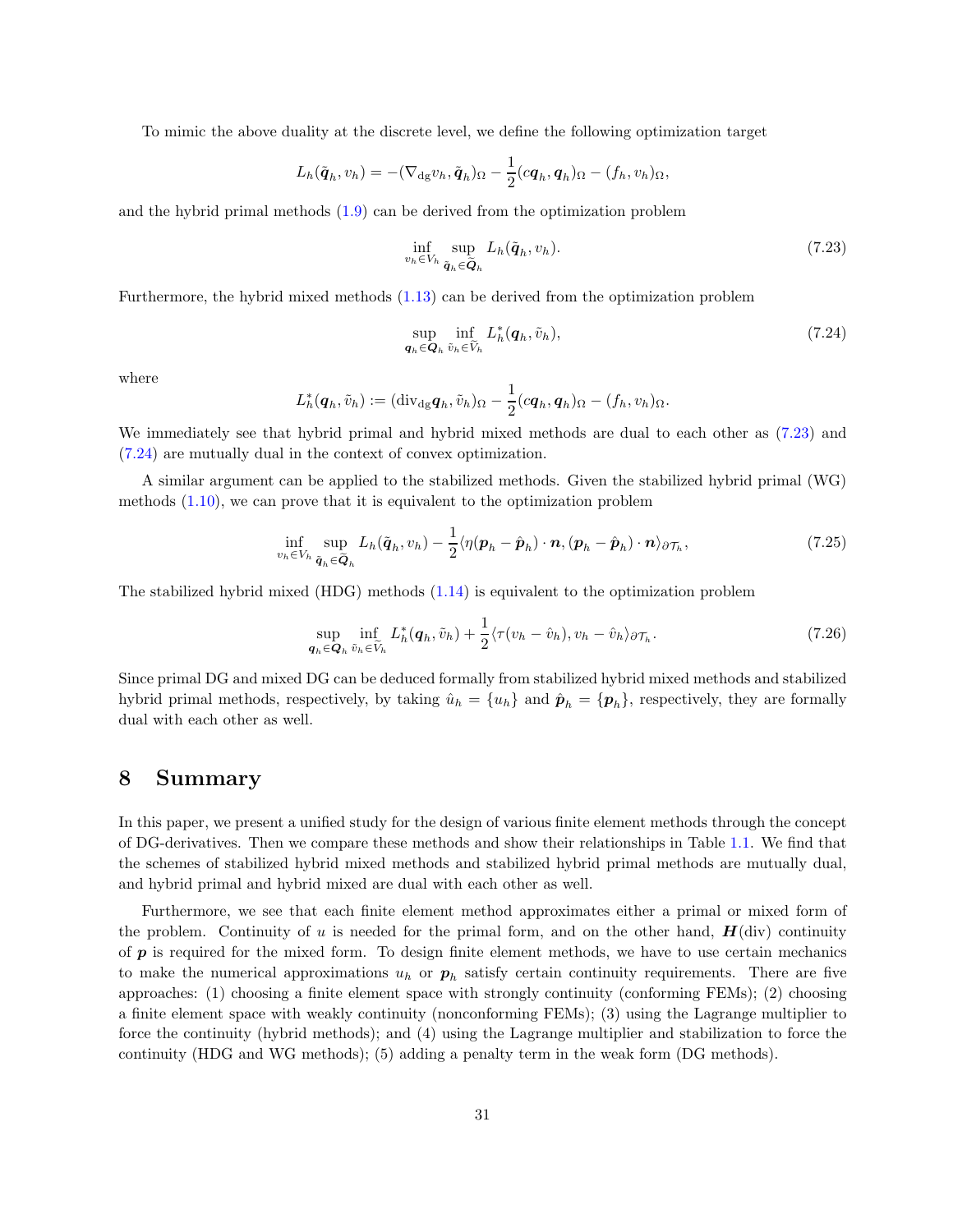To mimic the above duality at the discrete level, we define the following optimization target

$$
L_h(\tilde{\boldsymbol{q}}_h, v_h) = -(\nabla_{\mathrm{dg}} v_h, \tilde{\boldsymbol{q}}_h)_{\Omega} - \frac{1}{2}(c \boldsymbol{q}_h, \boldsymbol{q}_h)_{\Omega} - (f_h, v_h)_{\Omega},
$$

and the hybrid primal methods [\(1.9\)](#page-2-1) can be derived from the optimization problem

<span id="page-30-1"></span><span id="page-30-0"></span>
$$
\inf_{v_h \in V_h} \sup_{\tilde{\mathbf{q}}_h \in \tilde{\mathbf{Q}}_h} L_h(\tilde{\mathbf{q}}_h, v_h). \tag{7.23}
$$

Furthermore, the hybrid mixed methods [\(1.13\)](#page-4-2) can be derived from the optimization problem

$$
\sup_{\mathbf{q}_h \in \mathbf{Q}_h} \inf_{\tilde{v}_h \in \tilde{V}_h} L_h^*(\mathbf{q}_h, \tilde{v}_h),\tag{7.24}
$$

where

$$
L_h^*(\boldsymbol{q}_h, \tilde{v}_h) := (\mathrm{div}_{\mathrm{dg}} \boldsymbol{q}_h, \tilde{v}_h)_{\Omega} - \frac{1}{2} (c \boldsymbol{q}_h, \boldsymbol{q}_h)_{\Omega} - (f_h, v_h)_{\Omega}.
$$

We immediately see that hybrid primal and hybrid mixed methods are dual to each other as [\(7.23\)](#page-30-0) and [\(7.24\)](#page-30-1) are mutually dual in the context of convex optimization.

A similar argument can be applied to the stabilized methods. Given the stabilized hybrid primal (WG) methods [\(1.10\)](#page-2-2), we can prove that it is equivalent to the optimization problem

$$
\inf_{v_h \in V_h} \sup_{\tilde{\boldsymbol{q}}_h \in \tilde{\boldsymbol{Q}}_h} L_h(\tilde{\boldsymbol{q}}_h, v_h) - \frac{1}{2} \langle \eta(\boldsymbol{p}_h - \hat{\boldsymbol{p}}_h) \cdot \boldsymbol{n}, (\boldsymbol{p}_h - \hat{\boldsymbol{p}}_h) \cdot \boldsymbol{n} \rangle_{\partial \mathcal{T}_h}, \tag{7.25}
$$

The stabilized hybrid mixed (HDG) methods [\(1.14\)](#page-4-1) is equivalent to the optimization problem

$$
\sup_{\mathbf{q}_h \in \mathbf{Q}_h} \inf_{\tilde{v}_h \in \tilde{V}_h} L_h^*(\mathbf{q}_h, \tilde{v}_h) + \frac{1}{2} \langle \tau(v_h - \hat{v}_h), v_h - \hat{v}_h \rangle_{\partial \mathcal{T}_h}.
$$
\n(7.26)

Since primal DG and mixed DG can be deduced formally from stabilized hybrid mixed methods and stabilized hybrid primal methods, respectively, by taking  $\hat{u}_h = \{u_h\}$  and  $\hat{p}_h = \{p_h\}$ , respectively, they are formally dual with each other as well.

## 8 Summary

In this paper, we present a unified study for the design of various finite element methods through the concept of DG-derivatives. Then we compare these methods and show their relationships in Table [1.1.](#page-3-0) We find that the schemes of stabilized hybrid mixed methods and stabilized hybrid primal methods are mutually dual, and hybrid primal and hybrid mixed are dual with each other as well.

Furthermore, we see that each finite element method approximates either a primal or mixed form of the problem. Continuity of u is needed for the primal form, and on the other hand,  $H(\text{div})$  continuity of  $p$  is required for the mixed form. To design finite element methods, we have to use certain mechanics to make the numerical approximations  $u_h$  or  $p_h$  satisfy certain continuity requirements. There are five approaches: (1) choosing a finite element space with strongly continuity (conforming FEMs); (2) choosing a finite element space with weakly continuity (nonconforming FEMs); (3) using the Lagrange multiplier to force the continuity (hybrid methods); and (4) using the Lagrange multiplier and stabilization to force the continuity (HDG and WG methods); (5) adding a penalty term in the weak form (DG methods).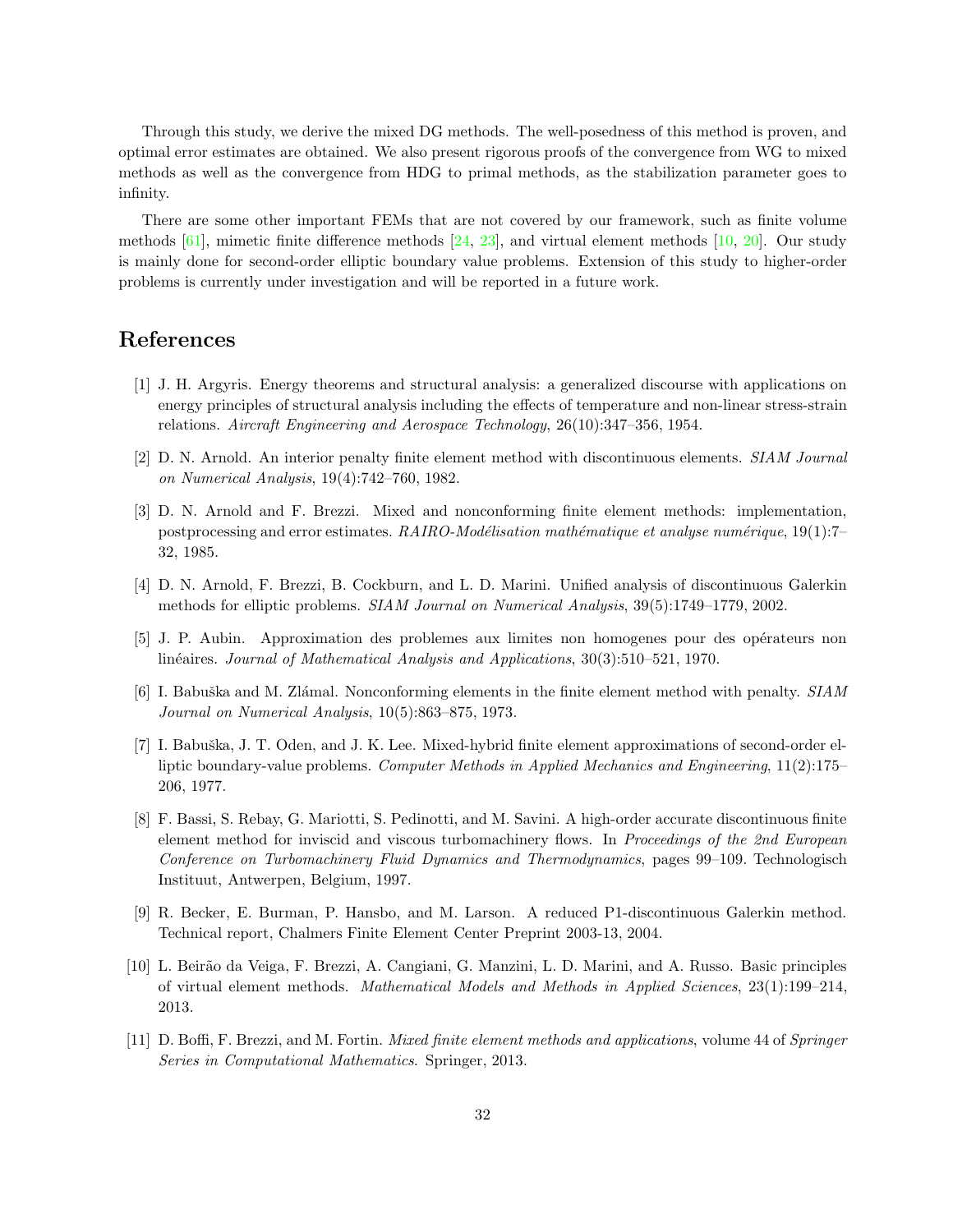Through this study, we derive the mixed DG methods. The well-posedness of this method is proven, and optimal error estimates are obtained. We also present rigorous proofs of the convergence from WG to mixed methods as well as the convergence from HDG to primal methods, as the stabilization parameter goes to infinity.

There are some other important FEMs that are not covered by our framework, such as finite volume methods [\[61\]](#page-34-17), mimetic finite difference methods [\[24,](#page-32-13) [23\]](#page-32-14), and virtual element methods [\[10,](#page-31-10) [20\]](#page-32-15). Our study is mainly done for second-order elliptic boundary value problems. Extension of this study to higher-order problems is currently under investigation and will be reported in a future work.

## <span id="page-31-7"></span>References

- [1] J. H. Argyris. Energy theorems and structural analysis: a generalized discourse with applications on energy principles of structural analysis including the effects of temperature and non-linear stress-strain relations. Aircraft Engineering and Aerospace Technology, 26(10):347–356, 1954.
- <span id="page-31-5"></span><span id="page-31-2"></span>[2] D. N. Arnold. An interior penalty finite element method with discontinuous elements. SIAM Journal on Numerical Analysis, 19(4):742–760, 1982.
- [3] D. N. Arnold and F. Brezzi. Mixed and nonconforming finite element methods: implementation, postprocessing and error estimates.  $RAIRO\text{-}Mod\'e lisation\ mathématique\ et\ analyse\ num\'erique, 19(1):7-$ 32, 1985.
- <span id="page-31-6"></span><span id="page-31-3"></span>[4] D. N. Arnold, F. Brezzi, B. Cockburn, and L. D. Marini. Unified analysis of discontinuous Galerkin methods for elliptic problems. SIAM Journal on Numerical Analysis, 39(5):1749–1779, 2002.
- <span id="page-31-4"></span>[5] J. P. Aubin. Approximation des problemes aux limites non homogenes pour des op´erateurs non linéaires. Journal of Mathematical Analysis and Applications, 30(3):510–521, 1970.
- [6] I. Babuška and M. Zlámal. Nonconforming elements in the finite element method with penalty. SIAM Journal on Numerical Analysis, 10(5):863–875, 1973.
- <span id="page-31-1"></span>[7] I. Babuška, J. T. Oden, and J. K. Lee. Mixed-hybrid finite element approximations of second-order elliptic boundary-value problems. Computer Methods in Applied Mechanics and Engineering, 11(2):175– 206, 1977.
- <span id="page-31-8"></span>[8] F. Bassi, S. Rebay, G. Mariotti, S. Pedinotti, and M. Savini. A high-order accurate discontinuous finite element method for inviscid and viscous turbomachinery flows. In Proceedings of the 2nd European Conference on Turbomachinery Fluid Dynamics and Thermodynamics, pages 99–109. Technologisch Instituut, Antwerpen, Belgium, 1997.
- <span id="page-31-9"></span>[9] R. Becker, E. Burman, P. Hansbo, and M. Larson. A reduced P1-discontinuous Galerkin method. Technical report, Chalmers Finite Element Center Preprint 2003-13, 2004.
- <span id="page-31-10"></span>[10] L. Beir˜ao da Veiga, F. Brezzi, A. Cangiani, G. Manzini, L. D. Marini, and A. Russo. Basic principles of virtual element methods. Mathematical Models and Methods in Applied Sciences, 23(1):199–214, 2013.
- <span id="page-31-0"></span>[11] D. Boffi, F. Brezzi, and M. Fortin. Mixed finite element methods and applications, volume 44 of Springer Series in Computational Mathematics. Springer, 2013.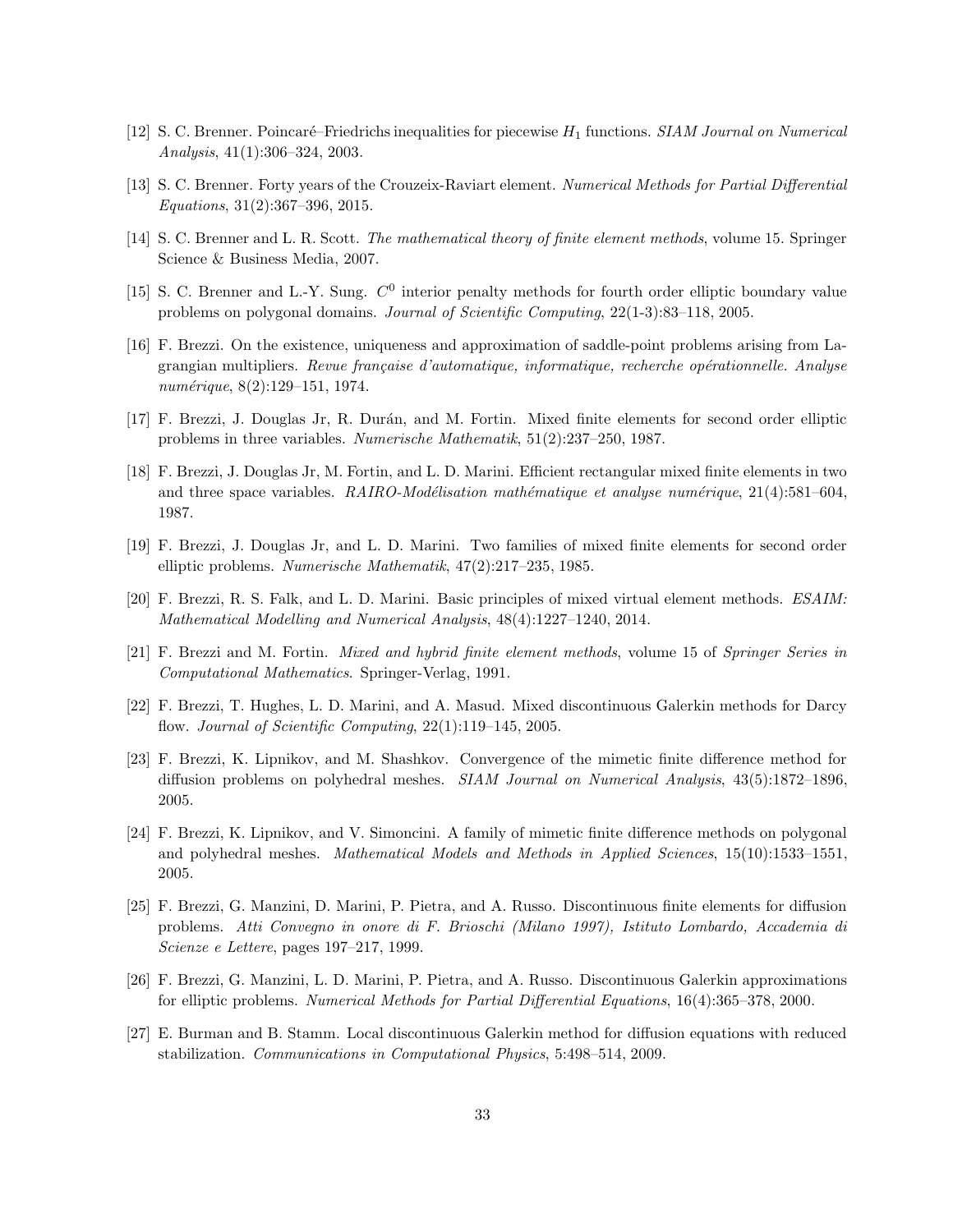- <span id="page-32-10"></span><span id="page-32-0"></span>[12] S. C. Brenner. Poincaré–Friedrichs inequalities for piecewise  $H_1$  functions. SIAM Journal on Numerical Analysis, 41(1):306–324, 2003.
- <span id="page-32-6"></span>[13] S. C. Brenner. Forty years of the Crouzeix-Raviart element. Numerical Methods for Partial Differential Equations, 31(2):367–396, 2015.
- <span id="page-32-9"></span>[14] S. C. Brenner and L. R. Scott. The mathematical theory of finite element methods, volume 15. Springer Science & Business Media, 2007.
- <span id="page-32-1"></span>[15] S. C. Brenner and L.-Y. Sung.  $C^0$  interior penalty methods for fourth order elliptic boundary value problems on polygonal domains. Journal of Scientific Computing, 22(1-3):83–118, 2005.
- [16] F. Brezzi. On the existence, uniqueness and approximation of saddle-point problems arising from Lagrangian multipliers. Revue française d'automatique, informatique, recherche opérationnelle. Analyse numérique, 8(2):129-151, 1974.
- <span id="page-32-4"></span><span id="page-32-3"></span>[17] F. Brezzi, J. Douglas Jr, R. Durán, and M. Fortin. Mixed finite elements for second order elliptic problems in three variables. Numerische Mathematik, 51(2):237–250, 1987.
- [18] F. Brezzi, J. Douglas Jr, M. Fortin, and L. D. Marini. Efficient rectangular mixed finite elements in two and three space variables.  $RAIRO-Mod\'elication \ mathématique \ et \ analyse \ num\'erique, 21(4):581–604,$ 1987.
- <span id="page-32-2"></span>[19] F. Brezzi, J. Douglas Jr, and L. D. Marini. Two families of mixed finite elements for second order elliptic problems. Numerische Mathematik, 47(2):217–235, 1985.
- <span id="page-32-15"></span><span id="page-32-5"></span>[20] F. Brezzi, R. S. Falk, and L. D. Marini. Basic principles of mixed virtual element methods. ESAIM: Mathematical Modelling and Numerical Analysis, 48(4):1227–1240, 2014.
- <span id="page-32-11"></span>[21] F. Brezzi and M. Fortin. Mixed and hybrid finite element methods, volume 15 of Springer Series in Computational Mathematics. Springer-Verlag, 1991.
- <span id="page-32-14"></span>[22] F. Brezzi, T. Hughes, L. D. Marini, and A. Masud. Mixed discontinuous Galerkin methods for Darcy flow. *Journal of Scientific Computing*,  $22(1):119-145$ ,  $2005$ .
- [23] F. Brezzi, K. Lipnikov, and M. Shashkov. Convergence of the mimetic finite difference method for diffusion problems on polyhedral meshes. SIAM Journal on Numerical Analysis, 43(5):1872-1896, 2005.
- <span id="page-32-13"></span>[24] F. Brezzi, K. Lipnikov, and V. Simoncini. A family of mimetic finite difference methods on polygonal and polyhedral meshes. Mathematical Models and Methods in Applied Sciences, 15(10):1533–1551, 2005.
- <span id="page-32-7"></span>[25] F. Brezzi, G. Manzini, D. Marini, P. Pietra, and A. Russo. Discontinuous finite elements for diffusion problems. Atti Convegno in onore di F. Brioschi (Milano 1997), Istituto Lombardo, Accademia di Scienze e Lettere, pages 197–217, 1999.
- <span id="page-32-8"></span>[26] F. Brezzi, G. Manzini, L. D. Marini, P. Pietra, and A. Russo. Discontinuous Galerkin approximations for elliptic problems. Numerical Methods for Partial Differential Equations, 16(4):365–378, 2000.
- <span id="page-32-12"></span>[27] E. Burman and B. Stamm. Local discontinuous Galerkin method for diffusion equations with reduced stabilization. Communications in Computational Physics, 5:498–514, 2009.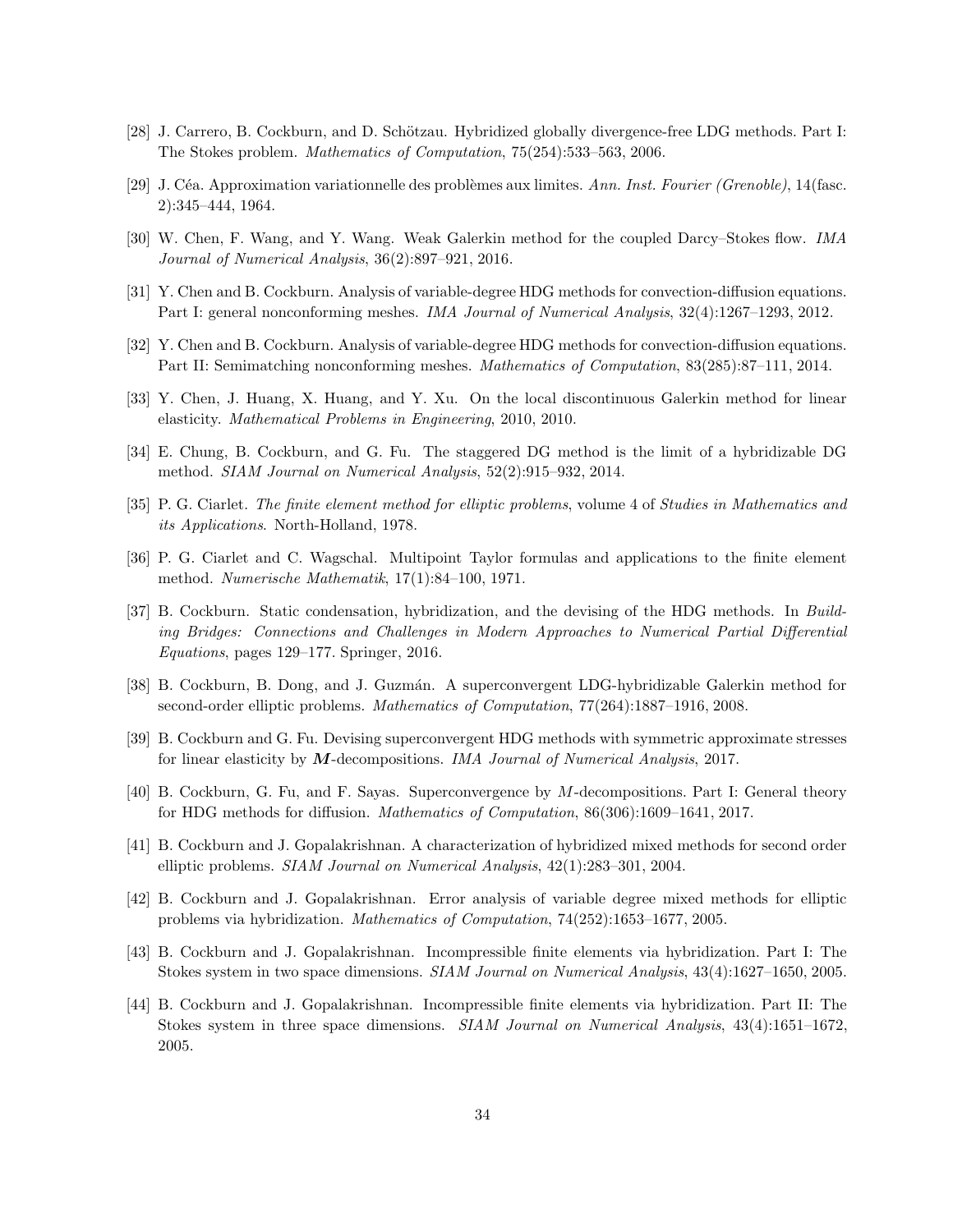- <span id="page-33-15"></span><span id="page-33-6"></span>[28] J. Carrero, B. Cockburn, and D. Schötzau. Hybridized globally divergence-free LDG methods. Part I: The Stokes problem. Mathematics of Computation, 75(254):533–563, 2006.
- <span id="page-33-14"></span>[29] J. Céa. Approximation variationnelle des problèmes aux limites. Ann. Inst. Fourier (Grenoble), 14(fasc. 2):345–444, 1964.
- <span id="page-33-11"></span>[30] W. Chen, F. Wang, and Y. Wang. Weak Galerkin method for the coupled Darcy–Stokes flow. IMA Journal of Numerical Analysis, 36(2):897–921, 2016.
- <span id="page-33-8"></span>[31] Y. Chen and B. Cockburn. Analysis of variable-degree HDG methods for convection-diffusion equations. Part I: general nonconforming meshes. IMA Journal of Numerical Analysis, 32(4):1267–1293, 2012.
- <span id="page-33-16"></span>[32] Y. Chen and B. Cockburn. Analysis of variable-degree HDG methods for convection-diffusion equations. Part II: Semimatching nonconforming meshes. Mathematics of Computation, 83(285):87–111, 2014.
- <span id="page-33-9"></span>[33] Y. Chen, J. Huang, X. Huang, and Y. Xu. On the local discontinuous Galerkin method for linear elasticity. Mathematical Problems in Engineering, 2010, 2010.
- <span id="page-33-5"></span>[34] E. Chung, B. Cockburn, and G. Fu. The staggered DG method is the limit of a hybridizable DG method. SIAM Journal on Numerical Analysis, 52(2):915–932, 2014.
- <span id="page-33-0"></span>[35] P. G. Ciarlet. The finite element method for elliptic problems, volume 4 of Studies in Mathematics and its Applications. North-Holland, 1978.
- <span id="page-33-10"></span>[36] P. G. Ciarlet and C. Wagschal. Multipoint Taylor formulas and applications to the finite element method. Numerische Mathematik, 17(1):84–100, 1971.
- [37] B. Cockburn. Static condensation, hybridization, and the devising of the HDG methods. In Building Bridges: Connections and Challenges in Modern Approaches to Numerical Partial Differential Equations, pages 129–177. Springer, 2016.
- <span id="page-33-7"></span>[38] B. Cockburn, B. Dong, and J. Guzmán. A superconvergent LDG-hybridizable Galerkin method for second-order elliptic problems. Mathematics of Computation, 77(264):1887–1916, 2008.
- <span id="page-33-13"></span><span id="page-33-12"></span>[39] B. Cockburn and G. Fu. Devising superconvergent HDG methods with symmetric approximate stresses for linear elasticity by M-decompositions. IMA Journal of Numerical Analysis, 2017.
- <span id="page-33-1"></span>[40] B. Cockburn, G. Fu, and F. Sayas. Superconvergence by M-decompositions. Part I: General theory for HDG methods for diffusion. Mathematics of Computation, 86(306):1609–1641, 2017.
- [41] B. Cockburn and J. Gopalakrishnan. A characterization of hybridized mixed methods for second order elliptic problems. SIAM Journal on Numerical Analysis, 42(1):283–301, 2004.
- <span id="page-33-3"></span><span id="page-33-2"></span>[42] B. Cockburn and J. Gopalakrishnan. Error analysis of variable degree mixed methods for elliptic problems via hybridization. Mathematics of Computation, 74(252):1653–1677, 2005.
- [43] B. Cockburn and J. Gopalakrishnan. Incompressible finite elements via hybridization. Part I: The Stokes system in two space dimensions. SIAM Journal on Numerical Analysis, 43(4):1627–1650, 2005.
- <span id="page-33-4"></span>[44] B. Cockburn and J. Gopalakrishnan. Incompressible finite elements via hybridization. Part II: The Stokes system in three space dimensions. SIAM Journal on Numerical Analysis, 43(4):1651–1672, 2005.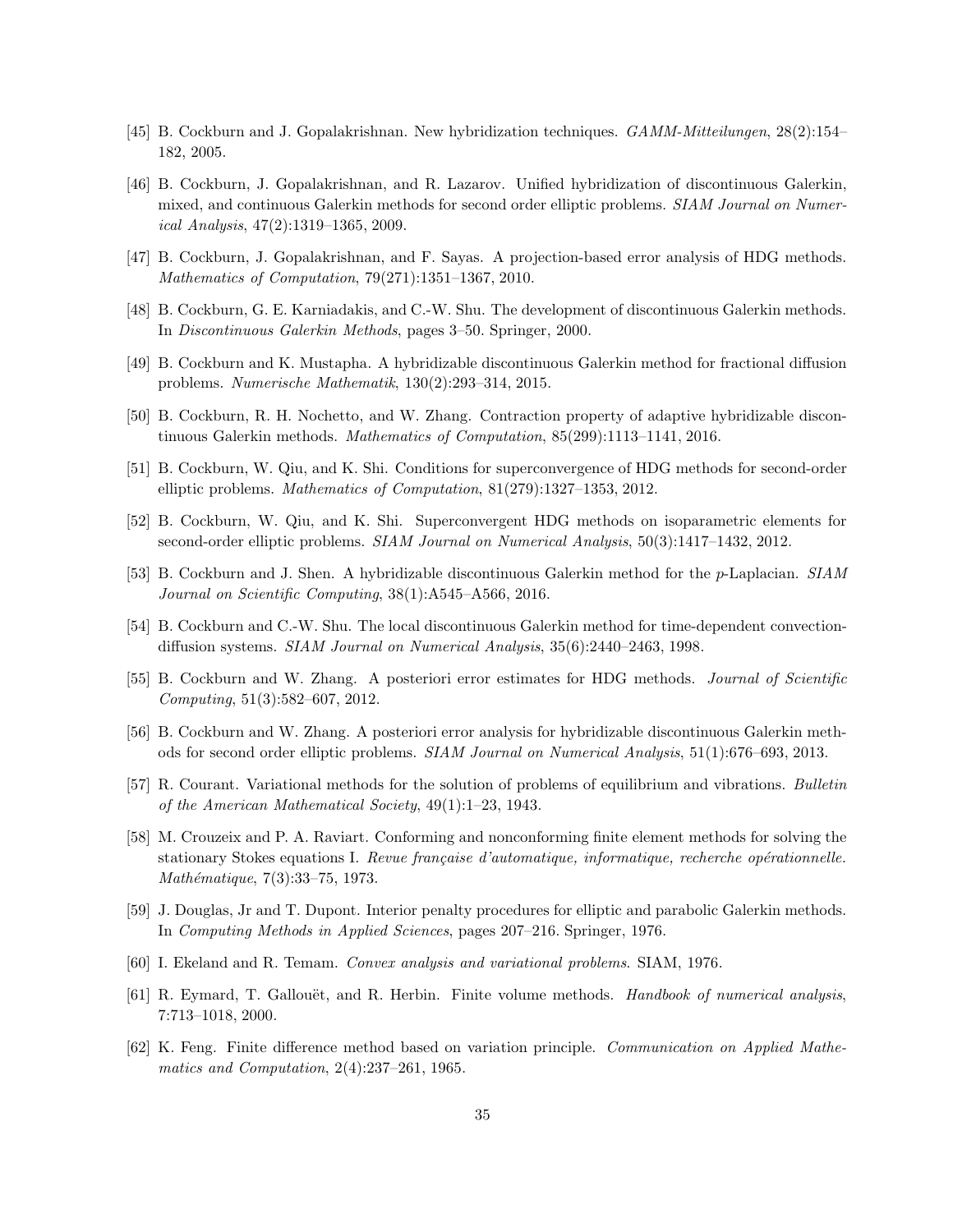- <span id="page-34-7"></span><span id="page-34-3"></span>[45] B. Cockburn and J. Gopalakrishnan. New hybridization techniques. GAMM-Mitteilungen, 28(2):154– 182, 2005.
- [46] B. Cockburn, J. Gopalakrishnan, and R. Lazarov. Unified hybridization of discontinuous Galerkin, mixed, and continuous Galerkin methods for second order elliptic problems. SIAM Journal on Numerical Analysis, 47(2):1319–1365, 2009.
- <span id="page-34-8"></span><span id="page-34-6"></span>[47] B. Cockburn, J. Gopalakrishnan, and F. Sayas. A projection-based error analysis of HDG methods. Mathematics of Computation, 79(271):1351–1367, 2010.
- <span id="page-34-9"></span>[48] B. Cockburn, G. E. Karniadakis, and C.-W. Shu. The development of discontinuous Galerkin methods. In Discontinuous Galerkin Methods, pages 3–50. Springer, 2000.
- <span id="page-34-15"></span>[49] B. Cockburn and K. Mustapha. A hybridizable discontinuous Galerkin method for fractional diffusion problems. Numerische Mathematik, 130(2):293–314, 2015.
- <span id="page-34-11"></span>[50] B. Cockburn, R. H. Nochetto, and W. Zhang. Contraction property of adaptive hybridizable discontinuous Galerkin methods. Mathematics of Computation, 85(299):1113–1141, 2016.
- <span id="page-34-12"></span>[51] B. Cockburn, W. Qiu, and K. Shi. Conditions for superconvergence of HDG methods for second-order elliptic problems. Mathematics of Computation, 81(279):1327–1353, 2012.
- <span id="page-34-10"></span>[52] B. Cockburn, W. Qiu, and K. Shi. Superconvergent HDG methods on isoparametric elements for second-order elliptic problems. SIAM Journal on Numerical Analysis, 50(3):1417–1432, 2012.
- <span id="page-34-5"></span>[53] B. Cockburn and J. Shen. A hybridizable discontinuous Galerkin method for the p-Laplacian. SIAM Journal on Scientific Computing, 38(1):A545–A566, 2016.
- [54] B. Cockburn and C.-W. Shu. The local discontinuous Galerkin method for time-dependent convectiondiffusion systems. SIAM Journal on Numerical Analysis, 35(6):2440–2463, 1998.
- <span id="page-34-14"></span><span id="page-34-13"></span>[55] B. Cockburn and W. Zhang. A posteriori error estimates for HDG methods. Journal of Scientific Computing, 51(3):582–607, 2012.
- <span id="page-34-0"></span>[56] B. Cockburn and W. Zhang. A posteriori error analysis for hybridizable discontinuous Galerkin methods for second order elliptic problems. SIAM Journal on Numerical Analysis, 51(1):676–693, 2013.
- <span id="page-34-2"></span>[57] R. Courant. Variational methods for the solution of problems of equilibrium and vibrations. Bulletin of the American Mathematical Society, 49(1):1–23, 1943.
- [58] M. Crouzeix and P. A. Raviart. Conforming and nonconforming finite element methods for solving the stationary Stokes equations I. Revue française d'automatique, informatique, recherche opérationnelle.  $Mathématique, 7(3):33–75, 1973.$
- <span id="page-34-16"></span><span id="page-34-4"></span>[59] J. Douglas, Jr and T. Dupont. Interior penalty procedures for elliptic and parabolic Galerkin methods. In Computing Methods in Applied Sciences, pages 207–216. Springer, 1976.
- <span id="page-34-17"></span>[60] I. Ekeland and R. Temam. Convex analysis and variational problems. SIAM, 1976.
- [61] R. Eymard, T. Gallouët, and R. Herbin. Finite volume methods. *Handbook of numerical analysis*, 7:713–1018, 2000.
- <span id="page-34-1"></span>[62] K. Feng. Finite difference method based on variation principle. Communication on Applied Mathematics and Computation, 2(4):237–261, 1965.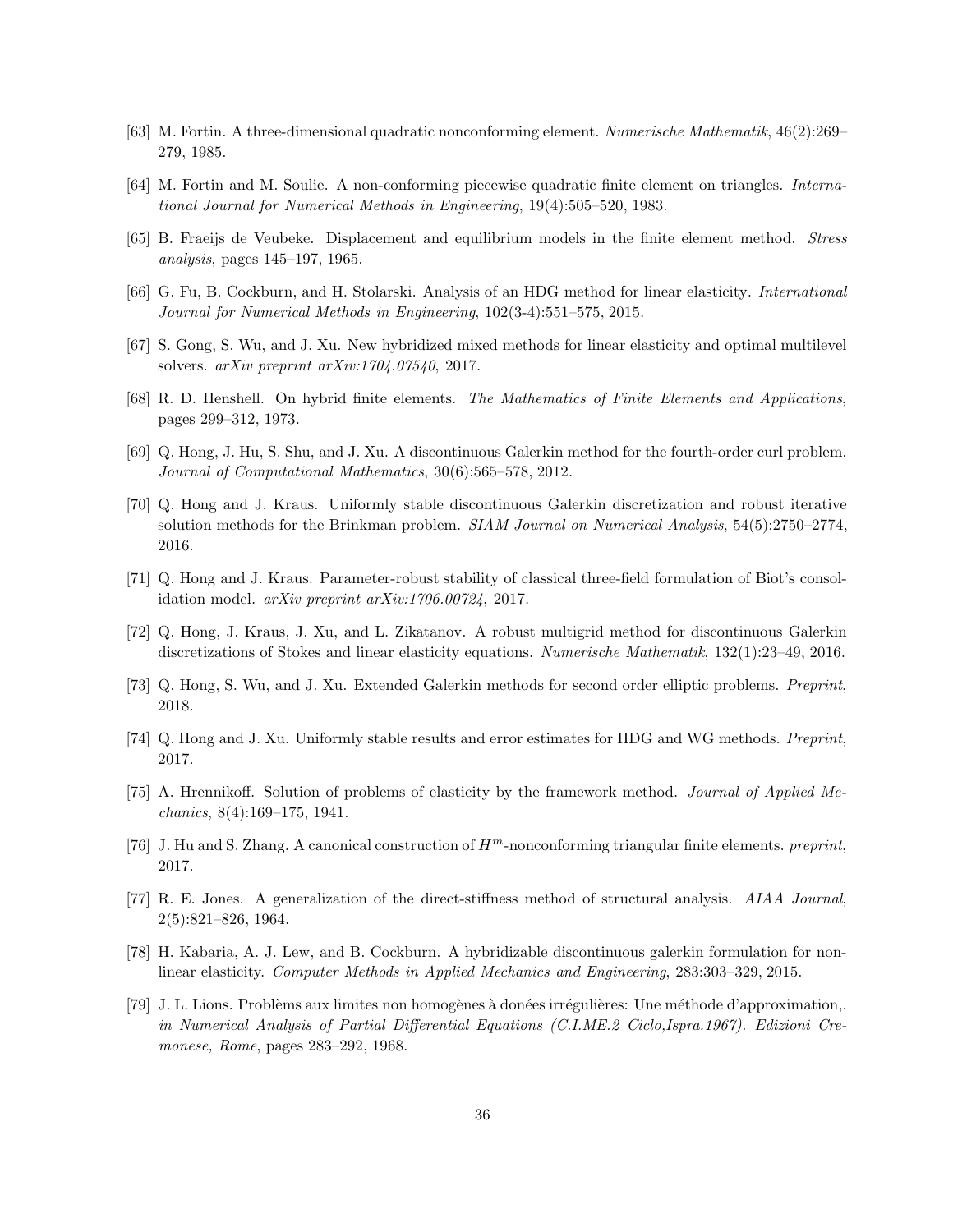- <span id="page-35-4"></span><span id="page-35-3"></span>[63] M. Fortin. A three-dimensional quadratic nonconforming element. Numerische Mathematik, 46(2):269– 279, 1985.
- <span id="page-35-2"></span>[64] M. Fortin and M. Soulie. A non-conforming piecewise quadratic finite element on triangles. International Journal for Numerical Methods in Engineering, 19(4):505–520, 1983.
- <span id="page-35-10"></span>[65] B. Fraeijs de Veubeke. Displacement and equilibrium models in the finite element method. Stress analysis, pages 145–197, 1965.
- <span id="page-35-7"></span>[66] G. Fu, B. Cockburn, and H. Stolarski. Analysis of an HDG method for linear elasticity. *International* Journal for Numerical Methods in Engineering, 102(3-4):551–575, 2015.
- <span id="page-35-6"></span>[67] S. Gong, S. Wu, and J. Xu. New hybridized mixed methods for linear elasticity and optimal multilevel solvers. arXiv preprint arXiv:1704.07540, 2017.
- <span id="page-35-9"></span>[68] R. D. Henshell. On hybrid finite elements. The Mathematics of Finite Elements and Applications, pages 299–312, 1973.
- <span id="page-35-14"></span>[69] Q. Hong, J. Hu, S. Shu, and J. Xu. A discontinuous Galerkin method for the fourth-order curl problem. Journal of Computational Mathematics, 30(6):565–578, 2012.
- [70] Q. Hong and J. Kraus. Uniformly stable discontinuous Galerkin discretization and robust iterative solution methods for the Brinkman problem. SIAM Journal on Numerical Analysis, 54(5):2750–2774, 2016.
- <span id="page-35-16"></span><span id="page-35-15"></span>[71] Q. Hong and J. Kraus. Parameter-robust stability of classical three-field formulation of Biot's consolidation model. arXiv preprint arXiv:1706.00724, 2017.
- <span id="page-35-13"></span>[72] Q. Hong, J. Kraus, J. Xu, and L. Zikatanov. A robust multigrid method for discontinuous Galerkin discretizations of Stokes and linear elasticity equations. Numerische Mathematik, 132(1):23–49, 2016.
- <span id="page-35-12"></span>[73] Q. Hong, S. Wu, and J. Xu. Extended Galerkin methods for second order elliptic problems. Preprint, 2018.
- <span id="page-35-0"></span>[74] Q. Hong and J. Xu. Uniformly stable results and error estimates for HDG and WG methods. Preprint, 2017.
- <span id="page-35-5"></span>[75] A. Hrennikoff. Solution of problems of elasticity by the framework method. Journal of Applied Mechanics, 8(4):169–175, 1941.
- <span id="page-35-1"></span>[76] J. Hu and S. Zhang. A canonical construction of  $H^m$ -nonconforming triangular finite elements. preprint, 2017.
- [77] R. E. Jones. A generalization of the direct-stiffness method of structural analysis. AIAA Journal, 2(5):821–826, 1964.
- <span id="page-35-11"></span><span id="page-35-8"></span>[78] H. Kabaria, A. J. Lew, and B. Cockburn. A hybridizable discontinuous galerkin formulation for nonlinear elasticity. Computer Methods in Applied Mechanics and Engineering, 283:303–329, 2015.
- [79] J. L. Lions. Problèms aux limites non homogènes à donées irrégulières: Une méthode d'approximation,. in Numerical Analysis of Partial Differential Equations (C.I.ME.2 Ciclo,Ispra.1967). Edizioni Cremonese, Rome, pages 283–292, 1968.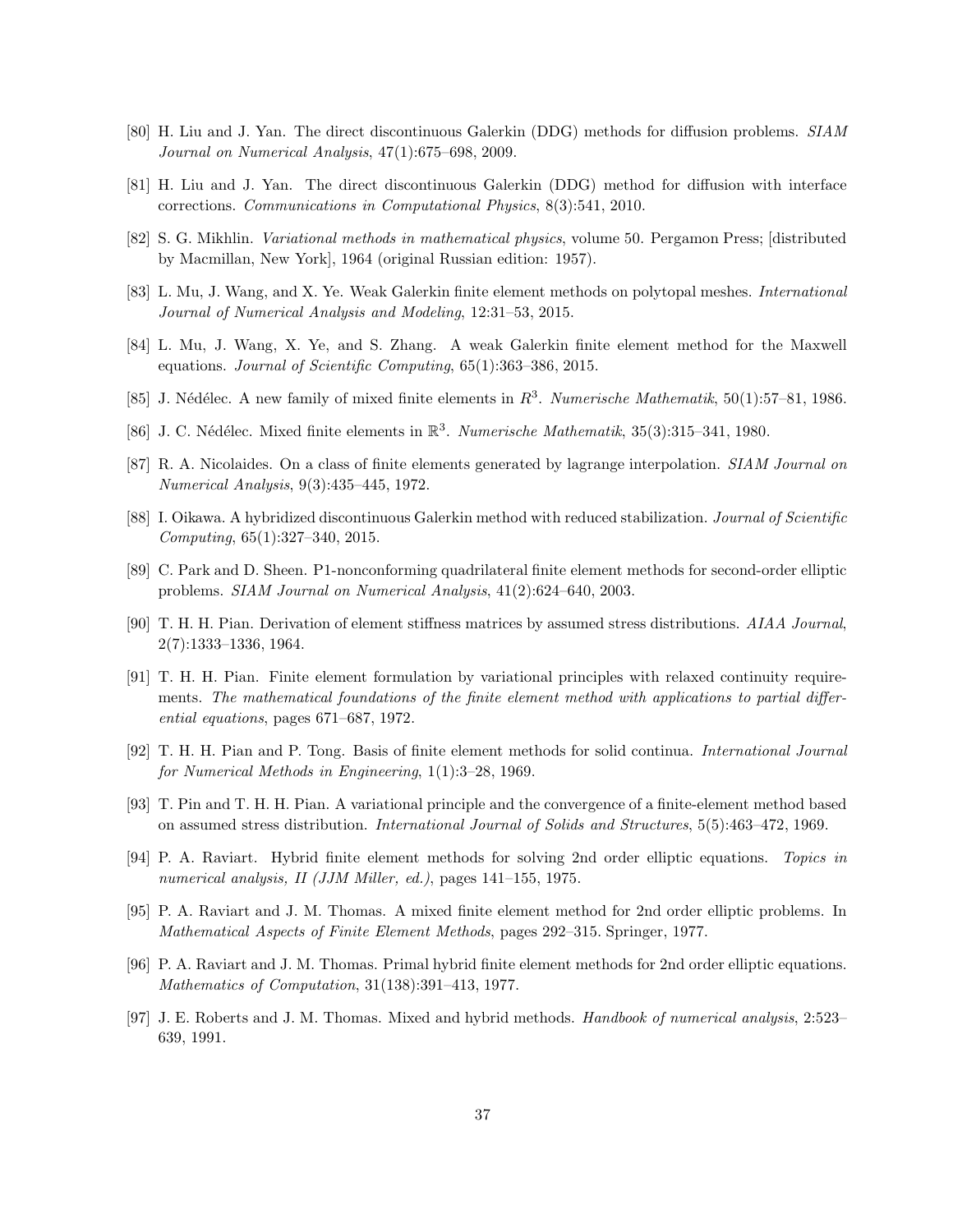- <span id="page-36-13"></span><span id="page-36-12"></span>[80] H. Liu and J. Yan. The direct discontinuous Galerkin (DDG) methods for diffusion problems. SIAM Journal on Numerical Analysis, 47(1):675–698, 2009.
- <span id="page-36-15"></span>[81] H. Liu and J. Yan. The direct discontinuous Galerkin (DDG) method for diffusion with interface corrections. Communications in Computational Physics, 8(3):541, 2010.
- <span id="page-36-0"></span>[82] S. G. Mikhlin. *Variational methods in mathematical physics*, volume 50. Pergamon Press; [distributed] by Macmillan, New York], 1964 (original Russian edition: 1957).
- <span id="page-36-14"></span>[83] L. Mu, J. Wang, and X. Ye. Weak Galerkin finite element methods on polytopal meshes. *International* Journal of Numerical Analysis and Modeling, 12:31–53, 2015.
- <span id="page-36-6"></span>[84] L. Mu, J. Wang, X. Ye, and S. Zhang. A weak Galerkin finite element method for the Maxwell equations. Journal of Scientific Computing, 65(1):363–386, 2015.
- <span id="page-36-5"></span>[85] J. Nédélec. A new family of mixed finite elements in  $R^3$ . Numerische Mathematik, 50(1):57–81, 1986.
- <span id="page-36-2"></span>[86] J. C. Nédélec. Mixed finite elements in  $\mathbb{R}^3$ . Numerische Mathematik, 35(3):315–341, 1980.
- <span id="page-36-17"></span>[87] R. A. Nicolaides. On a class of finite elements generated by lagrange interpolation. SIAM Journal on Numerical Analysis, 9(3):435–445, 1972.
- <span id="page-36-3"></span>[88] I. Oikawa. A hybridized discontinuous Galerkin method with reduced stabilization. Journal of Scientific Computing, 65(1):327–340, 2015.
- <span id="page-36-16"></span>[89] C. Park and D. Sheen. P1-nonconforming quadrilateral finite element methods for second-order elliptic problems. SIAM Journal on Numerical Analysis, 41(2):624–640, 2003.
- <span id="page-36-8"></span>[90] T. H. H. Pian. Derivation of element stiffness matrices by assumed stress distributions. AIAA Journal, 2(7):1333–1336, 1964.
- [91] T. H. H. Pian. Finite element formulation by variational principles with relaxed continuity requirements. The mathematical foundations of the finite element method with applications to partial differential equations, pages 671–687, 1972.
- <span id="page-36-7"></span><span id="page-36-1"></span>[92] T. H. H. Pian and P. Tong. Basis of finite element methods for solid continua. International Journal for Numerical Methods in Engineering, 1(1):3–28, 1969.
- [93] T. Pin and T. H. H. Pian. A variational principle and the convergence of a finite-element method based on assumed stress distribution. International Journal of Solids and Structures, 5(5):463–472, 1969.
- <span id="page-36-9"></span><span id="page-36-4"></span>[94] P. A. Raviart. Hybrid finite element methods for solving 2nd order elliptic equations. Topics in numerical analysis, II (JJM Miller, ed.), pages 141–155, 1975.
- <span id="page-36-10"></span>[95] P. A. Raviart and J. M. Thomas. A mixed finite element method for 2nd order elliptic problems. In Mathematical Aspects of Finite Element Methods, pages 292–315. Springer, 1977.
- [96] P. A. Raviart and J. M. Thomas. Primal hybrid finite element methods for 2nd order elliptic equations. Mathematics of Computation, 31(138):391–413, 1977.
- <span id="page-36-11"></span>[97] J. E. Roberts and J. M. Thomas. Mixed and hybrid methods. Handbook of numerical analysis, 2:523– 639, 1991.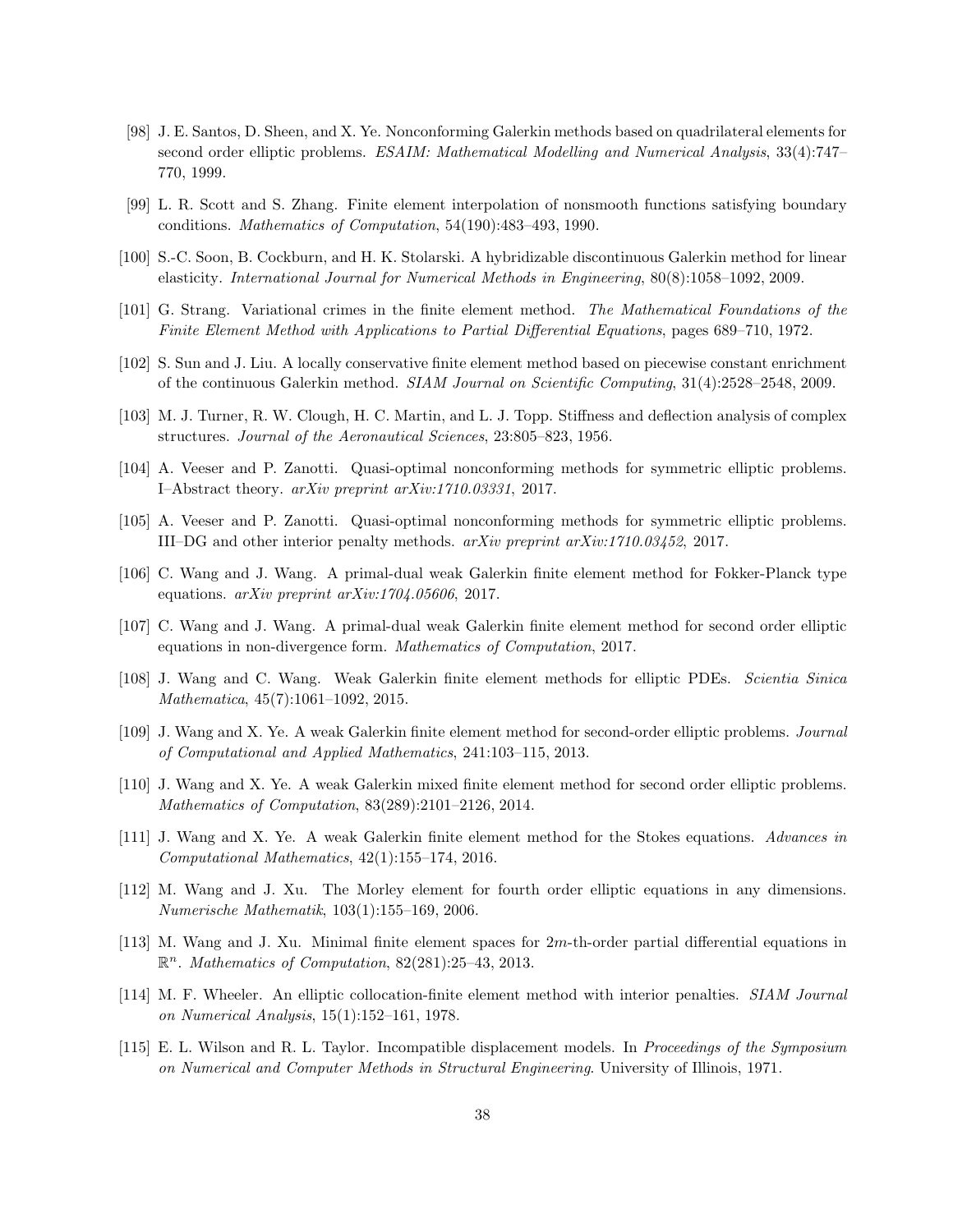- <span id="page-37-3"></span>[98] J. E. Santos, D. Sheen, and X. Ye. Nonconforming Galerkin methods based on quadrilateral elements for second order elliptic problems. ESAIM: Mathematical Modelling and Numerical Analysis, 33(4):747– 770, 1999.
- <span id="page-37-17"></span><span id="page-37-9"></span>[99] L. R. Scott and S. Zhang. Finite element interpolation of nonsmooth functions satisfying boundary conditions. Mathematics of Computation, 54(190):483–493, 1990.
- <span id="page-37-2"></span>[100] S.-C. Soon, B. Cockburn, and H. K. Stolarski. A hybridizable discontinuous Galerkin method for linear elasticity. International Journal for Numerical Methods in Engineering, 80(8):1058–1092, 2009.
- <span id="page-37-16"></span>[101] G. Strang. Variational crimes in the finite element method. The Mathematical Foundations of the Finite Element Method with Applications to Partial Differential Equations, pages 689–710, 1972.
- <span id="page-37-15"></span>[102] S. Sun and J. Liu. A locally conservative finite element method based on piecewise constant enrichment of the continuous Galerkin method. SIAM Journal on Scientific Computing, 31(4):2528–2548, 2009.
- <span id="page-37-7"></span>[103] M. J. Turner, R. W. Clough, H. C. Martin, and L. J. Topp. Stiffness and deflection analysis of complex structures. Journal of the Aeronautical Sciences, 23:805–823, 1956.
- <span id="page-37-8"></span>[104] A. Veeser and P. Zanotti. Quasi-optimal nonconforming methods for symmetric elliptic problems. I–Abstract theory. arXiv preprint arXiv:1710.03331, 2017.
- <span id="page-37-13"></span>[105] A. Veeser and P. Zanotti. Quasi-optimal nonconforming methods for symmetric elliptic problems. III–DG and other interior penalty methods. arXiv preprint arXiv:1710.03452, 2017.
- <span id="page-37-12"></span>[106] C. Wang and J. Wang. A primal-dual weak Galerkin finite element method for Fokker-Planck type equations.  $arXiv$  preprint  $arXiv:1704.05606$ , 2017.
- <span id="page-37-11"></span>[107] C. Wang and J. Wang. A primal-dual weak Galerkin finite element method for second order elliptic equations in non-divergence form. Mathematics of Computation, 2017.
- <span id="page-37-0"></span>[108] J. Wang and C. Wang. Weak Galerkin finite element methods for elliptic PDEs. Scientia Sinica Mathematica, 45(7):1061–1092, 2015.
- <span id="page-37-10"></span>[109] J. Wang and X. Ye. A weak Galerkin finite element method for second-order elliptic problems. Journal of Computational and Applied Mathematics, 241:103–115, 2013.
- <span id="page-37-14"></span>[110] J. Wang and X. Ye. A weak Galerkin mixed finite element method for second order elliptic problems. Mathematics of Computation, 83(289):2101–2126, 2014.
- <span id="page-37-4"></span>[111] J. Wang and X. Ye. A weak Galerkin finite element method for the Stokes equations. Advances in Computational Mathematics, 42(1):155–174, 2016.
- <span id="page-37-5"></span>[112] M. Wang and J. Xu. The Morley element for fourth order elliptic equations in any dimensions. Numerische Mathematik, 103(1):155–169, 2006.
- <span id="page-37-6"></span>[113] M. Wang and J. Xu. Minimal finite element spaces for 2m-th-order partial differential equations in  $\mathbb{R}^n$ . Mathematics of Computation, 82(281):25-43, 2013.
- [114] M. F. Wheeler. An elliptic collocation-finite element method with interior penalties. SIAM Journal on Numerical Analysis, 15(1):152–161, 1978.
- <span id="page-37-1"></span>[115] E. L. Wilson and R. L. Taylor. Incompatible displacement models. In Proceedings of the Symposium on Numerical and Computer Methods in Structural Engineering. University of Illinois, 1971.